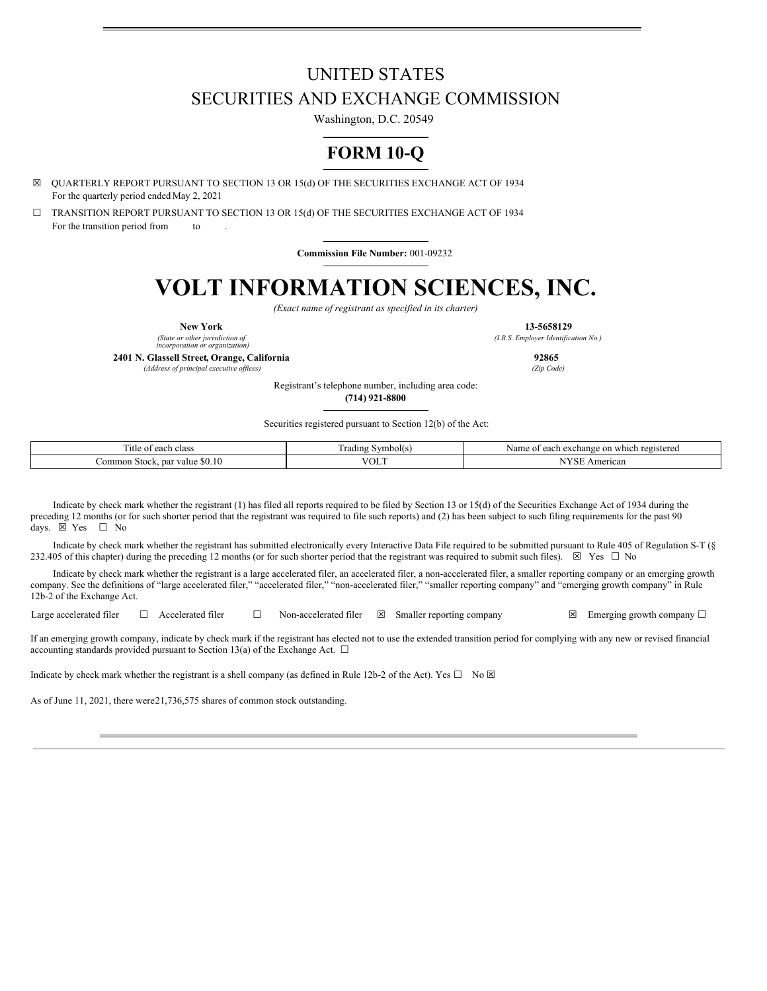# UNITED STATES SECURITIES AND EXCHANGE COMMISSION

Washington, D.C. 20549

# **FORM 10-Q**

☒ QUARTERLY REPORT PURSUANT TO SECTION 13 OR 15(d) OF THE SECURITIES EXCHANGE ACT OF 1934 For the quarterly period ended May 2, 2021

☐ TRANSITION REPORT PURSUANT TO SECTION 13 OR 15(d) OF THE SECURITIES EXCHANGE ACT OF 1934 For the transition period from to

**Commission File Number:** 001-09232

# **VOLT INFORMATION SCIENCES, INC.**

*(Exact name of registrant as specified in its charter)*

**New York 13-5658129**

*(State or other jurisdiction of incorporation or organization)*

**2401 N. Glassell Street, Orange, California 92865**

*(Address of principal executive of ices) (Zip Code)*

*(I.R.S. Employer Identification No.)*

Registrant's telephone number, including area code:

**(714) 921-8800**

Securities registered pursuant to Section 12(b) of the Act:

| $\sim$<br>l'itle of<br>each class                     | rading<br>mbolts      | which registered<br>. exchange<br>Name<br>.anok<br>$\sim$<br>$\sim$<br><b>CAUT</b><br>,,,,, |  |  |  |  |  |
|-------------------------------------------------------|-----------------------|---------------------------------------------------------------------------------------------|--|--|--|--|--|
| \$0.10<br>∠ommon<br>. Stock<br>value<br>. par<br>-80. | $\frac{1}{2}$<br>°∪∟. | TTT<br>American<br>N.                                                                       |  |  |  |  |  |

Indicate by check mark whether the registrant (1) has filed all reports required to be filed by Section 13 or 15(d) of the Securities Exchange Act of 1934 during the preceding 12 months (or for such shorter period that the registrant was required to file such reports) and (2) has been subject to such filing requirements for the past 90 days.  $\boxtimes$  Yes  $\Box$  No days.  $\boxtimes$  Yes

Indicate by check mark whether the registrant has submitted electronically every Interactive Data File required to be submitted pursuant to Rule 405 of Regulation S-T (§ 232.405 of this chapter) during the preceding 12 months (or for such shorter period that the registrant was required to submit such files).  $\boxtimes$  Yes  $\Box$  No

Indicate by check mark whether the registrant is a large accelerated filer, an accelerated filer, a non-accelerated filer, a smaller reporting company or an emerging growth company. See the definitions of "large accelerated filer," "accelerated filer," "mon-accelerated filer," "smaller reporting company" and "emerging growth company" in Rule 12b-2 of the Exchange Act.

Large accelerated filer  $□$  Accelerated filer  $□$  Non-accelerated filer  $□$  Smaller reporting company  $□$  Emerging growth company  $□$ 

If an emerging growth company, indicate by check mark if the registrant has elected not to use the extended transition period for complying with any new or revised financial accounting standards provided pursuant to Section 13(a) of the Exchange Act.  $\Box$ 

Indicate by check mark whether the registrant is a shell company (as defined in Rule 12b-2 of the Act). Yes  $\square$  No  $\boxtimes$ 

As of June 11, 2021, there were21,736,575 shares of common stock outstanding.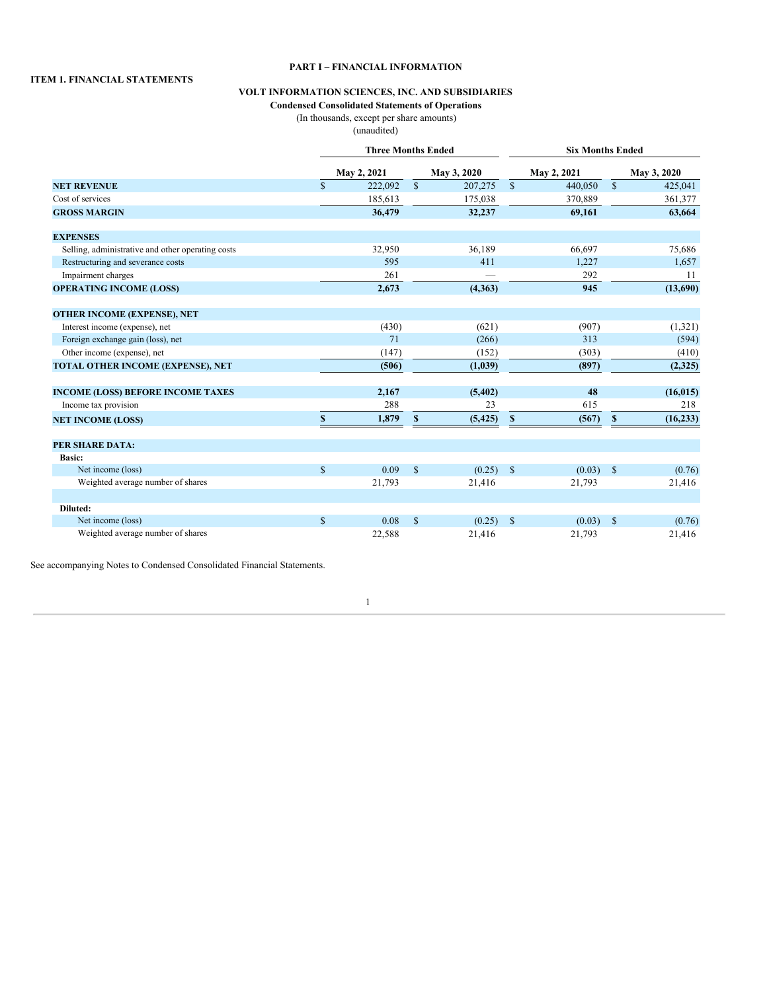#### **ITEM 1. FINANCIAL STATEMENTS**

## **PART I – FINANCIAL INFORMATION**

# **VOLT INFORMATION SCIENCES, INC. AND SUBSIDIARIES**

# **Condensed Consolidated Statements of Operations**

(In thousands, except per share amounts)

(unaudited)

|                                                   |               | <b>Three Months Ended</b> |              |             | <b>Six Months Ended</b> |             |              |             |  |  |
|---------------------------------------------------|---------------|---------------------------|--------------|-------------|-------------------------|-------------|--------------|-------------|--|--|
|                                                   |               | May 2, 2021               |              | May 3, 2020 |                         | May 2, 2021 |              | May 3, 2020 |  |  |
| <b>NET REVENUE</b>                                | $\mathbf S$   | 222,092                   | $\mathbb{S}$ | 207,275     | $\mathbf S$             | 440,050     | $\mathbf S$  | 425,041     |  |  |
| Cost of services                                  |               | 185,613                   |              | 175,038     |                         | 370,889     |              | 361,377     |  |  |
| <b>GROSS MARGIN</b>                               |               | 36,479                    |              | 32,237      |                         | 69,161      |              | 63,664      |  |  |
| <b>EXPENSES</b>                                   |               |                           |              |             |                         |             |              |             |  |  |
| Selling, administrative and other operating costs |               | 32,950                    |              | 36,189      |                         | 66,697      |              | 75,686      |  |  |
| Restructuring and severance costs                 |               | 595                       |              | 411         |                         | 1,227       |              | 1,657       |  |  |
| Impairment charges                                |               | 261                       |              |             |                         | 292         |              | 11          |  |  |
| <b>OPERATING INCOME (LOSS)</b>                    |               | 2,673                     |              | (4,363)     |                         | 945         |              | (13,690)    |  |  |
| OTHER INCOME (EXPENSE), NET                       |               |                           |              |             |                         |             |              |             |  |  |
| Interest income (expense), net                    |               | (430)                     |              | (621)       |                         | (907)       |              | (1,321)     |  |  |
| Foreign exchange gain (loss), net                 |               | 71                        |              | (266)       |                         | 313         |              | (594)       |  |  |
| Other income (expense), net                       |               | (147)                     |              | (152)       |                         | (303)       |              | (410)       |  |  |
| TOTAL OTHER INCOME (EXPENSE), NET                 |               | (506)                     |              | (1,039)     |                         | (897)       |              | (2,325)     |  |  |
| <b>INCOME (LOSS) BEFORE INCOME TAXES</b>          |               | 2,167                     |              | (5,402)     |                         | 48          |              | (16, 015)   |  |  |
| Income tax provision                              |               | 288                       |              | 23          |                         | 615         |              | 218         |  |  |
| <b>NET INCOME (LOSS)</b>                          | $\mathbf{s}$  | 1,879                     | \$           | (5, 425)    | $\mathbf{s}$            | (567)       | $\mathbf{s}$ | (16, 233)   |  |  |
| <b>PER SHARE DATA:</b>                            |               |                           |              |             |                         |             |              |             |  |  |
| <b>Basic:</b>                                     |               |                           |              |             |                         |             |              |             |  |  |
| Net income (loss)                                 | $\mathsf{\$}$ | 0.09                      | $\mathbb{S}$ | $(0.25)$ \$ |                         | $(0.03)$ \$ |              | (0.76)      |  |  |
| Weighted average number of shares                 |               | 21,793                    |              | 21,416      |                         | 21,793      |              | 21,416      |  |  |
| Diluted:                                          |               |                           |              |             |                         |             |              |             |  |  |
| Net income (loss)                                 | $\mathsf{\$}$ | 0.08                      | $\mathbf S$  | (0.25)      | <sup>\$</sup>           | (0.03)      | $\mathbb{S}$ | (0.76)      |  |  |
| Weighted average number of shares                 |               | 22,588                    |              | 21,416      |                         | 21,793      |              | 21,416      |  |  |

See accompanying Notes to Condensed Consolidated Financial Statements.

1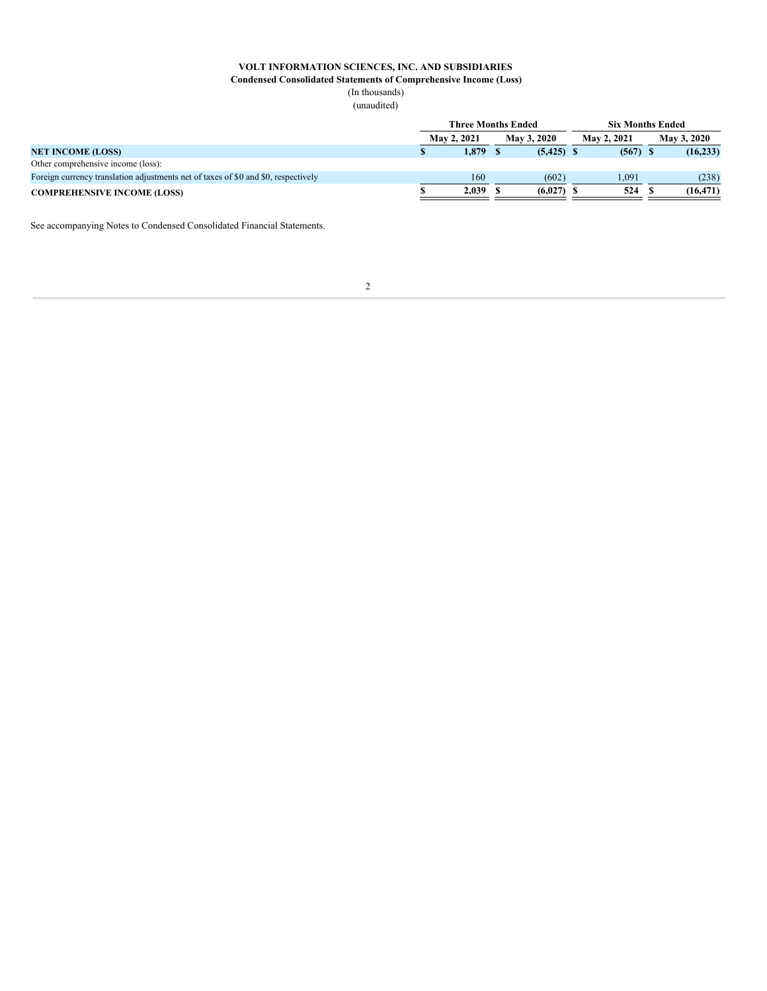**Condensed Consolidated Statements of Comprehensive Income (Loss)**

(In thousands) (unaudited)

|                                                                                    | <b>Three Months Ended</b> |                    |  |              |  | <b>Six Months Ended</b> |  |                    |  |  |
|------------------------------------------------------------------------------------|---------------------------|--------------------|--|--------------|--|-------------------------|--|--------------------|--|--|
|                                                                                    |                           | <b>May 2, 2021</b> |  | May 3, 2020  |  | <b>May 2, 2021</b>      |  | <b>May 3, 2020</b> |  |  |
| <b>NET INCOME (LOSS)</b>                                                           |                           | 1.879              |  | $(5,425)$ \$ |  | $(567)$ \$              |  | (16, 233)          |  |  |
| Other comprehensive income (loss):                                                 |                           |                    |  |              |  |                         |  |                    |  |  |
| Foreign currency translation adjustments net of taxes of \$0 and \$0, respectively |                           | 160                |  | (602)        |  | 1,091                   |  | (238)              |  |  |
| <b>COMPREHENSIVE INCOME (LOSS)</b>                                                 |                           | 2,039              |  | (6,027)      |  | 524                     |  | (16, 471)          |  |  |

See accompanying Notes to Condensed Consolidated Financial Statements.

# 2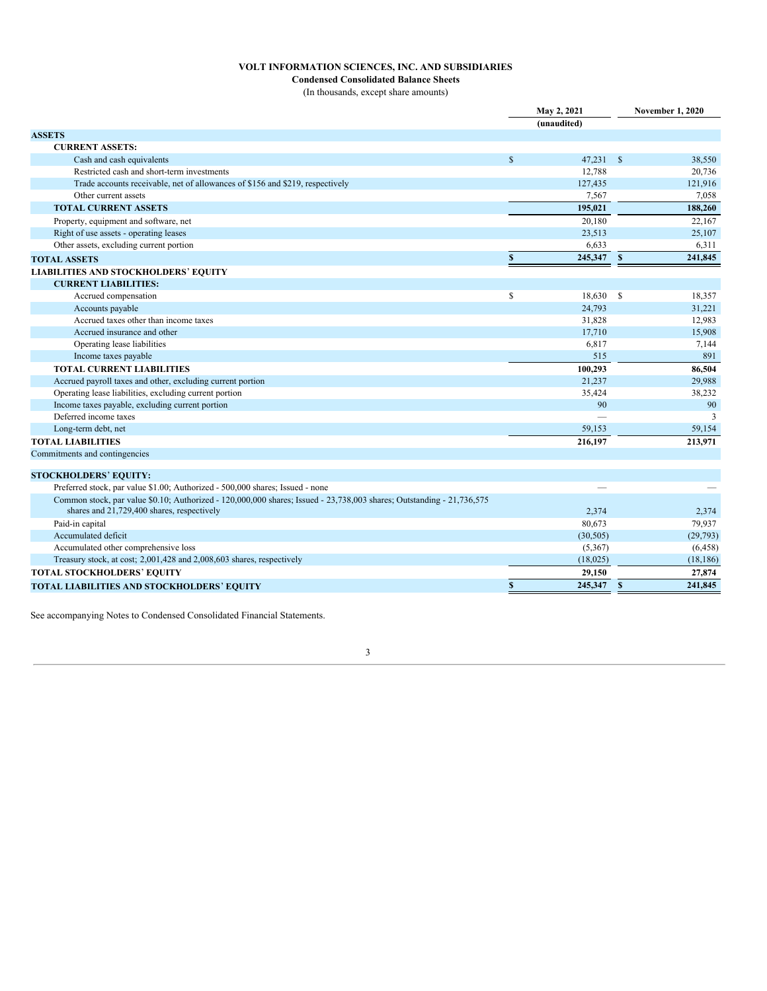**Condensed Consolidated Balance Sheets** (In thousands, except share amounts)

|                                                                                                                                                                     | May 2, 2021 |             | <b>November 1, 2020</b> |
|---------------------------------------------------------------------------------------------------------------------------------------------------------------------|-------------|-------------|-------------------------|
|                                                                                                                                                                     |             | (unaudited) |                         |
| <b>ASSETS</b>                                                                                                                                                       |             |             |                         |
| <b>CURRENT ASSETS:</b>                                                                                                                                              |             |             |                         |
| Cash and cash equivalents                                                                                                                                           | \$          | 47,231 \$   | 38,550                  |
| Restricted cash and short-term investments                                                                                                                          |             | 12,788      | 20,736                  |
| Trade accounts receivable, net of allowances of \$156 and \$219, respectively                                                                                       |             | 127,435     | 121,916                 |
| Other current assets                                                                                                                                                |             | 7,567       | 7,058                   |
| <b>TOTAL CURRENT ASSETS</b>                                                                                                                                         |             | 195,021     | 188,260                 |
| Property, equipment and software, net                                                                                                                               |             | 20,180      | 22,167                  |
| Right of use assets - operating leases                                                                                                                              |             | 23,513      | 25,107                  |
| Other assets, excluding current portion                                                                                                                             |             | 6,633       | 6,311                   |
| <b>TOTAL ASSETS</b>                                                                                                                                                 | \$          | 245,347 \$  | 241,845                 |
| <b>LIABILITIES AND STOCKHOLDERS' EQUITY</b>                                                                                                                         |             |             |                         |
| <b>CURRENT LIABILITIES:</b>                                                                                                                                         |             |             |                         |
| Accrued compensation                                                                                                                                                | \$          | 18,630 \$   | 18,357                  |
| Accounts payable                                                                                                                                                    |             | 24,793      | 31,221                  |
| Accrued taxes other than income taxes                                                                                                                               |             | 31,828      | 12,983                  |
| Accrued insurance and other                                                                                                                                         |             | 17,710      | 15,908                  |
| Operating lease liabilities                                                                                                                                         |             | 6,817       | 7,144                   |
| Income taxes payable                                                                                                                                                |             | 515         | 891                     |
| <b>TOTAL CURRENT LIABILITIES</b>                                                                                                                                    |             | 100,293     | 86,504                  |
| Accrued payroll taxes and other, excluding current portion                                                                                                          |             | 21,237      | 29,988                  |
| Operating lease liabilities, excluding current portion                                                                                                              |             | 35,424      | 38,232                  |
| Income taxes payable, excluding current portion                                                                                                                     |             | 90          | 90                      |
| Deferred income taxes                                                                                                                                               |             |             | 3                       |
| Long-term debt, net                                                                                                                                                 |             | 59,153      | 59,154                  |
| <b>TOTAL LIABILITIES</b>                                                                                                                                            |             | 216,197     | 213,971                 |
| Commitments and contingencies                                                                                                                                       |             |             |                         |
|                                                                                                                                                                     |             |             |                         |
| <b>STOCKHOLDERS' EQUITY:</b>                                                                                                                                        |             |             |                         |
| Preferred stock, par value \$1.00; Authorized - 500,000 shares; Issued - none                                                                                       |             |             |                         |
| Common stock, par value \$0.10; Authorized - 120,000,000 shares; Issued - 23,738,003 shares; Outstanding - 21,736,575<br>shares and 21,729,400 shares, respectively |             | 2,374       | 2,374                   |
| Paid-in capital                                                                                                                                                     |             | 80,673      | 79,937                  |
| Accumulated deficit                                                                                                                                                 |             | (30, 505)   | (29,793)                |
| Accumulated other comprehensive loss                                                                                                                                |             | (5,367)     | (6, 458)                |
| Treasury stock, at cost; 2,001,428 and 2,008,603 shares, respectively                                                                                               |             | (18,025)    | (18, 186)               |
| <b>TOTAL STOCKHOLDERS' EQUITY</b>                                                                                                                                   |             | 29,150      | 27,874                  |
| TOTAL LIABILITIES AND STOCKHOLDERS' EQUITY                                                                                                                          | \$          | 245,347 \$  | 241,845                 |

See accompanying Notes to Condensed Consolidated Financial Statements.

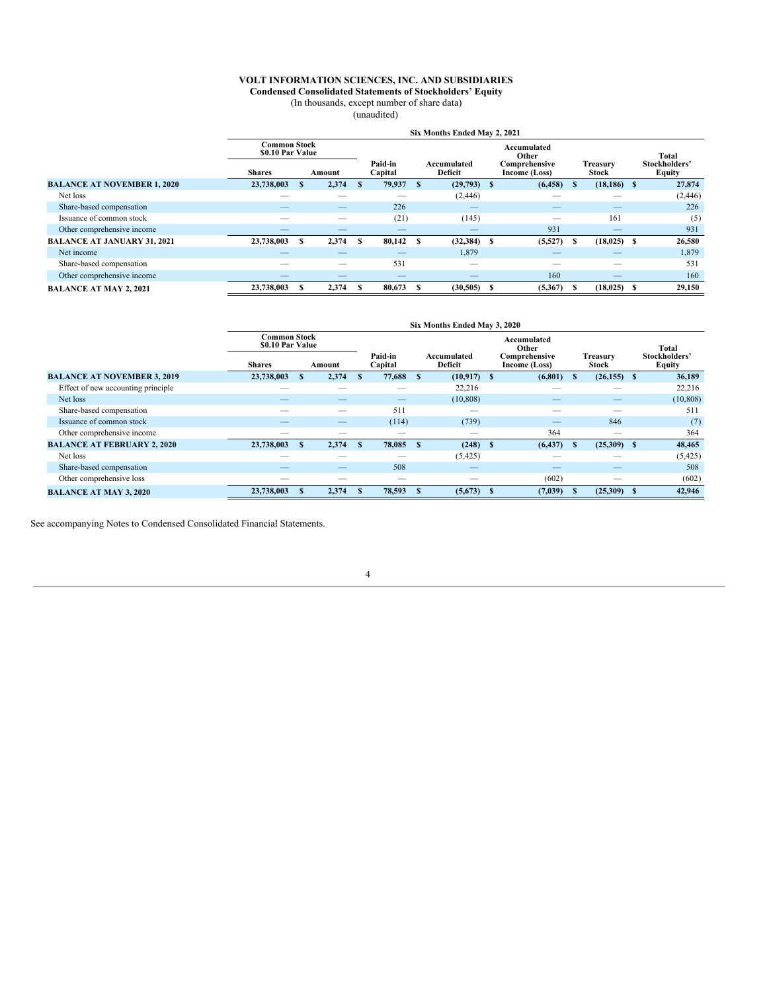**Condensed Consolidated Statements of Stockholders' Equity**

(In thousands, except number of share data)

(unaudited)

|                                    |                                                          |        |      |                          |    | Six Months Ended May 2, 2021  |                                                        |                          |                                         |
|------------------------------------|----------------------------------------------------------|--------|------|--------------------------|----|-------------------------------|--------------------------------------------------------|--------------------------|-----------------------------------------|
|                                    | <b>Common Stock</b><br>\$0.10 Par Value<br><b>Shares</b> | Amount |      | Paid-in<br>Capital       |    | Accumulated<br><b>Deficit</b> | Accumulated<br>Other<br>Comprehensive<br>Income (Loss) | Treasury<br>Stock        | Total<br>Stockholders'<br><b>Equity</b> |
| <b>BALANCE AT NOVEMBER 1, 2020</b> | 23,738,003                                               | 2,374  | -8   | 79,937                   | -S | $(29,793)$ \$                 | (6, 458)                                               | $(18, 186)$ \$           | 27,874                                  |
| Net loss                           |                                                          |        |      |                          |    | (2, 446)                      |                                                        |                          | (2, 446)                                |
| Share-based compensation           |                                                          |        |      | 226                      |    | $\overline{\phantom{a}}$      | __                                                     | $\overline{\phantom{a}}$ | 226                                     |
| Issuance of common stock           |                                                          |        |      | (21)                     |    | (145)                         |                                                        | 161                      | (5)                                     |
| Other comprehensive income         |                                                          | –      |      | $\overline{\phantom{a}}$ |    | $\overline{\phantom{a}}$      | 931                                                    |                          | 931                                     |
| <b>BALANCE AT JANUARY 31, 2021</b> | 23,738,003                                               | 2,374  | - \$ | 80,142                   | -S | $(32,384)$ \$                 | (5,527)                                                | $(18, 025)$ \$           | 26,580                                  |
| Net income                         |                                                          |        |      |                          |    | 1,879                         |                                                        |                          | 1,879                                   |
| Share-based compensation           |                                                          | –      |      | 531                      |    | $\overline{\phantom{a}}$      |                                                        | $\overline{\phantom{a}}$ | 531                                     |
| Other comprehensive income         |                                                          |        |      |                          |    |                               | 160                                                    |                          | 160                                     |
| <b>BALANCE AT MAY 2, 2021</b>      | 23,738,003                                               | 2,374  |      | 80,673                   |    | (30,505)                      | (5,367)                                                | $(18,025)$ \$            | 29,150                                  |

|                                    |                                                   |   |        |     |                          |               | Six Months Ended May 3, 2020  |                                                        |     |                          |                                         |
|------------------------------------|---------------------------------------------------|---|--------|-----|--------------------------|---------------|-------------------------------|--------------------------------------------------------|-----|--------------------------|-----------------------------------------|
|                                    | Common Stock<br>\$0.10 Par Value<br><b>Shares</b> |   | Amount |     | Paid-in<br>Capital       |               | Accumulated<br><b>Deficit</b> | Accumulated<br>Other<br>Comprehensive<br>Income (Loss) |     | <b>Treasurv</b><br>Stock | Total<br>Stockholders'<br><b>Equity</b> |
| <b>BALANCE AT NOVEMBER 3, 2019</b> | 23,738,003                                        |   | 2,374  | -8  | 77,688                   | <sup>\$</sup> | $(10.917)$ S                  | (6, 801)                                               |     | $(26,155)$ \$            | 36,189                                  |
| Effect of new accounting principle |                                                   |   |        |     |                          |               | 22,216                        |                                                        |     |                          | 22,216                                  |
| Net loss                           |                                                   |   |        |     |                          |               | (10, 808)                     |                                                        |     |                          | (10, 808)                               |
| Share-based compensation           |                                                   |   |        |     | 511                      |               |                               |                                                        |     |                          | 511                                     |
| Issuance of common stock           |                                                   |   |        |     | (114)                    |               | (739)                         |                                                        |     | 846                      | (7)                                     |
| Other comprehensive income         |                                                   |   |        |     | __                       |               | $\overline{\phantom{a}}$      | 364                                                    |     | $\sim$                   | 364                                     |
| <b>BALANCE AT FEBRUARY 2, 2020</b> | 23,738,003                                        | S | 2,374  | - S | 78,085                   | $\mathbf{s}$  | $(248)$ \$                    | (6, 437)                                               | -35 | $(25,309)$ \$            | 48,465                                  |
| Net loss                           |                                                   |   |        |     | __                       |               | (5,425)                       |                                                        |     |                          | (5,425)                                 |
| Share-based compensation           |                                                   |   |        |     | 508                      |               |                               |                                                        |     |                          | 508                                     |
| Other comprehensive loss           | _                                                 |   |        |     | $\overline{\phantom{a}}$ |               | $\sim$                        | (602)                                                  |     | $\sim$                   | (602)                                   |
| <b>BALANCE AT MAY 3, 2020</b>      | 23,738,003                                        |   | 2,374  |     | 78,593                   |               | $(5,673)$ \$                  | (7,039)                                                |     | $(25,309)$ \$            | 42,946                                  |

See accompanying Notes to Condensed Consolidated Financial Statements.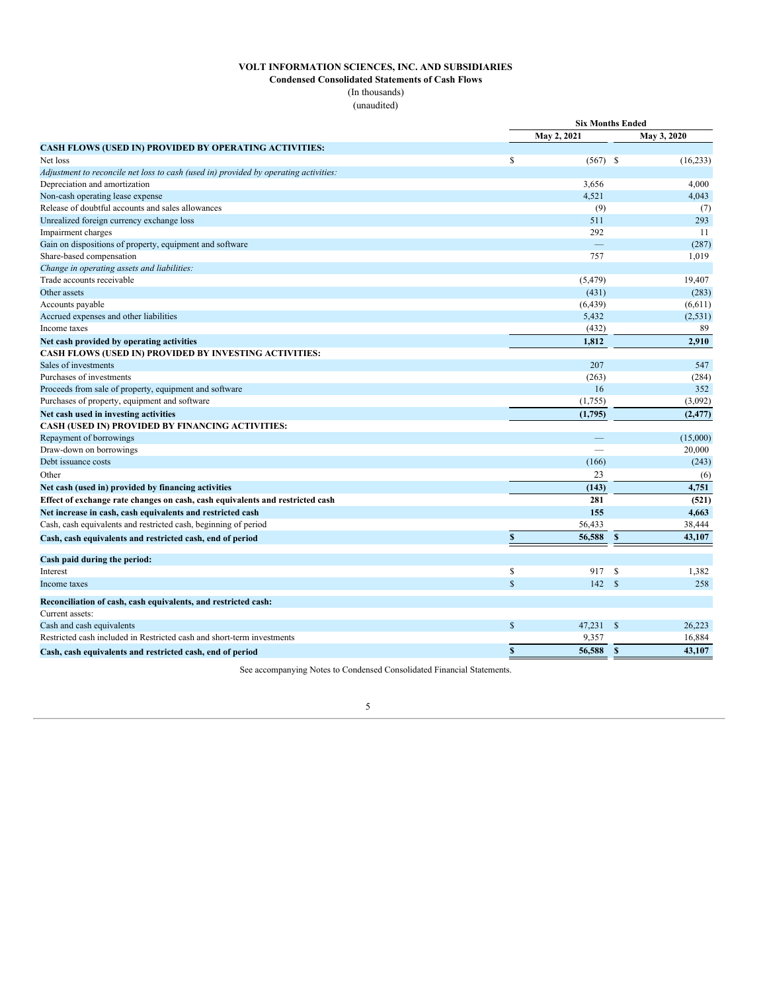**Condensed Consolidated Statements of Cash Flows**

(In thousands) (unaudited)

|                                                                                      |              | <b>Six Months Ended</b> |              |             |
|--------------------------------------------------------------------------------------|--------------|-------------------------|--------------|-------------|
|                                                                                      |              | May 2, 2021             |              | May 3, 2020 |
| <b>CASH FLOWS (USED IN) PROVIDED BY OPERATING ACTIVITIES:</b>                        |              |                         |              |             |
| Net loss                                                                             | \$           | $(567)$ \$              |              | (16, 233)   |
| Adjustment to reconcile net loss to cash (used in) provided by operating activities: |              |                         |              |             |
| Depreciation and amortization                                                        |              | 3,656                   |              | 4,000       |
| Non-cash operating lease expense                                                     |              | 4.521                   |              | 4.043       |
| Release of doubtful accounts and sales allowances                                    |              | (9)                     |              | (7)         |
| Unrealized foreign currency exchange loss                                            |              | 511                     |              | 293         |
| Impairment charges                                                                   |              | 292                     |              | 11          |
| Gain on dispositions of property, equipment and software                             |              |                         |              | (287)       |
| Share-based compensation                                                             |              | 757                     |              | 1,019       |
| Change in operating assets and liabilities:                                          |              |                         |              |             |
| Trade accounts receivable                                                            |              | (5, 479)                |              | 19,407      |
| Other assets                                                                         |              | (431)                   |              | (283)       |
| Accounts payable                                                                     |              | (6, 439)                |              | (6,611)     |
| Accrued expenses and other liabilities                                               |              | 5,432                   |              | (2,531)     |
| Income taxes                                                                         |              | (432)                   |              | 89          |
| Net cash provided by operating activities                                            |              | 1,812                   |              | 2,910       |
| CASH FLOWS (USED IN) PROVIDED BY INVESTING ACTIVITIES:                               |              |                         |              |             |
| Sales of investments                                                                 |              | 207                     |              | 547         |
| Purchases of investments                                                             |              | (263)                   |              | (284)       |
| Proceeds from sale of property, equipment and software                               |              | 16                      |              | 352         |
| Purchases of property, equipment and software                                        |              | (1,755)                 |              | (3,092)     |
| Net cash used in investing activities                                                |              | (1,795)                 |              | (2, 477)    |
| CASH (USED IN) PROVIDED BY FINANCING ACTIVITIES:                                     |              |                         |              |             |
| Repayment of borrowings                                                              |              |                         |              | (15,000)    |
| Draw-down on borrowings                                                              |              |                         |              | 20,000      |
| Debt issuance costs                                                                  |              | (166)                   |              | (243)       |
| Other                                                                                |              | 23                      |              | (6)         |
| Net cash (used in) provided by financing activities                                  |              | (143)                   |              | 4,751       |
| Effect of exchange rate changes on cash, cash equivalents and restricted cash        |              | 281                     |              | (521)       |
| Net increase in cash, cash equivalents and restricted cash                           |              | 155                     |              | 4,663       |
| Cash, cash equivalents and restricted cash, beginning of period                      |              | 56,433                  |              | 38,444      |
| Cash, cash equivalents and restricted cash, end of period                            | $\mathbf S$  | 56,588                  | $\mathbf{s}$ | 43,107      |
| Cash paid during the period:                                                         |              |                         |              |             |
| Interest                                                                             | $\mathbb S$  | 917                     | - \$         | 1,382       |
| Income taxes                                                                         | $\mathbf S$  | 142                     | $\mathbb{S}$ | 258         |
| Reconciliation of cash, cash equivalents, and restricted cash:                       |              |                         |              |             |
| Current assets:                                                                      |              |                         |              |             |
| Cash and cash equivalents                                                            | $\mathbb{S}$ | $47,231$ \$             |              | 26.223      |
| Restricted cash included in Restricted cash and short-term investments               |              | 9,357                   |              | 16,884      |
| Cash, cash equivalents and restricted cash, end of period                            | \$           | 56,588                  | $\mathbf{s}$ | 43,107      |

See accompanying Notes to Condensed Consolidated Financial Statements.

# 5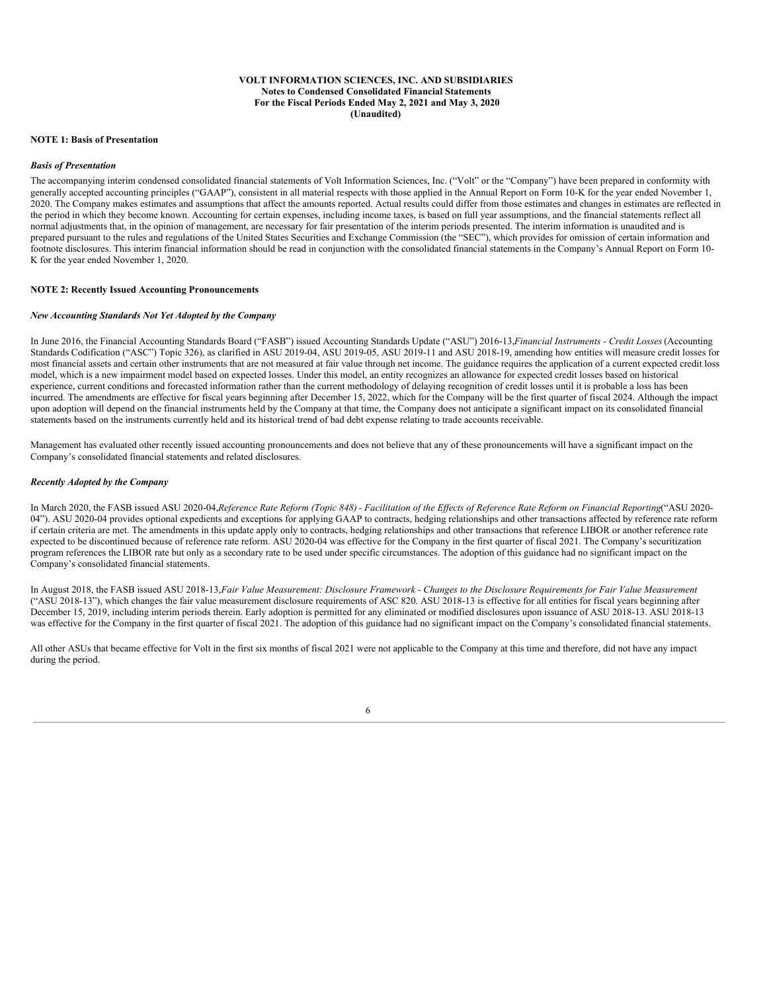#### **VOLT INFORMATION SCIENCES, INC. AND SUBSIDIARIES Notes to Condensed Consolidated Financial Statements For the Fiscal Periods Ended May 2, 2021 and May 3, 2020 (Unaudited)**

#### **NOTE 1: Basis of Presentation**

#### *Basis of Presentation*

The accompanying interim condensed consolidated financial statements of Volt Information Sciences, Inc. ("Volt" or the "Company") have been prepared in conformity with generally accepted accounting principles ("GAAP"), consistent in all material respects with those applied in the Annual Report on Form 10-K for the year ended November 1, 2020. The Company makes estimates and assumptions that affect the amounts reported. Actual results could differ from those estimates and changes in estimates are reflected in the period in which they become known. Accounting for certain expenses, including income taxes, is based on full year assumptions, and the financial statements reflect all normal adjustments that, in the opinion of management, are necessary for fair presentation of the interim periods presented. The interim information is unaudited and is prepared pursuant to the rules and regulations of the United States Securities and Exchange Commission (the "SEC"), which provides for omission of certain information and footnote disclosures. This interim financial information should be read in conjunction with the consolidated financial statements in the Company's Annual Report on Form 10- K for the year ended November 1, 2020.

#### **NOTE 2: Recently Issued Accounting Pronouncements**

#### *New Accounting Standards Not Yet Adopted by the Company*

In June 2016, the Financial Accounting Standards Board ("FASB") issued Accounting Standards Update ("ASU") 2016-13,*Financial Instruments - Credit Losses*(Accounting Standards Codification ("ASC") Topic 326), as clarified in ASU 2019-04, ASU 2019-05, ASU 2019-11 and ASU 2018-19, amending how entities will measure credit losses for most financial assets and certain other instruments that are not measured at fair value through net income. The guidance requires the application of a current expected credit loss model, which is a new impairment model based on expected losses. Under this model, an entity recognizes an allowance for expected credit losses based on historical experience, current conditions and forecasted information rather than the current methodology of delaying recognition of credit losses until it is probable a loss has been incurred. The amendments are effective for fiscal years beginning after December 15, 2022, which for the Company will be the first quarter of fiscal 2024. Although the impact upon adoption will depend on the financial instruments held by the Company at that time, the Company does not anticipate a significant impact on its consolidated financial statements based on the instruments currently held and its historical trend of bad debt expense relating to trade accounts receivable.

Management has evaluated other recently issued accounting pronouncements and does not believe that any of these pronouncements will have a significant impact on the Company's consolidated financial statements and related disclosures.

#### *Recently Adopted by the Company*

In March 2020, the FASB issued ASU 2020-04, Reference Rate Reform (Topic 848) - Facilitation of the Effects of Reference Rate Reform on Financial Reporting("ASU 2020-04"). ASU 2020-04 provides optional expedients and exceptions for applying GAAP to contracts, hedging relationships and other transactions affected by reference rate reform if certain criteria are met. The amendments in this update apply only to contracts, hedging relationships and other transactions that reference LIBOR or another reference rate expected to be discontinued because of reference rate reform. ASU 2020-04 was effective for the Company in the first quarter of fiscal 2021. The Company's securitization program references the LIBOR rate but only as a secondary rate to be used under specific circumstances. The adoption of this guidance had no significant impact on the Company's consolidated financial statements.

In August 2018, the FASB issued ASU 2018-13, Fair Value Measurement: Disclosure Framework - Changes to the Disclosure Requirements for Fair Value Measurement ("ASU 2018-13"), which changes the fair value measurement disclosure requirements of ASC 820. ASU 2018-13 is effective for all entities for fiscal years beginning after December 15, 2019, including interim periods therein. Early adoption is permitted for any eliminated or modified disclosures upon issuance of ASU 2018-13. ASU 2018-13 was effective for the Company in the first quarter of fiscal 2021. The adoption of this guidance had no significant impact on the Company's consolidated financial statements.

All other ASUs that became effective for Volt in the first six months of fiscal 2021 were not applicable to the Company at this time and therefore, did not have any impact during the period.

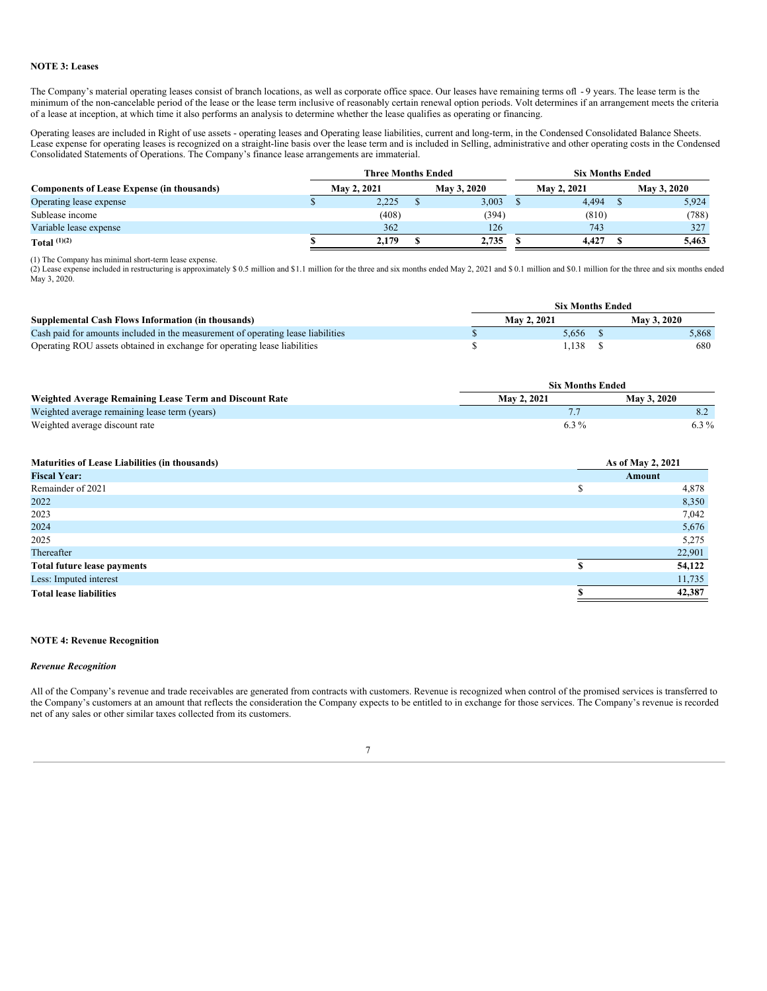#### **NOTE 3: Leases**

The Company's material operating leases consist of branch locations, as well as corporate office space. Our leases have remaining terms ofl -9 years. The lease term is the minimum of the non-cancelable period of the lease or the lease term inclusive of reasonably certain renewal option periods. Volt determines if an arrangement meets the criteria of a lease at inception, at which time it also performs an analysis to determine whether the lease qualifies as operating or financing.

Operating leases are included in Right of use assets - operating leases and Operating lease liabilities, current and long-term, in the Condensed Consolidated Balance Sheets. Lease expense for operating leases is recognized on a straight-line basis over the lease term and is included in Selling, administrative and other operating costs in the Condensed Consolidated Statements of Operations. The Company's finance lease arrangements are immaterial.

|                                                   | <b>Three Months Ended</b> |  | <b>Six Months Ended</b> |  |                    |  |                    |
|---------------------------------------------------|---------------------------|--|-------------------------|--|--------------------|--|--------------------|
| <b>Components of Lease Expense (in thousands)</b> | <b>May 2, 2021</b>        |  | <b>May 3, 2020</b>      |  | <b>May 2, 2021</b> |  | <b>May 3, 2020</b> |
| Operating lease expense                           | 2.225                     |  | 3,003                   |  | 4,494              |  | 5,924              |
| Sublease income                                   | (408)                     |  | (394)                   |  | (810)              |  | (788)              |
| Variable lease expense                            | 362                       |  | 126                     |  | 743                |  | 327                |
| Total $(1)(2)$                                    | 2.179                     |  | 2,735                   |  | 4.427              |  | 5.463              |

(1) The Company has minimal short-term lease expense.

(2) Lease expense included in restructuring is approximately \$ 0.5 million and \$1.1 million for the three and six months ended May 2, 2021 and \$ 0.1 million and \$0.1 million for the three and six months ended May 3, 2020.

|                                                                                  | <b>Six Months Ended</b> |  |                    |  |  |  |  |  |  |
|----------------------------------------------------------------------------------|-------------------------|--|--------------------|--|--|--|--|--|--|
| Supplemental Cash Flows Information (in thousands)                               | <b>May 2, 2021</b>      |  | <b>May 3, 2020</b> |  |  |  |  |  |  |
| Cash paid for amounts included in the measurement of operating lease liabilities | 5.656                   |  | 5.868              |  |  |  |  |  |  |
| Operating ROU assets obtained in exchange for operating lease liabilities        | 1.138                   |  | 680                |  |  |  |  |  |  |

|                                                         | <b>Six Months Ended</b> |                    |
|---------------------------------------------------------|-------------------------|--------------------|
| Weighted Average Remaining Lease Term and Discount Rate | May 2, 2021             | <b>May 3, 2020</b> |
| Weighted average remaining lease term (years)           |                         |                    |
| Weighted average discount rate                          | $6.3\%$                 | $6.3\%$            |

| <b>Maturities of Lease Liabilities (in thousands)</b> |   | As of May 2, 2021 |  |  |
|-------------------------------------------------------|---|-------------------|--|--|
| <b>Fiscal Year:</b>                                   |   | Amount            |  |  |
| Remainder of 2021                                     | e | 4,878             |  |  |
| 2022                                                  |   | 8,350             |  |  |
| 2023                                                  |   | 7,042             |  |  |
| 2024                                                  |   | 5,676             |  |  |
| 2025                                                  |   | 5,275             |  |  |
| Thereafter                                            |   | 22,901            |  |  |
| Total future lease payments                           |   | 54,122            |  |  |
| Less: Imputed interest                                |   | 11,735            |  |  |
| <b>Total lease liabilities</b>                        |   | 42,387            |  |  |

#### **NOTE 4: Revenue Recognition**

#### *Revenue Recognition*

All of the Company's revenue and trade receivables are generated from contracts with customers. Revenue is recognized when control of the promised services is transferred to the Company's customers at an amount that reflects the consideration the Company expects to be entitled to in exchange for those services. The Company's revenue is recorded net of any sales or other similar taxes collected from its customers.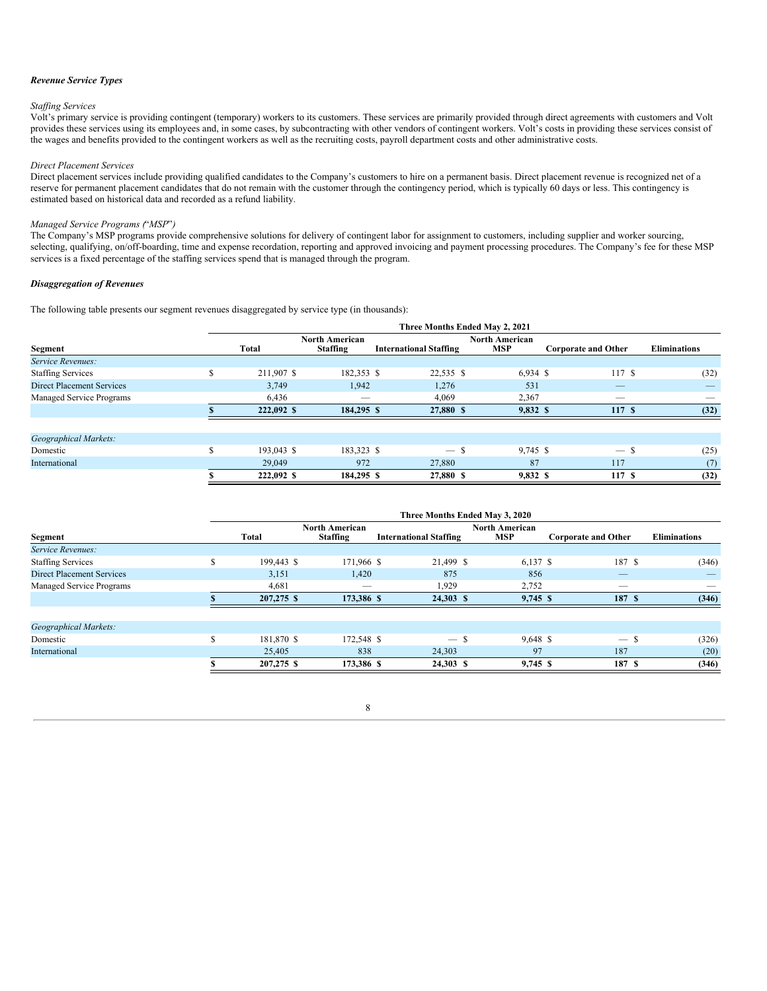#### *Revenue Service Types*

#### *Staf ing Services*

Volt's primary service is providing contingent (temporary) workers to its customers. These services are primarily provided through direct agreements with customers and Volt provides these services using its employees and, in some cases, by subcontracting with other vendors of contingent workers. Volt's costs in providing these services consist of the wages and benefits provided to the contingent workers as well as the recruiting costs, payroll department costs and other administrative costs.

#### *Direct Placement Services*

Direct placement services include providing qualified candidates to the Company's customers to hire on a permanent basis. Direct placement revenue is recognized net of a reserve for permanent placement candidates that do not remain with the customer through the contingency period, which is typically 60 days or less. This contingency is estimated based on historical data and recorded as a refund liability.

#### *Managed Service Programs (*"*MSP*"*)*

The Company's MSP programs provide comprehensive solutions for delivery of contingent labor for assignment to customers, including supplier and worker sourcing, selecting, qualifying, on/off-boarding, time and expense recordation, reporting and approved invoicing and payment processing procedures. The Company's fee for these MSP services is a fixed percentage of the staffing services spend that is managed through the program.

#### *Disaggregation of Revenues*

The following table presents our segment revenues disaggregated by service type (in thousands):

|                                  | Three Months Ended May 2, 2021 |            |                                          |                               |                                     |                            |                     |  |  |  |
|----------------------------------|--------------------------------|------------|------------------------------------------|-------------------------------|-------------------------------------|----------------------------|---------------------|--|--|--|
| Segment                          |                                | Total      | <b>North American</b><br><b>Staffing</b> | <b>International Staffing</b> | <b>North American</b><br><b>MSP</b> | <b>Corporate and Other</b> | <b>Eliminations</b> |  |  |  |
| Service Revenues:                |                                |            |                                          |                               |                                     |                            |                     |  |  |  |
| <b>Staffing Services</b>         | £.                             | 211,907 \$ | 182,353 \$                               | 22,535 \$                     | $6,934$ \$                          | 117S                       | (32)                |  |  |  |
| <b>Direct Placement Services</b> |                                | 3,749      | 1,942                                    | 1,276                         | 531                                 |                            |                     |  |  |  |
| Managed Service Programs         |                                | 6,436      | $\overline{\phantom{0}}$                 | 4,069                         | 2,367                               | $\overline{\phantom{a}}$   |                     |  |  |  |
|                                  |                                | 222,092 \$ | 184,295 \$                               | 27,880 \$                     | 9,832 \$                            | 117S                       | (32)                |  |  |  |
|                                  |                                |            |                                          |                               |                                     |                            |                     |  |  |  |
| Geographical Markets:            |                                |            |                                          |                               |                                     |                            |                     |  |  |  |
| Domestic                         | £.                             | 193,043 \$ | 183,323 \$                               | $-$ \$                        | $9,745$ \$                          | $-$ \$                     | (25)                |  |  |  |
| International                    |                                | 29,049     | 972                                      | 27,880                        | 87                                  | 117                        | (7)                 |  |  |  |
|                                  |                                | 222,092 \$ | 184,295 \$                               | 27,880 \$                     | $9,832$ \$                          | 117S                       | (32)                |  |  |  |

|                                  | Three Months Ended May 3, 2020 |            |                                          |                               |                              |                            |                     |  |  |  |  |  |  |
|----------------------------------|--------------------------------|------------|------------------------------------------|-------------------------------|------------------------------|----------------------------|---------------------|--|--|--|--|--|--|
| Segment                          |                                | Total      | <b>North American</b><br><b>Staffing</b> | <b>International Staffing</b> | North American<br><b>MSP</b> | <b>Corporate and Other</b> | <b>Eliminations</b> |  |  |  |  |  |  |
| Service Revenues:                |                                |            |                                          |                               |                              |                            |                     |  |  |  |  |  |  |
| <b>Staffing Services</b>         | \$                             | 199,443 \$ | 171,966 \$                               | 21,499 \$                     | 6,137 \$                     | 187 \$                     | (346)               |  |  |  |  |  |  |
| <b>Direct Placement Services</b> |                                | 3,151      | 1,420                                    | 875                           | 856                          |                            |                     |  |  |  |  |  |  |
| Managed Service Programs         |                                | 4,681      | $-$                                      | 1,929                         | 2,752                        |                            |                     |  |  |  |  |  |  |
|                                  |                                | 207,275 \$ | 173,386 \$                               | 24,303 \$                     | 9,745 \$                     | 187 S                      | (346)               |  |  |  |  |  |  |
|                                  |                                |            |                                          |                               |                              |                            |                     |  |  |  |  |  |  |
| Geographical Markets:            |                                |            |                                          |                               |                              |                            |                     |  |  |  |  |  |  |
| Domestic                         | \$                             | 181,870 \$ | 172,548 \$                               | $-$ \$                        | 9,648 \$                     | $-$ \$                     | (326)               |  |  |  |  |  |  |
| International                    |                                | 25,405     | 838                                      | 24,303                        | 97                           | 187                        | (20)                |  |  |  |  |  |  |
|                                  |                                | 207,275 \$ | 173,386 \$                               | 24,303 \$                     | 9,745 \$                     | 187 S                      | (346)               |  |  |  |  |  |  |

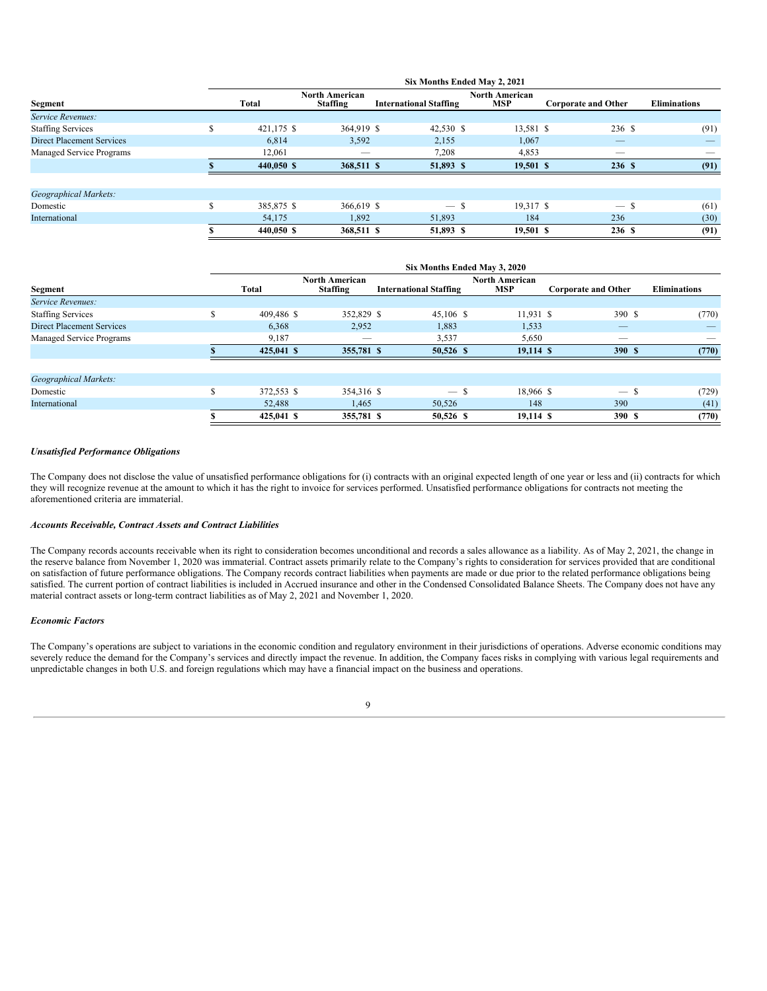|                                  | Six Months Ended May 2, 2021 |            |                                          |                               |                                     |                            |                     |  |  |  |  |  |  |
|----------------------------------|------------------------------|------------|------------------------------------------|-------------------------------|-------------------------------------|----------------------------|---------------------|--|--|--|--|--|--|
| Segment                          |                              | Total      | <b>North American</b><br><b>Staffing</b> | <b>International Staffing</b> | <b>North American</b><br><b>MSP</b> | <b>Corporate and Other</b> | <b>Eliminations</b> |  |  |  |  |  |  |
| Service Revenues:                |                              |            |                                          |                               |                                     |                            |                     |  |  |  |  |  |  |
| <b>Staffing Services</b>         |                              | 421,175 \$ | 364,919 \$                               | 42,530 \$                     | 13,581 \$                           | 236 \$                     | (91)                |  |  |  |  |  |  |
| <b>Direct Placement Services</b> |                              | 6,814      | 3,592                                    | 2,155                         | 1,067                               |                            |                     |  |  |  |  |  |  |
| Managed Service Programs         |                              | 12.061     | $-$                                      | 7,208                         | 4,853                               | $-$                        |                     |  |  |  |  |  |  |
|                                  |                              | 440,050 \$ | 368,511 \$                               | 51,893 \$                     | 19.501 S                            | 236S                       | (91)                |  |  |  |  |  |  |
| Geographical Markets:            |                              |            |                                          |                               |                                     |                            |                     |  |  |  |  |  |  |
| Domestic                         |                              | 385,875 \$ | 366,619 \$                               | $-$ \$                        | 19,317 \$                           | $\overline{\phantom{m}}$   | (61)                |  |  |  |  |  |  |
| International                    |                              | 54,175     | 1,892                                    | 51,893                        | 184                                 | 236                        | (30)                |  |  |  |  |  |  |
|                                  |                              | 440,050 \$ | 368,511 \$                               | 51,893 \$                     | 19,501S                             | 236S                       | (91)                |  |  |  |  |  |  |

|                                  | Six Months Ended May 3, 2020 |            |                                   |                               |                                     |                            |                     |  |  |  |  |  |  |
|----------------------------------|------------------------------|------------|-----------------------------------|-------------------------------|-------------------------------------|----------------------------|---------------------|--|--|--|--|--|--|
| Segment                          |                              | Total      | North American<br><b>Staffing</b> | <b>International Staffing</b> | <b>North American</b><br><b>MSP</b> | <b>Corporate and Other</b> | <b>Eliminations</b> |  |  |  |  |  |  |
| Service Revenues:                |                              |            |                                   |                               |                                     |                            |                     |  |  |  |  |  |  |
| <b>Staffing Services</b>         |                              | 409,486 \$ | 352,829 \$                        | $45,106$ \$                   | 11,931 \$                           | 390 \$                     | (770)               |  |  |  |  |  |  |
| <b>Direct Placement Services</b> |                              | 6,368      | 2,952                             | 1,883                         | 1,533                               |                            |                     |  |  |  |  |  |  |
| Managed Service Programs         |                              | 9,187      | $-$                               | 3,537                         | 5,650                               | __                         | $-$                 |  |  |  |  |  |  |
|                                  |                              | 425,041 \$ | 355,781 \$                        | 50,526 \$                     | 19.114 \$                           | 390S                       | (770)               |  |  |  |  |  |  |
|                                  |                              |            |                                   |                               |                                     |                            |                     |  |  |  |  |  |  |
| <b>Geographical Markets:</b>     |                              |            |                                   |                               |                                     |                            |                     |  |  |  |  |  |  |
| Domestic                         | $\triangle$                  | 372,553 \$ | 354,316 \$                        | $-$ \$                        | 18.966 \$                           | $-$ \$                     | (729)               |  |  |  |  |  |  |
| International                    |                              | 52,488     | 1,465                             | 50,526                        | 148                                 | 390                        | (41)                |  |  |  |  |  |  |
|                                  |                              | 425,041 \$ | 355,781 \$                        | 50,526 \$                     | 19,114 \$                           | 390 S                      | (770)               |  |  |  |  |  |  |

#### *Unsatisfied Performance Obligations*

The Company does not disclose the value of unsatisfied performance obligations for (i) contracts with an original expected length of one year or less and (ii) contracts for which they will recognize revenue at the amount to which it has the right to invoice for services performed. Unsatisfied performance obligations for contracts not meeting the aforementioned criteria are immaterial.

#### *Accounts Receivable, Contract Assets and Contract Liabilities*

The Company records accounts receivable when its right to consideration becomes unconditional and records a sales allowance as a liability. As of May 2, 2021, the change in the reserve balance from November 1, 2020 was immaterial. Contract assets primarily relate to the Company's rights to consideration for services provided that are conditional on satisfaction of future performance obligations. The Company records contract liabilities when payments are made or due prior to the related performance obligations being satisfied. The current portion of contract liabilities is included in Accrued insurance and other in the Condensed Consolidated Balance Sheets. The Company does not have any material contract assets or long-term contract liabilities as of May 2, 2021 and November 1, 2020.

#### *Economic Factors*

The Company's operations are subject to variations in the economic condition and regulatory environment in their jurisdictions of operations. Adverse economic conditions may severely reduce the demand for the Company's services and directly impact the revenue. In addition, the Company faces risks in complying with various legal requirements and unpredictable changes in both U.S. and foreign regulations which may have a financial impact on the business and operations.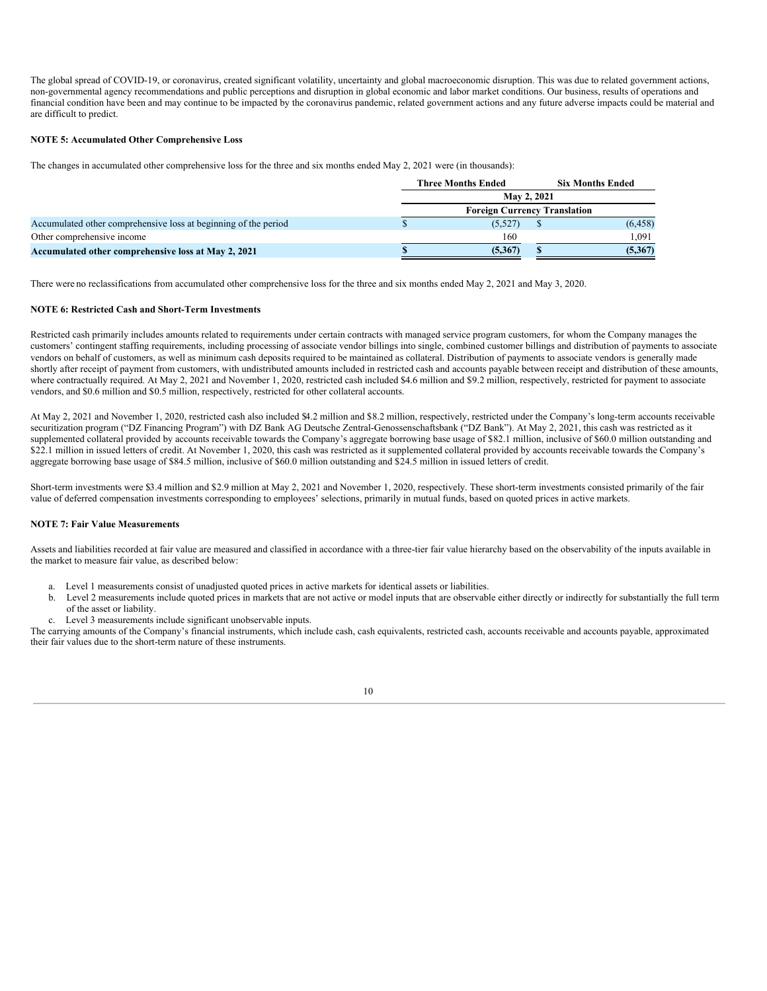The global spread of COVID-19, or coronavirus, created significant volatility, uncertainty and global macroeconomic disruption. This was due to related government actions, non-governmental agency recommendations and public perceptions and disruption in global economic and labor market conditions. Our business, results of operations and financial condition have been and may continue to be impacted by the coronavirus pandemic, related government actions and any future adverse impacts could be material and are difficult to predict.

#### **NOTE 5: Accumulated Other Comprehensive Loss**

The changes in accumulated other comprehensive loss for the three and six months ended May 2, 2021 were (in thousands):

|                                                                 | <b>Three Months Ended</b><br><b>Six Months Ended</b> |  |          |  |  |  |
|-----------------------------------------------------------------|------------------------------------------------------|--|----------|--|--|--|
|                                                                 | May 2, 2021                                          |  |          |  |  |  |
|                                                                 | <b>Foreign Currency Translation</b>                  |  |          |  |  |  |
| Accumulated other comprehensive loss at beginning of the period | (5,527)                                              |  | (6, 458) |  |  |  |
| Other comprehensive income                                      | 160                                                  |  | 1.091    |  |  |  |
| Accumulated other comprehensive loss at May 2, 2021             | (5,367)                                              |  | (5,367)  |  |  |  |

There were no reclassifications from accumulated other comprehensive loss for the three and six months ended May 2, 2021 and May 3, 2020.

#### **NOTE 6: Restricted Cash and Short-Term Investments**

Restricted cash primarily includes amounts related to requirements under certain contracts with managed service program customers, for whom the Company manages the customers' contingent staffing requirements, including processing of associate vendor billings into single, combined customer billings and distribution of payments to associate vendors on behalf of customers, as well as minimum cash deposits required to be maintained as collateral. Distribution of payments to associate vendors is generally made shortly after receipt of payment from customers, with undistributed amounts included in restricted cash and accounts payable between receipt and distribution of these amounts, where contractually required. At May 2, 2021 and November 1, 2020, restricted cash included \$4.6 million and \$9.2 million, respectively, restricted for payment to associate vendors, and \$0.6 million and \$0.5 million, respectively, restricted for other collateral accounts.

At May 2, 2021 and November 1, 2020, restricted cash also included \$4.2 million and \$8.2 million, respectively, restricted under the Company's long-term accounts receivable securitization program ("DZ Financing Program") with DZ Bank AG Deutsche Zentral-Genossenschaftsbank ("DZ Bank"). At May 2, 2021, this cash was restricted as it supplemented collateral provided by accounts receivable towards the Company's aggregate borrowing base usage of \$82.1 million, inclusive of \$60.0 million outstanding and \$22.1 million in issued letters of credit. At November 1, 2020, this cash was restricted as it supplemented collateral provided by accounts receivable towards the Company's aggregate borrowing base usage of \$84.5 million, inclusive of \$60.0 million outstanding and \$24.5 million in issued letters of credit.

Short-term investments were \$3.4 million and \$2.9 million at May 2, 2021 and November 1, 2020, respectively. These short-term investments consisted primarily of the fair value of deferred compensation investments corresponding to employees' selections, primarily in mutual funds, based on quoted prices in active markets.

#### **NOTE 7: Fair Value Measurements**

Assets and liabilities recorded at fair value are measured and classified in accordance with a three-tier fair value hierarchy based on the observability of the inputs available in the market to measure fair value, as described below:

- a. Level 1 measurements consist of unadjusted quoted prices in active markets for identical assets or liabilities.
- b. Level 2 measurements include quoted prices in markets that are not active or model inputs that are observable either directly or indirectly for substantially the full term of the asset or liability.
- Level 3 measurements include significant unobservable inputs.

The carrying amounts of the Company's financial instruments, which include cash, cash equivalents, restricted cash, accounts receivable and accounts payable, approximated their fair values due to the short-term nature of these instruments.

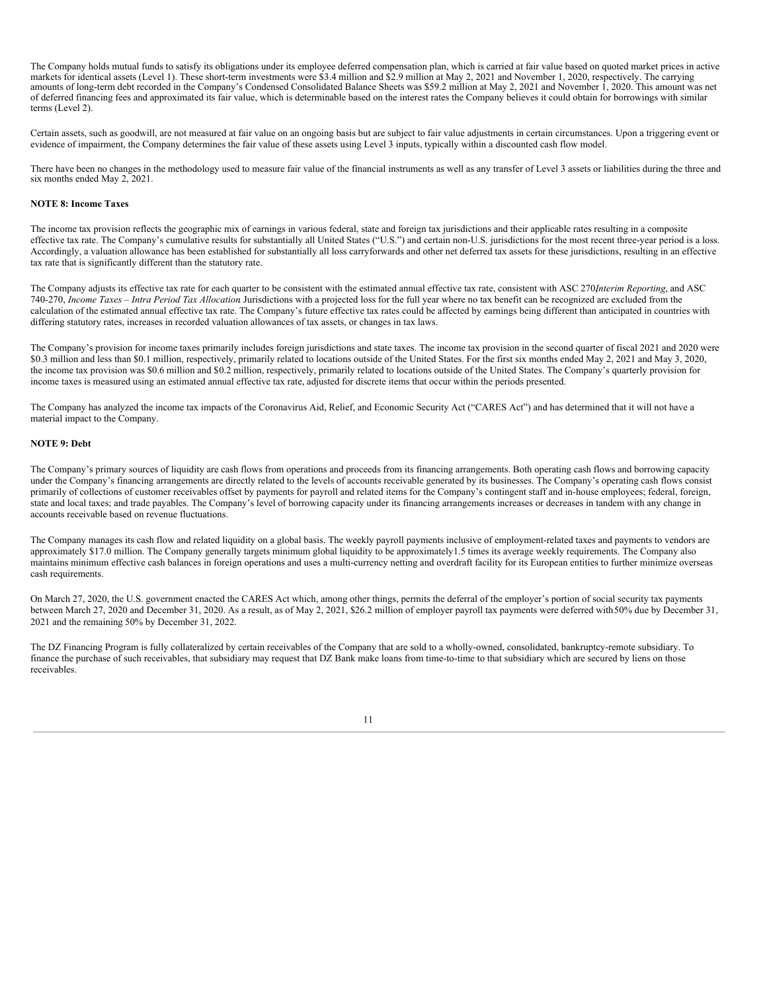The Company holds mutual funds to satisfy its obligations under its employee deferred compensation plan, which is carried at fair value based on quoted market prices in active markets for identical assets (Level 1). These short-term investments were \$3.4 million and \$2.9 million at May 2, 2021 and November 1, 2020, respectively. The carrying amounts of long-term debt recorded in the Company's Condensed Consolidated Balance Sheets was \$59.2 million at May 2, 2021 and November 1, 2020. This amount was net of deferred financing fees and approximated its fair value, which is determinable based on the interest rates the Company believes it could obtain for borrowings with similar terms (Level 2).

Certain assets, such as goodwill, are not measured at fair value on an ongoing basis but are subject to fair value adjustments in certain circumstances. Upon a triggering event or evidence of impairment, the Company determines the fair value of these assets using Level 3 inputs, typically within a discounted cash flow model.

There have been no changes in the methodology used to measure fair value of the financial instruments as well as any transfer of Level 3 assets or liabilities during the three and six months ended May 2, 2021.

#### **NOTE 8: Income Taxes**

The income tax provision reflects the geographic mix of earnings in various federal, state and foreign tax jurisdictions and their applicable rates resulting in a composite effective tax rate. The Company's cumulative results for substantially all United States ("U.S.") and certain non-U.S. jurisdictions for the most recent three-year period is a loss. Accordingly, a valuation allowance has been established for substantially all loss carryforwards and other net deferred tax assets for these jurisdictions, resulting in an effective tax rate that is significantly different than the statutory rate.

The Company adjusts its effective tax rate for each quarter to be consistent with the estimated annual effective tax rate, consistent with ASC 270,*Interim Reporting*, and ASC 740-270, *Income Taxes – Intra Period Tax Allocation*. Jurisdictions with a projected loss for the full year where no tax benefit can be recognized are excluded from the calculation of the estimated annual effective tax rate. The Company's future effective tax rates could be affected by earnings being different than anticipated in countries with differing statutory rates, increases in recorded valuation allowances of tax assets, or changes in tax laws.

The Company's provision for income taxes primarily includes foreign jurisdictions and state taxes. The income tax provision in the second quarter of fiscal 2021 and 2020 were \$0.3 million and less than \$0.1 million, respectively, primarily related to locations outside of the United States. For the first six months ended May 2, 2021 and May 3, 2020, the income tax provision was \$0.6 million and \$0.2 million, respectively, primarily related to locations outside of the United States. The Company's quarterly provision for income taxes is measured using an estimated annual effective tax rate, adjusted for discrete items that occur within the periods presented.

The Company has analyzed the income tax impacts of the Coronavirus Aid, Relief, and Economic Security Act ("CARES Act") and has determined that it will not have a material impact to the Company.

#### **NOTE 9: Debt**

The Company's primary sources of liquidity are cash flows from operations and proceeds from its financing arrangements. Both operating cash flows and borrowing capacity under the Company's financing arrangements are directly related to the levels of accounts receivable generated by its businesses. The Company's operating cash flows consist primarily of collections of customer receivables offset by payments for payroll and related items for the Company's contingent staff and in-house employees; federal, foreign, state and local taxes; and trade payables. The Company's level of borrowing capacity under its financing arrangements increases or decreases in tandem with any change in accounts receivable based on revenue fluctuations.

The Company manages its cash flow and related liquidity on a global basis. The weekly payroll payments inclusive of employment-related taxes and payments to vendors are approximately \$17.0 million. The Company generally targets minimum global liquidity to be approximately1.5 times its average weekly requirements. The Company also maintains minimum effective cash balances in foreign operations and uses a multi-currency netting and overdraft facility for its European entities to further minimize overseas cash requirements.

On March 27, 2020, the U.S. government enacted the CARES Act which, among other things, permits the deferral of the employer's portion of social security tax payments between March 27, 2020 and December 31, 2020. As a result, as of May 2, 2021, \$26.2 million of employer payroll tax payments were deferred with50% due by December 31, 2021 and the remaining 50% by December 31, 2022.

The DZ Financing Program is fully collateralized by certain receivables of the Company that are sold to a wholly-owned, consolidated, bankruptcy-remote subsidiary. To finance the purchase of such receivables, that subsidiary may request that DZ Bank make loans from time-to-time to that subsidiary which are secured by liens on those receivables.

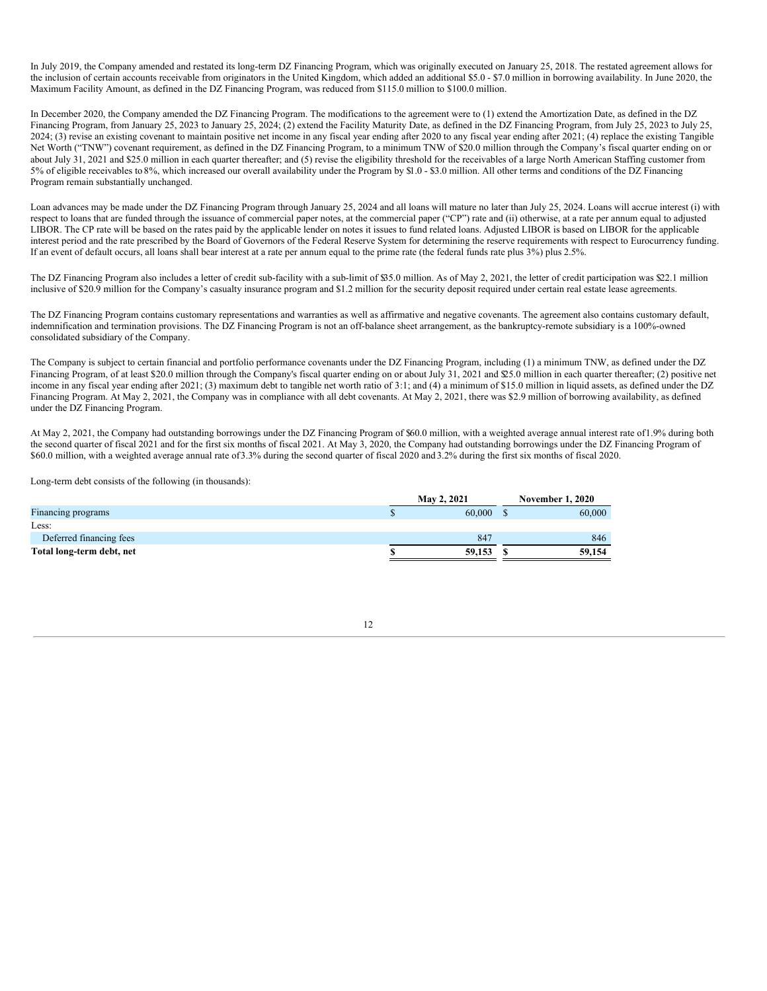In July 2019, the Company amended and restated its long-term DZ Financing Program, which was originally executed on January 25, 2018. The restated agreement allows for the inclusion of certain accounts receivable from originators in the United Kingdom, which added an additional \$5.0 - \$7.0 million in borrowing availability. In June 2020, the Maximum Facility Amount, as defined in the DZ Financing Program, was reduced from \$115.0 million to \$100.0 million.

In December 2020, the Company amended the DZ Financing Program. The modifications to the agreement were to (1) extend the Amortization Date, as defined in the DZ Financing Program, from January 25, 2023 to January 25, 2024; (2) extend the Facility Maturity Date, as defined in the DZ Financing Program, from July 25, 2023 to July 25, 2024; (3) revise an existing covenant to maintain positive net income in any fiscal year ending after 2020 to any fiscal year ending after 2021; (4) replace the existing Tangible Net Worth ("TNW") covenant requirement, as defined in the DZ Financing Program, to a minimum TNW of \$20.0 million through the Company's fiscal quarter ending on or about July 31, 2021 and \$25.0 million in each quarter thereafter; and (5) revise the eligibility threshold for the receivables of a large North American Staffing customer from 5% of eligible receivables to 8%, which increased our overall availability under the Program by \$1.0 - \$3.0 million. All other terms and conditions of the DZ Financing Program remain substantially unchanged.

Loan advances may be made under the DZ Financing Program through January 25, 2024 and all loans will mature no later than July 25, 2024. Loans will accrue interest (i) with respect to loans that are funded through the issuance of commercial paper notes, at the commercial paper ("CP") rate and (ii) otherwise, at a rate per annum equal to adjusted LIBOR. The CP rate will be based on the rates paid by the applicable lender on notes it issues to fund related loans. Adjusted LIBOR is based on LIBOR for the applicable interest period and the rate prescribed by the Board of Governors of the Federal Reserve System for determining the reserve requirements with respect to Eurocurrency funding. If an event of default occurs, all loans shall bear interest at a rate per annum equal to the prime rate (the federal funds rate plus 3%) plus 2.5%.

The DZ Financing Program also includes a letter of credit sub-facility with a sub-limit of \$35.0 million. As of May 2, 2021, the letter of credit participation was \$22.1 million inclusive of \$20.9 million for the Company's casualty insurance program and \$1.2 million for the security deposit required under certain real estate lease agreements.

The DZ Financing Program contains customary representations and warranties as well as affirmative and negative covenants. The agreement also contains customary default, indemnification and termination provisions. The DZ Financing Program is not an off-balance sheet arrangement, as the bankruptcy-remote subsidiary is a 100%-owned consolidated subsidiary of the Company.

The Company is subject to certain financial and portfolio performance covenants under the DZ Financing Program, including (1) a minimum TNW, as defined under the DZ Financing Program, of at least \$20.0 million through the Company's fiscal quarter ending on or about July 31, 2021 and \$25.0 million in each quarter thereafter; (2) positive net income in any fiscal year ending after 2021; (3) maximum debt to tangible net worth ratio of 3:1; and (4) a minimum of \$15.0 million in liquid assets, as defined under the DZ Financing Program. At May 2, 2021, the Company was in compliance with all debt covenants. At May 2, 2021, there was \$2.9 million of borrowing availability, as defined under the DZ Financing Program.

At May 2, 2021, the Company had outstanding borrowings under the DZ Financing Program of \$60.0 million, with a weighted average annual interest rate of1.9% during both the second quarter of fiscal 2021 and for the first six months of fiscal 2021. At May 3, 2020, the Company had outstanding borrowings under the DZ Financing Program of \$60.0 million, with a weighted average annual rate of3.3% during the second quarter of fiscal 2020 and 3.2% during the first six months of fiscal 2020.

Long-term debt consists of the following (in thousands):

|                           | <b>May 2, 2021</b> | <b>November 1, 2020</b> |        |  |
|---------------------------|--------------------|-------------------------|--------|--|
| Financing programs        |                    | 60,000                  | 60,000 |  |
| Less:                     |                    |                         |        |  |
| Deferred financing fees   |                    | 847                     | 846    |  |
| Total long-term debt, net |                    | 59,153                  | 59,154 |  |
|                           |                    |                         |        |  |

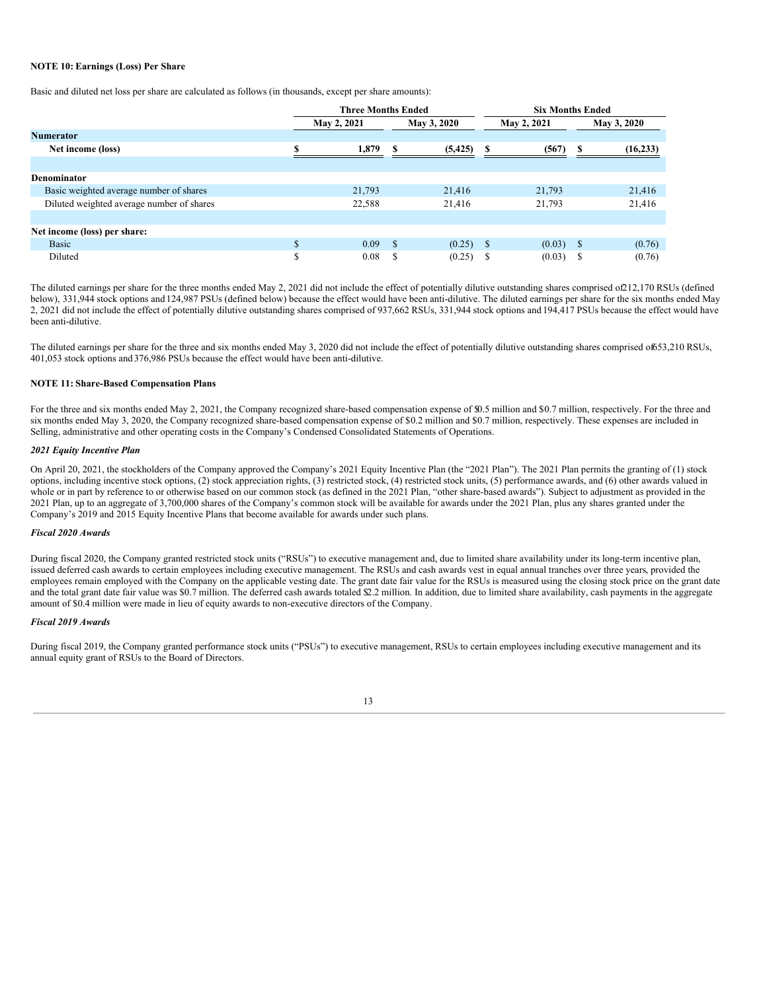#### **NOTE 10: Earnings (Loss) Per Share**

Basic and diluted net loss per share are calculated as follows (in thousands, except per share amounts):

|                                           |                            | <b>Three Months Ended</b> |      |             | <b>Six Months Ended</b> |             |             |           |  |
|-------------------------------------------|----------------------------|---------------------------|------|-------------|-------------------------|-------------|-------------|-----------|--|
|                                           | May 2, 2021<br>May 3, 2020 |                           |      |             | May 2, 2021             |             | May 3, 2020 |           |  |
| <b>Numerator</b>                          |                            |                           |      |             |                         |             |             |           |  |
| Net income (loss)                         |                            | 1.879                     | \$   | (5, 425)    | S                       | (567)       | S           | (16, 233) |  |
|                                           |                            |                           |      |             |                         |             |             |           |  |
| Denominator                               |                            |                           |      |             |                         |             |             |           |  |
| Basic weighted average number of shares   |                            | 21.793                    |      | 21.416      |                         | 21,793      |             | 21,416    |  |
| Diluted weighted average number of shares |                            | 22,588                    |      | 21,416      |                         | 21,793      |             | 21,416    |  |
|                                           |                            |                           |      |             |                         |             |             |           |  |
| Net income (loss) per share:              |                            |                           |      |             |                         |             |             |           |  |
| Basic                                     | \$                         | 0.09                      | - \$ | $(0.25)$ \$ |                         | $(0.03)$ \$ |             | (0.76)    |  |
| Diluted                                   | ¢<br>ъ                     | 0.08                      | S    | (0.25)      | - S                     | (0.03)      | - \$        | (0.76)    |  |

The diluted earnings per share for the three months ended May 2, 2021 did not include the effect of potentially dilutive outstanding shares comprised of 212,170 RSUs (defined below), 331,944 stock options and 124,987 PSUs (defined below) because the effect would have been anti-dilutive. The diluted earnings per share for the six months ended May 2, 2021 did not include the effect of potentially dilutive outstanding shares comprised of 937,662 RSUs, 331,944 stock options and 194,417 PSUs because the effect would have been anti-dilutive.

The diluted earnings per share for the three and six months ended May 3, 2020 did not include the effect of potentially dilutive outstanding shares comprised of653,210 RSUs, 401,053 stock options and 376,986 PSUs because the effect would have been anti-dilutive.

#### **NOTE 11: Share-Based Compensation Plans**

For the three and six months ended May 2, 2021, the Company recognized share-based compensation expense of \$0.5 million and \$0.7 million, respectively. For the three and six months ended May 3, 2020, the Company recognized share-based compensation expense of \$0.2 million and \$0.7 million, respectively. These expenses are included in Selling, administrative and other operating costs in the Company's Condensed Consolidated Statements of Operations.

#### *2021 Equity Incentive Plan*

On April 20, 2021, the stockholders of the Company approved the Company's 2021 Equity Incentive Plan (the "2021 Plan"). The 2021 Plan permits the granting of (1) stock options, including incentive stock options, (2) stock appreciation rights, (3) restricted stock, (4) restricted stock units, (5) performance awards, and (6) other awards valued in whole or in part by reference to or otherwise based on our common stock (as defined in the 2021 Plan, "other share-based awards"). Subject to adjustment as provided in the 2021 Plan, up to an aggregate of 3,700,000 shares of the Company's common stock will be available for awards under the 2021 Plan, plus any shares granted under the Company's 2019 and 2015 Equity Incentive Plans that become available for awards under such plans.

#### *Fiscal 2020 Awards*

During fiscal 2020, the Company granted restricted stock units ("RSUs") to executive management and, due to limited share availability under its long-term incentive plan, issued deferred cash awards to certain employees including executive management. The RSUs and cash awards vest in equal annual tranches over three years, provided the employees remain employed with the Company on the applicable vesting date. The grant date fair value for the RSUs is measured using the closing stock price on the grant date and the total grant date fair value was \$0.7 million. The deferred cash awards totaled \$2.2 million. In addition, due to limited share availability, cash payments in the aggregate amount of \$0.4 million were made in lieu of equity awards to non-executive directors of the Company.

#### *Fiscal 2019 Awards*

During fiscal 2019, the Company granted performance stock units ("PSUs") to executive management, RSUs to certain employees including executive management and its annual equity grant of RSUs to the Board of Directors.

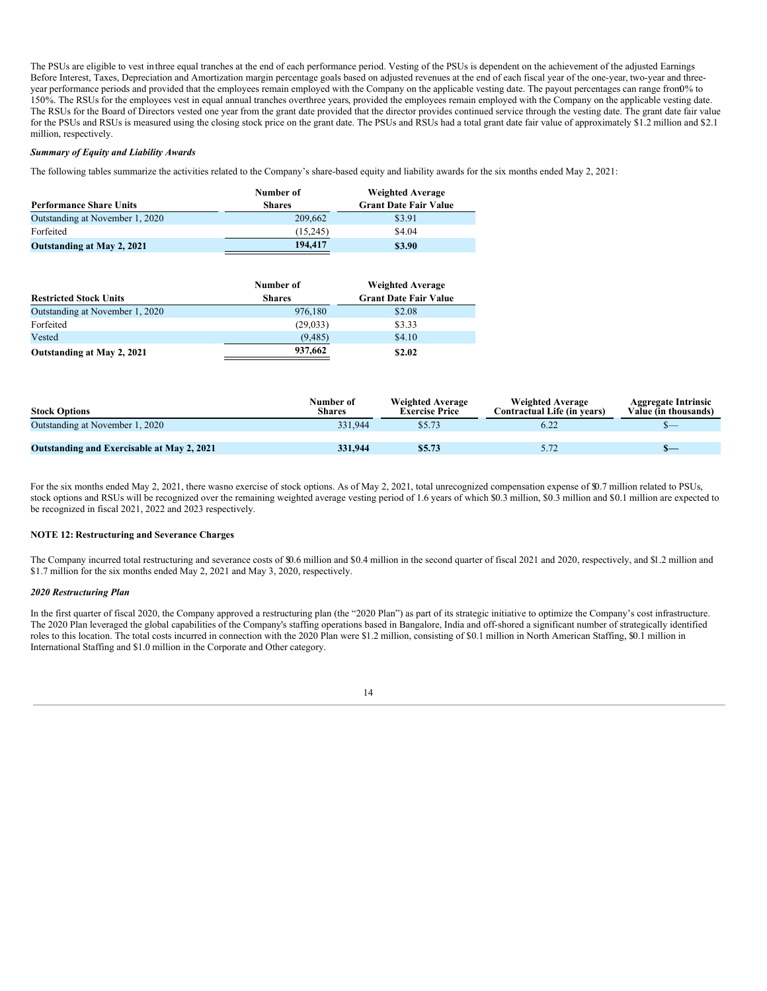The PSUs are eligible to vest inthree equal tranches at the end of each performance period. Vesting of the PSUs is dependent on the achievement of the adjusted Earnings Before Interest, Taxes, Depreciation and Amortization margin percentage goals based on adjusted revenues at the end of each fiscal year of the one-year, two-year and threeyear performance periods and provided that the employees remain employed with the Company on the applicable vesting date. The payout percentages can range from0% to 150%. The RSUs for the employees vest in equal annual tranches overthree years, provided the employees remain employed with the Company on the applicable vesting date. The RSUs for the Board of Directors vested one year from the grant date provided that the director provides continued service through the vesting date. The grant date fair value for the PSUs and RSUs is measured using the closing stock price on the grant date. The PSUs and RSUs had a total grant date fair value of approximately \$1.2 million and \$2.1 million, respectively.

#### *Summary of Equity and Liability Awards*

The following tables summarize the activities related to the Company's share-based equity and liability awards for the six months ended May 2, 2021:

|                                   | Number of     | <b>Weighted Average</b>      |
|-----------------------------------|---------------|------------------------------|
| <b>Performance Share Units</b>    | <b>Shares</b> | <b>Grant Date Fair Value</b> |
| Outstanding at November 1, 2020   | 209,662       | \$3.91                       |
| Forfeited                         | (15.245)      | \$4.04                       |
| <b>Outstanding at May 2, 2021</b> | 194,417       | \$3.90                       |

|                                 | Number of     | <b>Weighted Average</b>      |
|---------------------------------|---------------|------------------------------|
| <b>Restricted Stock Units</b>   | <b>Shares</b> | <b>Grant Date Fair Value</b> |
| Outstanding at November 1, 2020 | 976.180       | \$2.08                       |
| Forfeited                       | (29,033)      | \$3.33                       |
| Vested                          | (9.485)       | \$4.10                       |
| Outstanding at May 2, 2021      | 937,662       | \$2.02                       |

| <b>Stock Options</b>                              | Number of<br>Shares | <b>Weighted Average</b><br><b>Exercise Price</b> | <b>Weighted Average</b><br>Contractual Life (in years) | <b>Aggregate Intrinsic</b><br>Value (in thousands) |
|---------------------------------------------------|---------------------|--------------------------------------------------|--------------------------------------------------------|----------------------------------------------------|
| Outstanding at November 1, 2020                   | 331.944             | \$5.73                                           | 6.22                                                   | <u>\_</u>                                          |
|                                                   |                     |                                                  |                                                        |                                                    |
| <b>Outstanding and Exercisable at May 2, 2021</b> | 331.944             | \$5.73                                           | 5.72                                                   | $\sim$                                             |

For the six months ended May 2, 2021, there wasno exercise of stock options. As of May 2, 2021, total unrecognized compensation expense of \$0.7 million related to PSUs, stock options and RSUs will be recognized over the remaining weighted average vesting period of 1.6 years of which \$0.3 million, \$0.3 million and \$0.1 million are expected to be recognized in fiscal 2021, 2022 and 2023 respectively.

#### **NOTE 12: Restructuring and Severance Charges**

The Company incurred total restructuring and severance costs of \$0.6 million and \$0.4 million in the second quarter of fiscal 2021 and 2020, respectively, and \$1.2 million and \$1.7 million for the six months ended May 2, 2021 and May 3, 2020, respectively.

#### *2020 Restructuring Plan*

In the first quarter of fiscal 2020, the Company approved a restructuring plan (the "2020 Plan") as part of its strategic initiative to optimize the Company's cost infrastructure. The 2020 Plan leveraged the global capabilities of the Company's staffing operations based in Bangalore, India and off-shored a significant number of strategically identified roles to this location. The total costs incurred in connection with the 2020 Plan were \$1.2 million, consisting of \$0.1 million in North American Staffing, \$0.1 million in International Staffing and \$1.0 million in the Corporate and Other category.

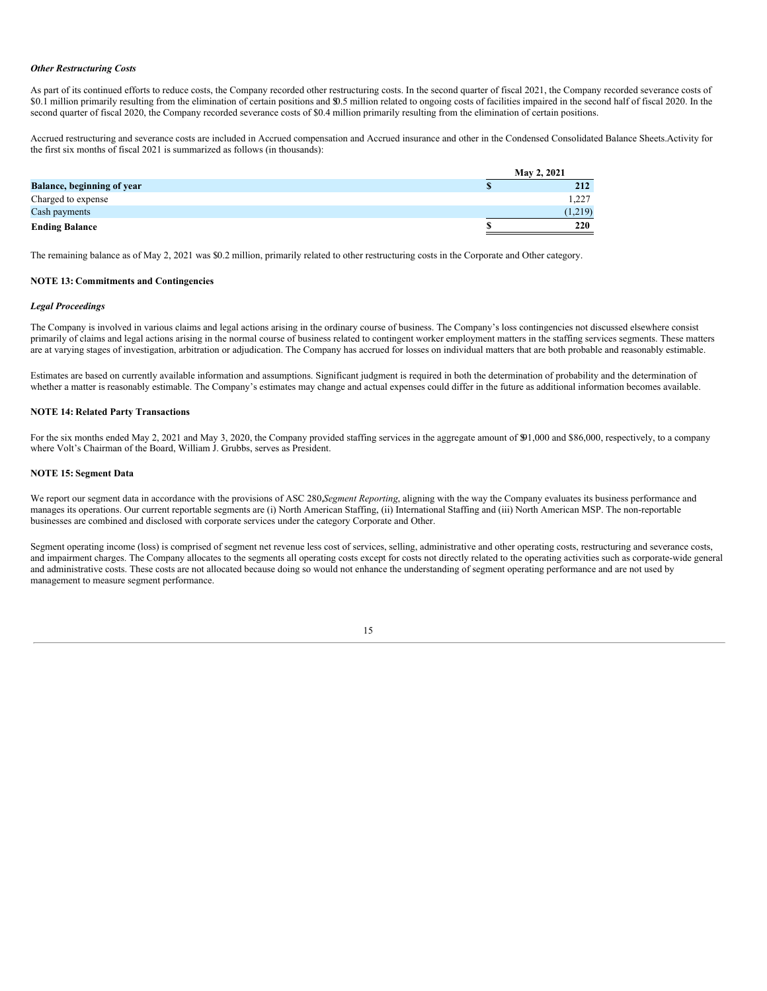#### *Other Restructuring Costs*

As part of its continued efforts to reduce costs, the Company recorded other restructuring costs. In the second quarter of fiscal 2021, the Company recorded severance costs of \$0.1 million primarily resulting from the elimination of certain positions and \$0.5 million related to ongoing costs of facilities impaired in the second half of fiscal 2020. In the second quarter of fiscal 2020, the Company recorded severance costs of \$0.4 million primarily resulting from the elimination of certain positions.

Accrued restructuring and severance costs are included in Accrued compensation and Accrued insurance and other in the Condensed Consolidated Balance Sheets.Activity for the first six months of fiscal 2021 is summarized as follows (in thousands):

|                                   | May 2, 2021 |         |  |  |  |  |
|-----------------------------------|-------------|---------|--|--|--|--|
| <b>Balance, beginning of year</b> |             | 212     |  |  |  |  |
| Charged to expense                |             | 1,227   |  |  |  |  |
| Cash payments                     |             | (1,219) |  |  |  |  |
| <b>Ending Balance</b>             |             | 220     |  |  |  |  |

The remaining balance as of May 2, 2021 was \$0.2 million, primarily related to other restructuring costs in the Corporate and Other category.

#### **NOTE 13: Commitments and Contingencies**

#### *Legal Proceedings*

The Company is involved in various claims and legal actions arising in the ordinary course of business. The Company's loss contingencies not discussed elsewhere consist primarily of claims and legal actions arising in the normal course of business related to contingent worker employment matters in the staffing services segments. These matters are at varying stages of investigation, arbitration or adjudication. The Company has accrued for losses on individual matters that are both probable and reasonably estimable.

Estimates are based on currently available information and assumptions. Significant judgment is required in both the determination of probability and the determination of whether a matter is reasonably estimable. The Company's estimates may change and actual expenses could differ in the future as additional information becomes available.

#### **NOTE 14: Related Party Transactions**

For the six months ended May 2, 2021 and May 3, 2020, the Company provided staffing services in the aggregate amount of \$91,000 and \$86,000, respectively, to a company where Volt's Chairman of the Board, William J. Grubbs, serves as President.

#### **NOTE 15: Segment Data**

We report our segment data in accordance with the provisions of ASC 280,*Segment Reporting*, aligning with the way the Company evaluates its business performance and manages its operations. Our current reportable segments are (i) North American Staffing, (ii) International Staffing and (iii) North American MSP. The non-reportable businesses are combined and disclosed with corporate services under the category Corporate and Other.

Segment operating income (loss) is comprised of segment net revenue less cost of services, selling, administrative and other operating costs, restructuring and severance costs, and impairment charges. The Company allocates to the segments all operating costs except for costs not directly related to the operating activities such as corporate-wide general and administrative costs. These costs are not allocated because doing so would not enhance the understanding of segment operating performance and are not used by management to measure segment performance.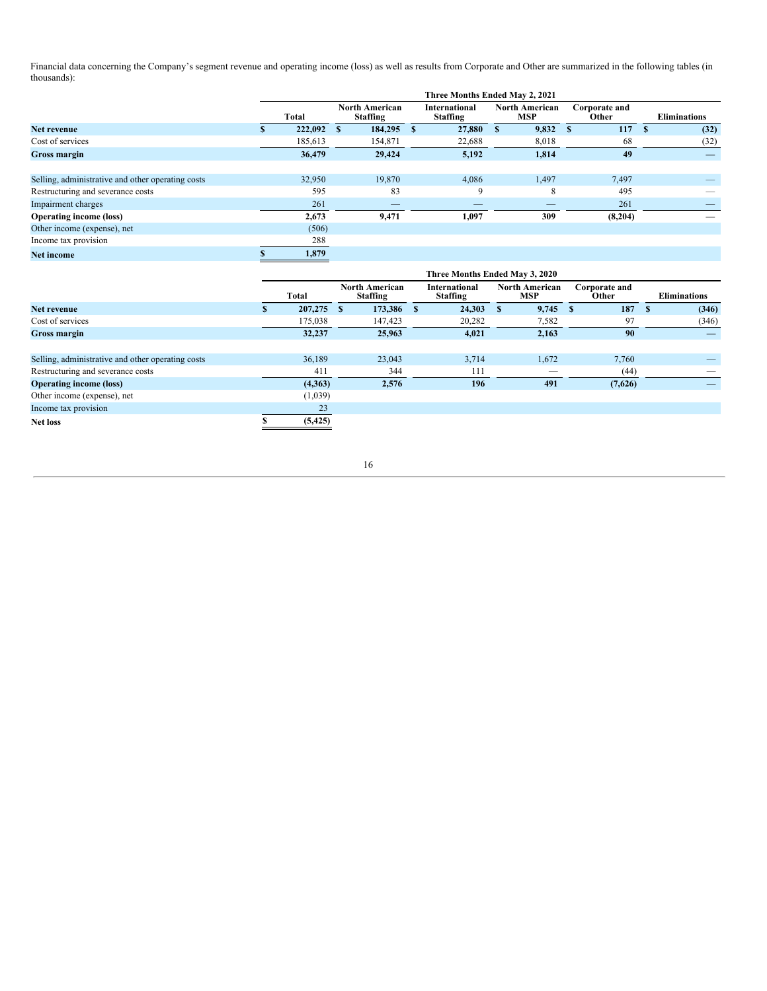Financial data concerning the Company's segment revenue and operating income (loss) as well as results from Corporate and Other are summarized in the following tables (in thousands):

|                                                   | Three Months Ended May 2, 2021 |         |   |                                          |   |                                  |   |                                     |  |                        |     |                          |
|---------------------------------------------------|--------------------------------|---------|---|------------------------------------------|---|----------------------------------|---|-------------------------------------|--|------------------------|-----|--------------------------|
|                                                   |                                | Total   |   | <b>North American</b><br><b>Staffing</b> |   | <b>International</b><br>Staffing |   | <b>North American</b><br><b>MSP</b> |  | Corporate and<br>Other |     | <b>Eliminations</b>      |
| Net revenue                                       |                                | 222,092 | S | 184,295                                  | S | 27,880                           | S | 9,832                               |  | 117                    | - 8 | (32)                     |
| Cost of services                                  |                                | 185,613 |   | 154,871                                  |   | 22,688                           |   | 8,018                               |  | 68                     |     | (32)                     |
| Gross margin                                      |                                | 36,479  |   | 29,424                                   |   | 5,192                            |   | 1,814                               |  | 49                     |     | $\overline{\phantom{a}}$ |
|                                                   |                                |         |   |                                          |   |                                  |   |                                     |  |                        |     |                          |
| Selling, administrative and other operating costs |                                | 32,950  |   | 19,870                                   |   | 4,086                            |   | 1,497                               |  | 7,497                  |     |                          |
| Restructuring and severance costs                 |                                | 595     |   | 83                                       |   | 9                                |   | 8                                   |  | 495                    |     |                          |
| Impairment charges                                |                                | 261     |   |                                          |   |                                  |   |                                     |  | 261                    |     |                          |
| <b>Operating income (loss)</b>                    |                                | 2,673   |   | 9,471                                    |   | 1,097                            |   | 309                                 |  | (8,204)                |     |                          |
| Other income (expense), net                       |                                | (506)   |   |                                          |   |                                  |   |                                     |  |                        |     |                          |
| Income tax provision                              |                                | 288     |   |                                          |   |                                  |   |                                     |  |                        |     |                          |
| <b>Net income</b>                                 |                                | 1,879   |   |                                          |   |                                  |   |                                     |  |                        |     |                          |

|                                                   | Three Months Ended May 3, 2020 |          |      |                                   |  |                                  |                 |                                     |          |                        |  |                          |
|---------------------------------------------------|--------------------------------|----------|------|-----------------------------------|--|----------------------------------|-----------------|-------------------------------------|----------|------------------------|--|--------------------------|
|                                                   |                                | Total    |      | <b>North American</b><br>Staffing |  | <b>International</b><br>Staffing |                 | <b>North American</b><br><b>MSP</b> |          | Corporate and<br>Other |  | <b>Eliminations</b>      |
| Net revenue                                       |                                | 207,275  | - \$ | 173,386 \$                        |  | 24,303                           | $\sim$ S $\sim$ | 9,745                               | <b>S</b> | 187                    |  | (346)                    |
| Cost of services                                  |                                | 175,038  |      | 147,423                           |  | 20,282                           |                 | 7,582                               |          | 97                     |  | (346)                    |
| <b>Gross margin</b>                               |                                | 32,237   |      | 25,963                            |  | 4,021                            |                 | 2,163                               |          | 90                     |  | $\overline{\phantom{m}}$ |
|                                                   |                                |          |      |                                   |  |                                  |                 |                                     |          |                        |  |                          |
| Selling, administrative and other operating costs |                                | 36,189   |      | 23,043                            |  | 3,714                            |                 | 1,672                               |          | 7,760                  |  |                          |
| Restructuring and severance costs                 |                                | 411      |      | 344                               |  | 111                              |                 | $-$                                 |          | (44)                   |  | $\overline{\phantom{a}}$ |
| <b>Operating income (loss)</b>                    |                                | (4,363)  |      | 2,576                             |  | 196                              |                 | 491                                 |          | (7,626)                |  |                          |
| Other income (expense), net                       |                                | (1,039)  |      |                                   |  |                                  |                 |                                     |          |                        |  |                          |
| Income tax provision                              |                                | 23       |      |                                   |  |                                  |                 |                                     |          |                        |  |                          |
| <b>Net loss</b>                                   |                                | (5, 425) |      |                                   |  |                                  |                 |                                     |          |                        |  |                          |

16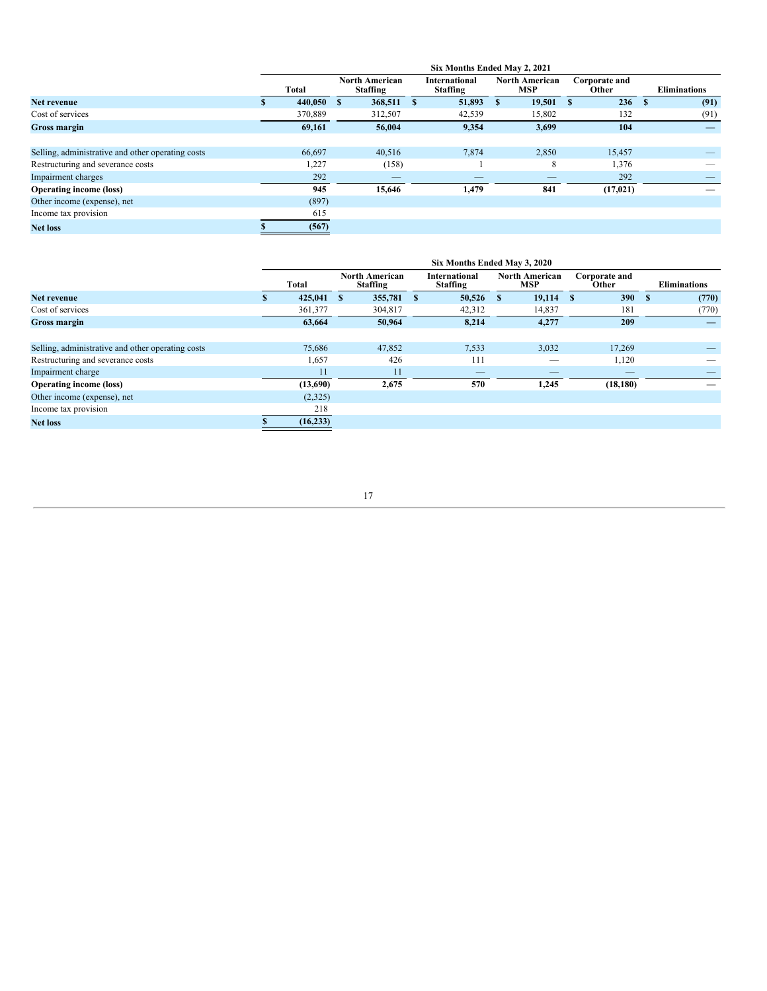|                                                   | Six Months Ended May 2, 2021 |         |               |                                   |      |                                  |      |                              |    |                        |      |                     |
|---------------------------------------------------|------------------------------|---------|---------------|-----------------------------------|------|----------------------------------|------|------------------------------|----|------------------------|------|---------------------|
|                                                   |                              | Total   |               | <b>North American</b><br>Staffing |      | <b>International</b><br>Staffing |      | North American<br><b>MSP</b> |    | Corporate and<br>Other |      | <b>Eliminations</b> |
| Net revenue                                       |                              | 440.050 | <sup>\$</sup> | 368,511                           | - \$ | 51,893                           | - \$ | 19,501                       | -S | 236                    | - \$ | (91)                |
| Cost of services                                  |                              | 370,889 |               | 312,507                           |      | 42,539                           |      | 15,802                       |    | 132                    |      | (91)                |
| <b>Gross margin</b>                               |                              | 69,161  |               | 56,004                            |      | 9,354                            |      | 3,699                        |    | 104                    |      |                     |
|                                                   |                              |         |               |                                   |      |                                  |      |                              |    |                        |      |                     |
| Selling, administrative and other operating costs |                              | 66,697  |               | 40,516                            |      | 7,874                            |      | 2,850                        |    | 15,457                 |      |                     |
| Restructuring and severance costs                 |                              | 1,227   |               | (158)                             |      |                                  |      | 8                            |    | 1,376                  |      |                     |
| Impairment charges                                |                              | 292     |               |                                   |      | $\overline{\phantom{a}}$         |      | --                           |    | 292                    |      |                     |
| <b>Operating income (loss)</b>                    |                              | 945     |               | 15,646                            |      | 1,479                            |      | 841                          |    | (17, 021)              |      |                     |
| Other income (expense), net                       |                              | (897)   |               |                                   |      |                                  |      |                              |    |                        |      |                     |
| Income tax provision                              |                              | 615     |               |                                   |      |                                  |      |                              |    |                        |      |                     |
| <b>Net loss</b>                                   |                              | (567)   |               |                                   |      |                                  |      |                              |    |                        |      |                     |

|                                                   | Six Months Ended May 3, 2020 |           |              |                                          |      |                                         |    |                                     |  |                        |  |                     |
|---------------------------------------------------|------------------------------|-----------|--------------|------------------------------------------|------|-----------------------------------------|----|-------------------------------------|--|------------------------|--|---------------------|
|                                                   |                              | Total     |              | <b>North American</b><br><b>Staffing</b> |      | <b>International</b><br><b>Staffing</b> |    | <b>North American</b><br><b>MSP</b> |  | Corporate and<br>Other |  | <b>Eliminations</b> |
| Net revenue                                       |                              | 425,041   | $\mathbf{s}$ | 355,781                                  | - \$ | 50,526                                  | -S | $19,114$ \$                         |  | 390                    |  | (770)               |
| Cost of services                                  |                              | 361,377   |              | 304,817                                  |      | 42,312                                  |    | 14,837                              |  | 181                    |  | (770)               |
| <b>Gross margin</b>                               |                              | 63,664    |              | 50,964                                   |      | 8,214                                   |    | 4,277                               |  | 209                    |  |                     |
|                                                   |                              |           |              |                                          |      |                                         |    |                                     |  |                        |  |                     |
| Selling, administrative and other operating costs |                              | 75,686    |              | 47,852                                   |      | 7,533                                   |    | 3,032                               |  | 17,269                 |  |                     |
| Restructuring and severance costs                 |                              | 1,657     |              | 426                                      |      | 111                                     |    |                                     |  | 1,120                  |  |                     |
| Impairment charge                                 |                              | 11        |              | 11                                       |      |                                         |    |                                     |  |                        |  |                     |
| <b>Operating income (loss)</b>                    |                              | (13,690)  |              | 2,675                                    |      | 570                                     |    | 1,245                               |  | (18, 180)              |  |                     |
| Other income (expense), net                       |                              | (2,325)   |              |                                          |      |                                         |    |                                     |  |                        |  |                     |
| Income tax provision                              |                              | 218       |              |                                          |      |                                         |    |                                     |  |                        |  |                     |
| <b>Net loss</b>                                   |                              | (16, 233) |              |                                          |      |                                         |    |                                     |  |                        |  |                     |

17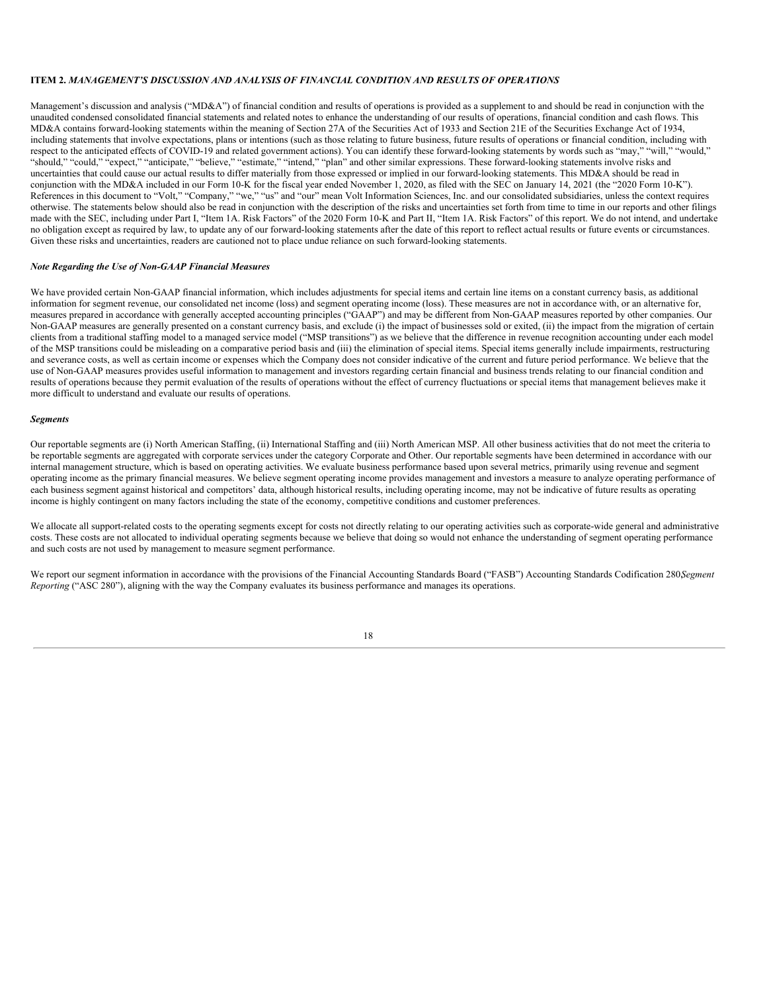#### **ITEM 2.** *MANAGEMENT'S DISCUSSION AND ANALYSIS OF FINANCIAL CONDITION AND RESULTS OF OPERATIONS*

Management's discussion and analysis ("MD&A") of financial condition and results of operations is provided as a supplement to and should be read in conjunction with the unaudited condensed consolidated financial statements and related notes to enhance the understanding of our results of operations, financial condition and cash flows. This MD&A contains forward-looking statements within the meaning of Section 27A of the Securities Act of 1933 and Section 21E of the Securities Exchange Act of 1934, including statements that involve expectations, plans or intentions (such as those relating to future business, future results of operations or financial condition, including with respect to the anticipated effects of COVID-19 and related government actions). You can identify these forward-looking statements by words such as "may," "will," "would," "should," "could," "expect," "anticipate," "believe," "estimate," "intend," "plan" and other similar expressions. These forward-looking statements involve risks and uncertainties that could cause our actual results to differ materially from those expressed or implied in our forward-looking statements. This MD&A should be read in conjunction with the MD&A included in our Form 10-K for the fiscal year ended November 1, 2020, as filed with the SEC on January 14, 2021 (the "2020 Form 10-K"). References in this document to "Volt," "Company," "we," "us" and "our" mean Volt Information Sciences, Inc. and our consolidated subsidiaries, unless the context requires otherwise. The statements below should also be read in conjunction with the description of the risks and uncertainties set forth from time to time in our reports and other filings made with the SEC, including under Part I, "Item 1A. Risk Factors" of the 2020 Form 10-K and Part II, "Item 1A. Risk Factors" of this report. We do not intend, and undertake no obligation except as required by law, to update any of our forward-looking statements after the date of this report to reflect actual results or future events or circumstances. Given these risks and uncertainties, readers are cautioned not to place undue reliance on such forward-looking statements.

#### *Note Regarding the Use of Non-GAAP Financial Measures*

We have provided certain Non-GAAP financial information, which includes adjustments for special items and certain line items on a constant currency basis, as additional information for segment revenue, our consolidated net income (loss) and segment operating income (loss). These measures are not in accordance with, or an alternative for, measures prepared in accordance with generally accepted accounting principles ("GAAP") and may be different from Non-GAAP measures reported by other companies. Our Non-GAAP measures are generally presented on a constant currency basis, and exclude (i) the impact of businesses sold or exited, (ii) the impact from the migration of certain clients from a traditional staffing model to a managed service model ("MSP transitions") as we believe that the difference in revenue recognition accounting under each model of the MSP transitions could be misleading on a comparative period basis and (iii) the elimination of special items. Special items generally include impairments, restructuring and severance costs, as well as certain income or expenses which the Company does not consider indicative of the current and future period performance. We believe that the use of Non-GAAP measures provides useful information to management and investors regarding certain financial and business trends relating to our financial condition and results of operations because they permit evaluation of the results of operations without the effect of currency fluctuations or special items that management believes make it more difficult to understand and evaluate our results of operations.

#### *Segments*

Our reportable segments are (i) North American Staffing, (ii) International Staffing and (iii) North American MSP. All other business activities that do not meet the criteria to be reportable segments are aggregated with corporate services under the category Corporate and Other. Our reportable segments have been determined in accordance with our internal management structure, which is based on operating activities. We evaluate business performance based upon several metrics, primarily using revenue and segment operating income as the primary financial measures. We believe segment operating income provides management and investors a measure to analyze operating performance of each business segment against historical and competitors' data, although historical results, including operating income, may not be indicative of future results as operating income is highly contingent on many factors including the state of the economy, competitive conditions and customer preferences.

We allocate all support-related costs to the operating segments except for costs not directly relating to our operating activities such as corporate-wide general and administrative costs. These costs are not allocated to individual operating segments because we believe that doing so would not enhance the understanding of segment operating performance and such costs are not used by management to measure segment performance.

We report our segment information in accordance with the provisions of the Financial Accounting Standards Board ("FASB") Accounting Standards Codification 280, Segment *Reporting* ("ASC 280"), aligning with the way the Company evaluates its business performance and manages its operations.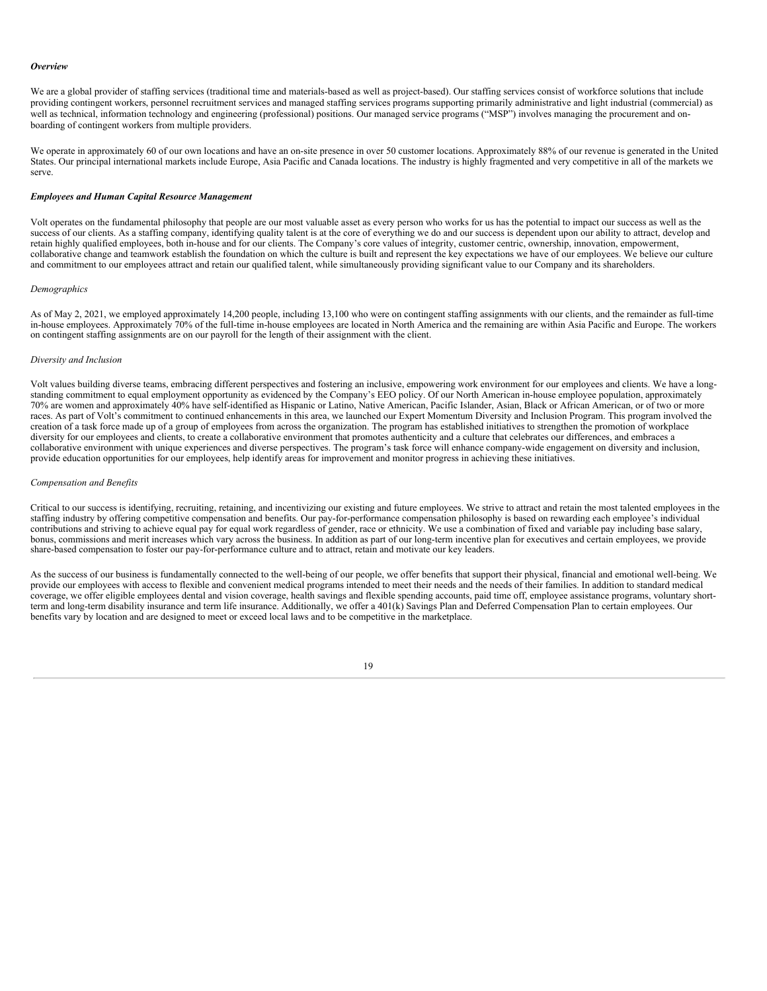#### *Overview*

We are a global provider of staffing services (traditional time and materials-based as well as project-based). Our staffing services consist of workforce solutions that include providing contingent workers, personnel recruitment services and managed staffing services programs supporting primarily administrative and light industrial (commercial) as well as technical, information technology and engineering (professional) positions. Our managed service programs ("MSP") involves managing the procurement and onboarding of contingent workers from multiple providers.

We operate in approximately 60 of our own locations and have an on-site presence in over 50 customer locations. Approximately 88% of our revenue is generated in the United States. Our principal international markets include Europe, Asia Pacific and Canada locations. The industry is highly fragmented and very competitive in all of the markets we serve.

#### *Employees and Human Capital Resource Management*

Volt operates on the fundamental philosophy that people are our most valuable asset as every person who works for us has the potential to impact our success as well as the success of our clients. As a staffing company, identifying quality talent is at the core of everything we do and our success is dependent upon our ability to attract, develop and retain highly qualified employees, both in-house and for our clients. The Company's core values of integrity, customer centric, ownership, innovation, empowerment, collaborative change and teamwork establish the foundation on which the culture is built and represent the key expectations we have of our employees. We believe our culture and commitment to our employees attract and retain our qualified talent, while simultaneously providing significant value to our Company and its shareholders.

#### *Demographics*

As of May 2, 2021, we employed approximately 14,200 people, including 13,100 who were on contingent staffing assignments with our clients, and the remainder as full-time in-house employees. Approximately 70% of the full-time in-house employees are located in North America and the remaining are within Asia Pacific and Europe. The workers on contingent staffing assignments are on our payroll for the length of their assignment with the client.

#### *Diversity and Inclusion*

Volt values building diverse teams, embracing different perspectives and fostering an inclusive, empowering work environment for our employees and clients. We have a longstanding commitment to equal employment opportunity as evidenced by the Company's EEO policy. Of our North American in-house employee population, approximately 70% are women and approximately 40% have self-identified as Hispanic or Latino, Native American, Pacific Islander, Asian, Black or African American, or of two or more races. As part of Volt's commitment to continued enhancements in this area, we launched our Expert Momentum Diversity and Inclusion Program. This program involved the creation of a task force made up of a group of employees from across the organization. The program has established initiatives to strengthen the promotion of workplace diversity for our employees and clients, to create a collaborative environment that promotes authenticity and a culture that celebrates our differences, and embraces a collaborative environment with unique experiences and diverse perspectives. The program's task force will enhance company-wide engagement on diversity and inclusion, provide education opportunities for our employees, help identify areas for improvement and monitor progress in achieving these initiatives.

#### *Compensation and Benefits*

Critical to our success is identifying, recruiting, retaining, and incentivizing our existing and future employees. We strive to attract and retain the most talented employees in the staffing industry by offering competitive compensation and benefits. Our pay-for-performance compensation philosophy is based on rewarding each employee's individual contributions and striving to achieve equal pay for equal work regardless of gender, race or ethnicity. We use a combination of fixed and variable pay including base salary, bonus, commissions and merit increases which vary across the business. In addition as part of our long-term incentive plan for executives and certain employees, we provide share-based compensation to foster our pay-for-performance culture and to attract, retain and motivate our key leaders.

As the success of our business is fundamentally connected to the well-being of our people, we offer benefits that support their physical, financial and emotional well-being. We provide our employees with access to flexible and convenient medical programs intended to meet their needs and the needs of their families. In addition to standard medical coverage, we offer eligible employees dental and vision coverage, health savings and flexible spending accounts, paid time off, employee assistance programs, voluntary shortterm and long-term disability insurance and term life insurance. Additionally, we offer a 401(k) Savings Plan and Deferred Compensation Plan to certain employees. Our benefits vary by location and are designed to meet or exceed local laws and to be competitive in the marketplace.

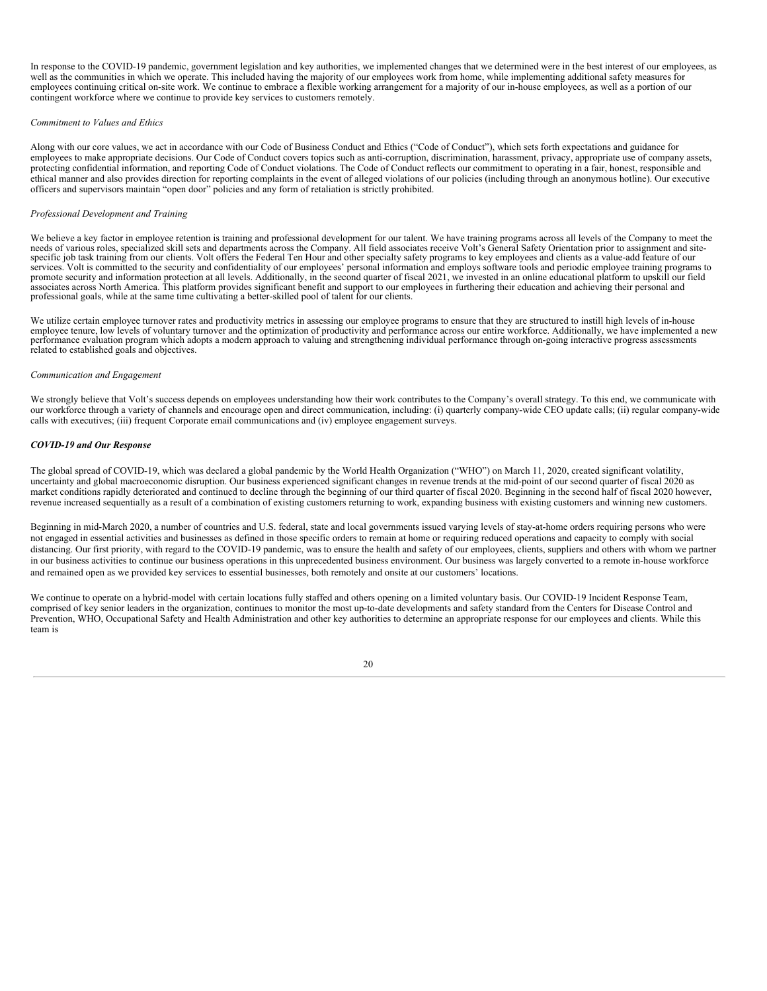In response to the COVID-19 pandemic, government legislation and key authorities, we implemented changes that we determined were in the best interest of our employees, as well as the communities in which we operate. This included having the majority of our employees work from home, while implementing additional safety measures for employees continuing critical on-site work. We continue to embrace a flexible working arrangement for a majority of our in-house employees, as well as a portion of our contingent workforce where we continue to provide key services to customers remotely.

#### *Commitment to Values and Ethics*

Along with our core values, we act in accordance with our Code of Business Conduct and Ethics ("Code of Conduct"), which sets forth expectations and guidance for employees to make appropriate decisions. Our Code of Conduct covers topics such as anti-corruption, discrimination, harassment, privacy, appropriate use of company assets, protecting confidential information, and reporting Code of Conduct violations. The Code of Conduct reflects our commitment to operating in a fair, honest, responsible and ethical manner and also provides direction for reporting complaints in the event of alleged violations of our policies (including through an anonymous hotline). Our executive officers and supervisors maintain "open door" policies and any form of retaliation is strictly prohibited.

#### *Professional Development and Training*

We believe a key factor in employee retention is training and professional development for our talent. We have training programs across all levels of the Company to meet the needs of various roles, specialized skill sets and departments across the Company. All field associates receive Volt's General Safety Orientation prior to assignment and site-<br>specific job task training from our clients. V services. Volt is committed to the security and confidentiality of our employees' personal information and employs software tools and periodic employee training programs to promote security and information protection at all levels. Additionally, in the second quarter of fiscal 2021, we invested in an online educational platform to upskill our field associates across North America. This platform provides significant benefit and support to our employees in furthering their education and achieving their personal and professional goals, while at the same time cultivating a better-skilled pool of talent for our clients.

We utilize certain employee turnover rates and productivity metrics in assessing our employee programs to ensure that they are structured to instill high levels of in-house employee tenure, low levels of voluntary turnover and the optimization of productivity and performance across our entire workforce. Additionally, we have implemented a new performance evaluation program which adopts a modern approach to valuing and strengthening individual performance through on-going interactive progress assessments related to established goals and objectives.

#### *Communication and Engagement*

We strongly believe that Volt's success depends on employees understanding how their work contributes to the Company's overall strategy. To this end, we communicate with our workforce through a variety of channels and encourage open and direct communication, including: (i) quarterly company-wide CEO update calls; (ii) regular company-wide calls with executives; (iii) frequent Corporate email communications and (iv) employee engagement surveys.

#### *COVID-19 and Our Response*

The global spread of COVID-19, which was declared a global pandemic by the World Health Organization ("WHO") on March 11, 2020, created significant volatility, uncertainty and global macroeconomic disruption. Our business experienced significant changes in revenue trends at the mid-point of our second quarter of fiscal 2020 as market conditions rapidly deteriorated and continued to decline through the beginning of our third quarter of fiscal 2020. Beginning in the second half of fiscal 2020 however, revenue increased sequentially as a result of a combination of existing customers returning to work, expanding business with existing customers and winning new customers.

Beginning in mid-March 2020, a number of countries and U.S. federal, state and local governments issued varying levels of stay-at-home orders requiring persons who were not engaged in essential activities and businesses as defined in those specific orders to remain at home or requiring reduced operations and capacity to comply with social distancing. Our first priority, with regard to the COVID-19 pandemic, was to ensure the health and safety of our employees, clients, suppliers and others with whom we partner in our business activities to continue our business operations in this unprecedented business environment. Our business was largely converted to a remote in-house workforce and remained open as we provided key services to essential businesses, both remotely and onsite at our customers' locations.

We continue to operate on a hybrid-model with certain locations fully staffed and others opening on a limited voluntary basis. Our COVID-19 Incident Response Team, comprised of key senior leaders in the organization, continues to monitor the most up-to-date developments and safety standard from the Centers for Disease Control and Prevention, WHO, Occupational Safety and Health Administration and other key authorities to determine an appropriate response for our employees and clients. While this team is

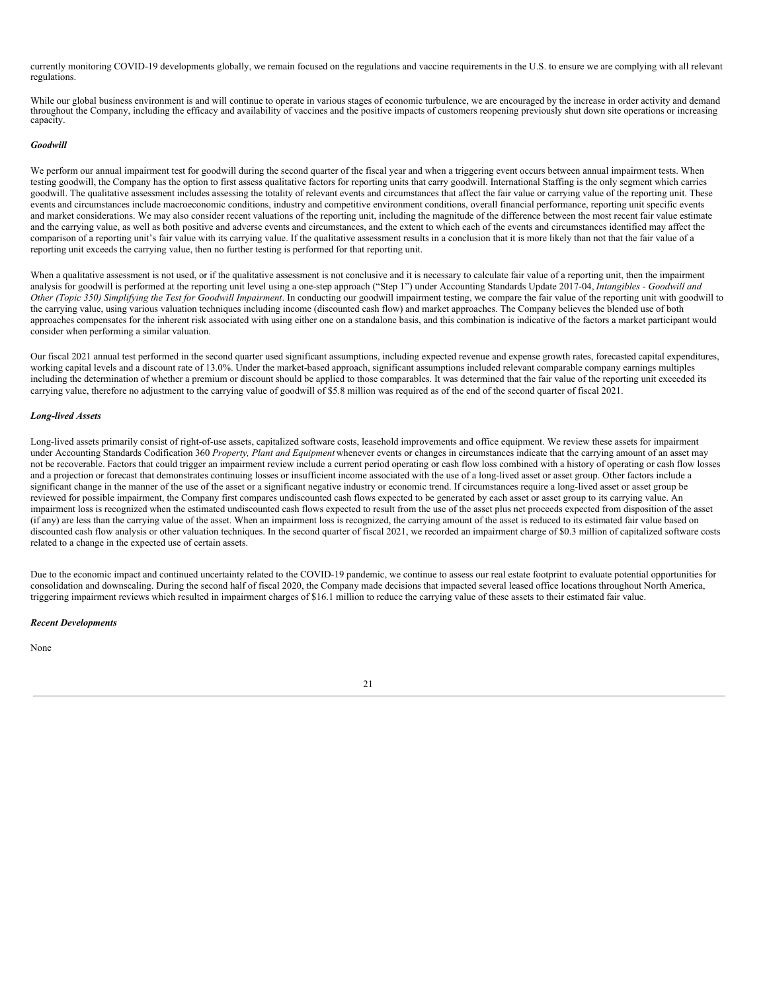currently monitoring COVID-19 developments globally, we remain focused on the regulations and vaccine requirements in the U.S. to ensure we are complying with all relevant regulations.

While our global business environment is and will continue to operate in various stages of economic turbulence, we are encouraged by the increase in order activity and demand throughout the Company, including the efficacy and availability of vaccines and the positive impacts of customers reopening previously shut down site operations or increasing capacity.

#### *Goodwill*

We perform our annual impairment test for goodwill during the second quarter of the fiscal year and when a triggering event occurs between annual impairment tests. When testing goodwill, the Company has the option to first assess qualitative factors for reporting units that carry goodwill. International Staffing is the only segment which carries goodwill. The qualitative assessment includes assessing the totality of relevant events and circumstances that affect the fair value or carrying value of the reporting unit. These events and circumstances include macroeconomic conditions, industry and competitive environment conditions, overall financial performance, reporting unit specific events and market considerations. We may also consider recent valuations of the reporting unit, including the magnitude of the difference between the most recent fair value estimate and the carrying value, as well as both positive and adverse events and circumstances, and the extent to which each of the events and circumstances identified may affect the comparison of a reporting unit's fair value with its carrying value. If the qualitative assessment results in a conclusion that it is more likely than not that the fair value of a reporting unit exceeds the carrying value, then no further testing is performed for that reporting unit.

When a qualitative assessment is not used, or if the qualitative assessment is not conclusive and it is necessary to calculate fair value of a reporting unit, then the impairment analysis for goodwill is performed at the reporting unit level using a one-step approach ("Step 1") under Accounting Standards Update 2017-04, *Intangibles - Goodwill and* Other (Topic 350) Simplifying the Test for Goodwill Impairment. In conducting our goodwill impairment testing, we compare the fair value of the reporting unit with goodwill to the carrying value, using various valuation techniques including income (discounted cash flow) and market approaches. The Company believes the blended use of both approaches compensates for the inherent risk associated with using either one on a standalone basis, and this combination is indicative of the factors a market participant would consider when performing a similar valuation.

Our fiscal 2021 annual test performed in the second quarter used significant assumptions, including expected revenue and expense growth rates, forecasted capital expenditures, working capital levels and a discount rate of 13.0%. Under the market-based approach, significant assumptions included relevant comparable company earnings multiples including the determination of whether a premium or discount should be applied to those comparables. It was determined that the fair value of the reporting unit exceeded its carrying value, therefore no adjustment to the carrying value of goodwill of \$5.8 million was required as of the end of the second quarter of fiscal 2021.

#### *Long-lived Assets*

Long-lived assets primarily consist of right-of-use assets, capitalized software costs, leasehold improvements and office equipment. We review these assets for impairment under Accounting Standards Codification 360 *Property, Plant and Equipment* whenever events or changes in circumstances indicate that the carrying amount of an asset may not be recoverable. Factors that could trigger an impairment review include a current period operating or cash flow loss combined with a history of operating or cash flow losses and a projection or forecast that demonstrates continuing losses or insufficient income associated with the use of a long-lived asset or asset group. Other factors include a significant change in the manner of the use of the asset or a significant negative industry or economic trend. If circumstances require a long-lived asset or asset group be reviewed for possible impairment, the Company first compares undiscounted cash flows expected to be generated by each asset or asset group to its carrying value. An impairment loss is recognized when the estimated undiscounted cash flows expected to result from the use of the asset plus net proceeds expected from disposition of the asset (if any) are less than the carrying value of the asset. When an impairment loss is recognized, the carrying amount of the asset is reduced to its estimated fair value based on discounted cash flow analysis or other valuation techniques. In the second quarter of fiscal 2021, we recorded an impairment charge of \$0.3 million of capitalized software costs related to a change in the expected use of certain assets.

Due to the economic impact and continued uncertainty related to the COVID-19 pandemic, we continue to assess our real estate footprint to evaluate potential opportunities for consolidation and downscaling. During the second half of fiscal 2020, the Company made decisions that impacted several leased office locations throughout North America, triggering impairment reviews which resulted in impairment charges of \$16.1 million to reduce the carrying value of these assets to their estimated fair value.

#### *Recent Developments*

None

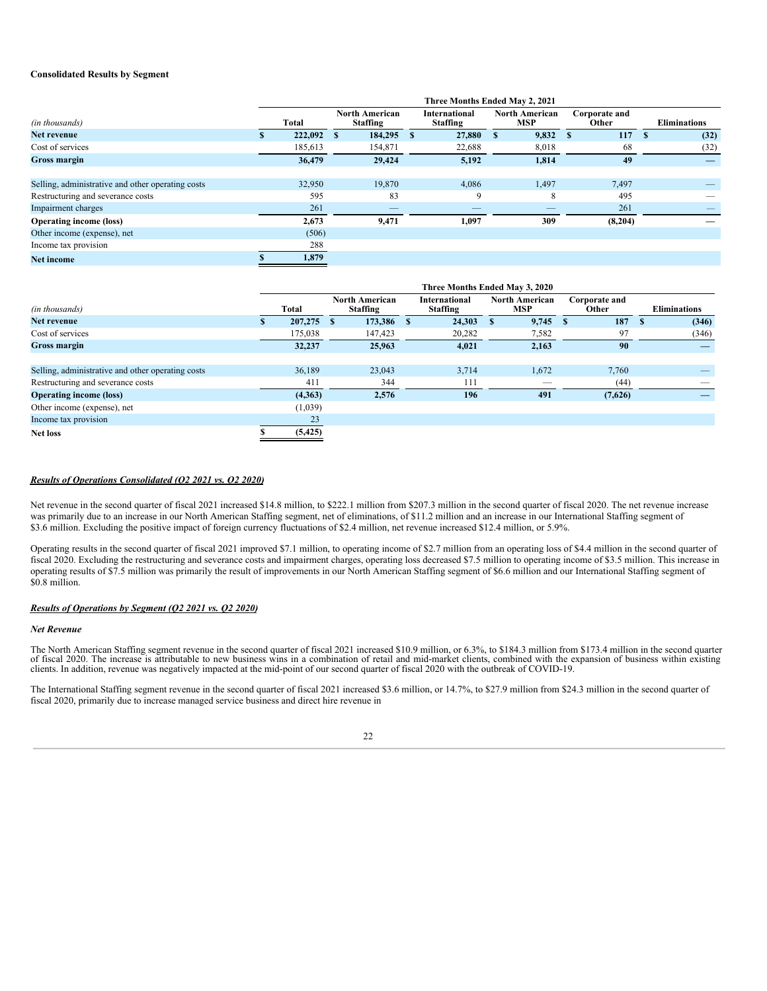#### **Consolidated Results by Segment**

|                                                   |         |   |                                          |   | Three Months Ended May 2, 2021          |                                     |                        |                          |
|---------------------------------------------------|---------|---|------------------------------------------|---|-----------------------------------------|-------------------------------------|------------------------|--------------------------|
| (in thousands)                                    | Total   |   | <b>North American</b><br><b>Staffing</b> |   | <b>International</b><br><b>Staffing</b> | <b>North American</b><br><b>MSP</b> | Corporate and<br>Other | <b>Eliminations</b>      |
| Net revenue                                       | 222,092 | S | 184,295                                  | S | 27,880                                  | 9,832                               | 117                    | (32)                     |
| Cost of services                                  | 185,613 |   | 154,871                                  |   | 22,688                                  | 8,018                               | 68                     | (32)                     |
| Gross margin                                      | 36,479  |   | 29,424                                   |   | 5,192                                   | 1,814                               | 49                     | $\overline{\phantom{a}}$ |
|                                                   |         |   |                                          |   |                                         |                                     |                        |                          |
| Selling, administrative and other operating costs | 32,950  |   | 19,870                                   |   | 4.086                                   | 1,497                               | 7,497                  |                          |
| Restructuring and severance costs                 | 595     |   | 83                                       |   | 9                                       | 8                                   | 495                    |                          |
| Impairment charges                                | 261     |   | $\overline{\phantom{a}}$                 |   |                                         | $\overline{\phantom{a}}$            | 261                    |                          |
| <b>Operating income (loss)</b>                    | 2,673   |   | 9,471                                    |   | 1,097                                   | 309                                 | (8,204)                |                          |
| Other income (expense), net                       | (506)   |   |                                          |   |                                         |                                     |                        |                          |
| Income tax provision                              | 288     |   |                                          |   |                                         |                                     |                        |                          |
| <b>Net income</b>                                 | 1,879   |   |                                          |   |                                         |                                     |                        |                          |

|                                                   |          |   |                                          |   | Three Months Ended May 3, 2020          |                              |    |                        |      |                     |
|---------------------------------------------------|----------|---|------------------------------------------|---|-----------------------------------------|------------------------------|----|------------------------|------|---------------------|
| (in thousands)                                    | Total    |   | <b>North American</b><br><b>Staffing</b> |   | <b>International</b><br><b>Staffing</b> | <b>North American</b><br>MSP |    | Corporate and<br>Other |      | <b>Eliminations</b> |
| Net revenue                                       | 207,275  | S | 173,386                                  | S | 24,303                                  | 9,745                        | -S | 187                    | - \$ | (346)               |
| Cost of services                                  | 175,038  |   | 147,423                                  |   | 20,282                                  | 7,582                        |    | 97                     |      | (346)               |
| <b>Gross margin</b>                               | 32,237   |   | 25,963                                   |   | 4,021                                   | 2,163                        |    | 90                     |      |                     |
|                                                   |          |   |                                          |   |                                         |                              |    |                        |      |                     |
| Selling, administrative and other operating costs | 36,189   |   | 23,043                                   |   | 3,714                                   | 1,672                        |    | 7,760                  |      |                     |
| Restructuring and severance costs                 | 411      |   | 344                                      |   | 111                                     | $\overline{\phantom{a}}$     |    | (44)                   |      |                     |
| <b>Operating income (loss)</b>                    | (4,363)  |   | 2,576                                    |   | 196                                     | 491                          |    | (7,626)                |      |                     |
| Other income (expense), net                       | (1,039)  |   |                                          |   |                                         |                              |    |                        |      |                     |
| Income tax provision                              | 23       |   |                                          |   |                                         |                              |    |                        |      |                     |
| <b>Net loss</b>                                   | (5, 425) |   |                                          |   |                                         |                              |    |                        |      |                     |

#### *Results of Operations Consolidated (Q2 2021 vs. Q2 2020)*

Net revenue in the second quarter of fiscal 2021 increased \$14.8 million, to \$222.1 million from \$207.3 million in the second quarter of fiscal 2020. The net revenue increase was primarily due to an increase in our North American Staffing segment, net of eliminations, of \$11.2 million and an increase in our International Staffing segment of \$3.6 million. Excluding the positive impact of foreign currency fluctuations of \$2.4 million, net revenue increased \$12.4 million, or 5.9%.

Operating results in the second quarter of fiscal 2021 improved \$7.1 million, to operating income of \$2.7 million from an operating loss of \$4.4 million in the second quarter of fiscal 2020. Excluding the restructuring and severance costs and impairment charges, operating loss decreased \$7.5 million to operating income of \$3.5 million. This increase in operating results of \$7.5 million was primarily the result of improvements in our North American Staffing segment of \$6.6 million and our International Staffing segment of \$0.8 million.

#### *Results of Operations by Segment (Q2 2021 vs. Q2 2020)*

#### *Net Revenue*

The North American Staffing segment revenue in the second quarter of fiscal 2021 increased \$10.9 million, or 6.3%, to \$184.3 million from \$173.4 million in the second quarter of fiscal 2020. The increase is attributable to new business wins in a combination of retail and mid-market clients, combined with the expansion of business within existing clients. In addition, revenue was negatively impa

The International Staffing segment revenue in the second quarter of fiscal 2021 increased \$3.6 million, or 14.7%, to \$27.9 million from \$24.3 million in the second quarter of fiscal 2020, primarily due to increase managed service business and direct hire revenue in

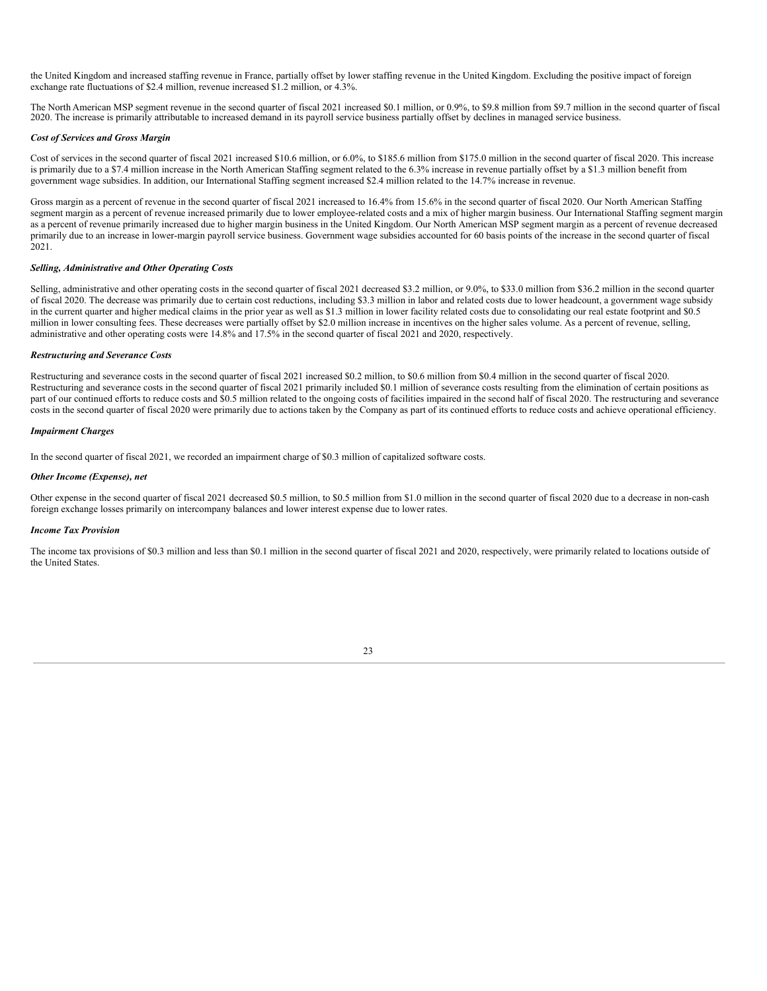the United Kingdom and increased staffing revenue in France, partially offset by lower staffing revenue in the United Kingdom. Excluding the positive impact of foreign exchange rate fluctuations of \$2.4 million, revenue increased \$1.2 million, or 4.3%.

The North American MSP segment revenue in the second quarter of fiscal 2021 increased \$0.1 million, or 0.9%, to \$9.8 million from \$9.7 million in the second quarter of fiscal 2020. The increase is primarily attributable to increased demand in its payroll service business partially offset by declines in managed service business.

#### *Cost of Services and Gross Margin*

Cost of services in the second quarter of fiscal 2021 increased \$10.6 million, or 6.0%, to \$185.6 million from \$175.0 million in the second quarter of fiscal 2020. This increase is primarily due to a \$7.4 million increase in the North American Staffing segment related to the 6.3% increase in revenue partially offset by a \$1.3 million benefit from government wage subsidies. In addition, our International Staffing segment increased \$2.4 million related to the 14.7% increase in revenue.

Gross margin as a percent of revenue in the second quarter of fiscal 2021 increased to 16.4% from 15.6% in the second quarter of fiscal 2020. Our North American Staffing segment margin as a percent of revenue increased primarily due to lower employee-related costs and a mix of higher margin business. Our International Staffing segment margin as a percent of revenue primarily increased due to higher margin business in the United Kingdom. Our North American MSP segment margin as a percent of revenue decreased primarily due to an increase in lower-margin payroll service business. Government wage subsidies accounted for 60 basis points of the increase in the second quarter of fiscal 2021.

#### *Selling, Administrative and Other Operating Costs*

Selling, administrative and other operating costs in the second quarter of fiscal 2021 decreased \$3.2 million, or 9.0%, to \$33.0 million from \$36.2 million in the second quarter of fiscal 2020. The decrease was primarily due to certain cost reductions, including \$3.3 million in labor and related costs due to lower headcount, a government wage subsidy in the current quarter and higher medical claims in the prior year as well as \$1.3 million in lower facility related costs due to consolidating our real estate footprint and \$0.5 million in lower consulting fees. These decreases were partially offset by \$2.0 million increase in incentives on the higher sales volume. As a percent of revenue, selling, administrative and other operating costs were 14.8% and 17.5% in the second quarter of fiscal 2021 and 2020, respectively.

#### *Restructuring and Severance Costs*

Restructuring and severance costs in the second quarter of fiscal 2021 increased \$0.2 million, to \$0.6 million from \$0.4 million in the second quarter of fiscal 2020. Restructuring and severance costs in the second quarter of fiscal 2021 primarily included \$0.1 million of severance costs resulting from the elimination of certain positions as part of our continued efforts to reduce costs and \$0.5 million related to the ongoing costs of facilities impaired in the second half of fiscal 2020. The restructuring and severance costs in the second quarter of fiscal 2020 were primarily due to actions taken by the Company as part of its continued efforts to reduce costs and achieve operational efficiency.

#### *Impairment Charges*

In the second quarter of fiscal 2021, we recorded an impairment charge of \$0.3 million of capitalized software costs.

#### *Other Income (Expense), net*

Other expense in the second quarter of fiscal 2021 decreased \$0.5 million, to \$0.5 million from \$1.0 million in the second quarter of fiscal 2020 due to a decrease in non-cash foreign exchange losses primarily on intercompany balances and lower interest expense due to lower rates.

#### *Income Tax Provision*

The income tax provisions of \$0.3 million and less than \$0.1 million in the second quarter of fiscal 2021 and 2020, respectively, were primarily related to locations outside of the United States.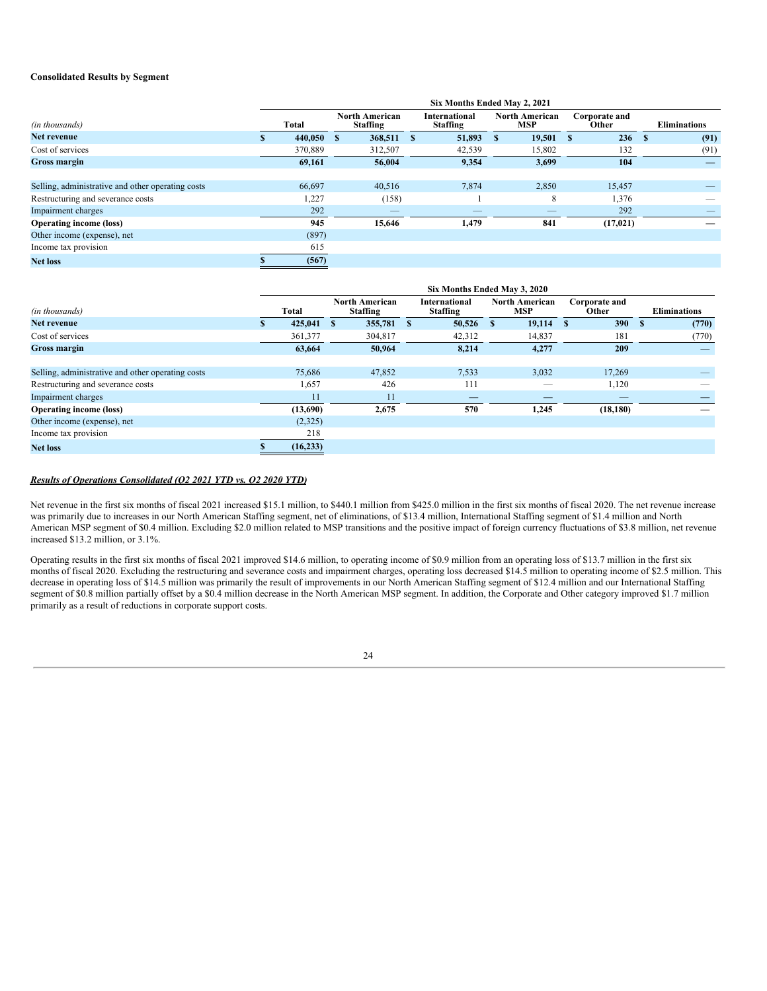#### **Consolidated Results by Segment**

|                                                   |         |   |                                          |   | Six Months Ended May 2, 2021            |   |                              |   |                        |              |                     |
|---------------------------------------------------|---------|---|------------------------------------------|---|-----------------------------------------|---|------------------------------|---|------------------------|--------------|---------------------|
| (in thousands)                                    | Total   |   | <b>North American</b><br><b>Staffing</b> |   | <b>International</b><br><b>Staffing</b> |   | <b>North American</b><br>MSP |   | Corporate and<br>Other |              | <b>Eliminations</b> |
| Net revenue                                       | 440,050 | S | 368,511                                  | S | 51,893                                  | S | 19,501                       | S | 236                    | $\mathbf{s}$ | (91)                |
| Cost of services                                  | 370,889 |   | 312,507                                  |   | 42,539                                  |   | 15,802                       |   | 132                    |              | (91)                |
| Gross margin                                      | 69.161  |   | 56.004                                   |   | 9,354                                   |   | 3,699                        |   | 104                    |              |                     |
|                                                   |         |   |                                          |   |                                         |   |                              |   |                        |              |                     |
| Selling, administrative and other operating costs | 66,697  |   | 40,516                                   |   | 7,874                                   |   | 2,850                        |   | 15,457                 |              |                     |
| Restructuring and severance costs                 | 1,227   |   | (158)                                    |   |                                         |   | 8                            |   | 1,376                  |              |                     |
| Impairment charges                                | 292     |   | $\overline{\phantom{a}}$                 |   |                                         |   |                              |   | 292                    |              |                     |
| <b>Operating income (loss)</b>                    | 945     |   | 15,646                                   |   | 1,479                                   |   | 841                          |   | (17, 021)              |              |                     |
| Other income (expense), net                       | (897)   |   |                                          |   |                                         |   |                              |   |                        |              |                     |
| Income tax provision                              | 615     |   |                                          |   |                                         |   |                              |   |                        |              |                     |
| <b>Net loss</b>                                   | (567)   |   |                                          |   |                                         |   |                              |   |                        |              |                     |

|                                                   |           |                                          |              | Six Months Ended May 3, 2020            |          |                                     |              |                        |    |                     |
|---------------------------------------------------|-----------|------------------------------------------|--------------|-----------------------------------------|----------|-------------------------------------|--------------|------------------------|----|---------------------|
| (in thousands)                                    | Total     | <b>North American</b><br><b>Staffing</b> |              | <b>International</b><br><b>Staffing</b> |          | <b>North American</b><br><b>MSP</b> |              | Corporate and<br>Other |    | <b>Eliminations</b> |
| Net revenue                                       | 425,041   | 355,781                                  | $\mathbf{s}$ | 50,526                                  | <b>S</b> | 19,114                              | $\mathbf{s}$ | 390                    | -S | (770)               |
| Cost of services                                  | 361,377   | 304,817                                  |              | 42,312                                  |          | 14,837                              |              | 181                    |    | (770)               |
| <b>Gross margin</b>                               | 63,664    | 50,964                                   |              | 8,214                                   |          | 4,277                               |              | 209                    |    |                     |
|                                                   |           |                                          |              |                                         |          |                                     |              |                        |    |                     |
| Selling, administrative and other operating costs | 75,686    | 47,852                                   |              | 7,533                                   |          | 3,032                               |              | 17,269                 |    |                     |
| Restructuring and severance costs                 | 1,657     | 426                                      |              | 111                                     |          | __                                  |              | 1,120                  |    |                     |
| Impairment charges                                | 11        | 11                                       |              | $\overline{\phantom{a}}$                |          | __                                  |              |                        |    |                     |
| <b>Operating income (loss)</b>                    | (13,690)  | 2,675                                    |              | 570                                     |          | 1,245                               |              | (18, 180)              |    |                     |
| Other income (expense), net                       | (2,325)   |                                          |              |                                         |          |                                     |              |                        |    |                     |
| Income tax provision                              | 218       |                                          |              |                                         |          |                                     |              |                        |    |                     |
| <b>Net loss</b>                                   | (16, 233) |                                          |              |                                         |          |                                     |              |                        |    |                     |

#### *Results of Operations Consolidated (Q2 2021 YTD vs. Q2 2020 YTD)*

Net revenue in the first six months of fiscal 2021 increased \$15.1 million, to \$440.1 million from \$425.0 million in the first six months of fiscal 2020. The net revenue increase was primarily due to increases in our North American Staffing segment, net of eliminations, of \$13.4 million, International Staffing segment of \$1.4 million and North American MSP segment of \$0.4 million. Excluding \$2.0 million related to MSP transitions and the positive impact of foreign currency fluctuations of \$3.8 million, net revenue increased \$13.2 million, or 3.1%.

Operating results in the first six months of fiscal 2021 improved \$14.6 million, to operating income of \$0.9 million from an operating loss of \$13.7 million in the first six months of fiscal 2020. Excluding the restructuring and severance costs and impairment charges, operating loss decreased \$14.5 million to operating income of \$2.5 million. This decrease in operating loss of \$14.5 million was primarily the result of improvements in our North American Staffing segment of \$12.4 million and our International Staffing segment of \$0.8 million partially offset by a \$0.4 million decrease in the North American MSP segment. In addition, the Corporate and Other category improved \$1.7 million primarily as a result of reductions in corporate support costs.

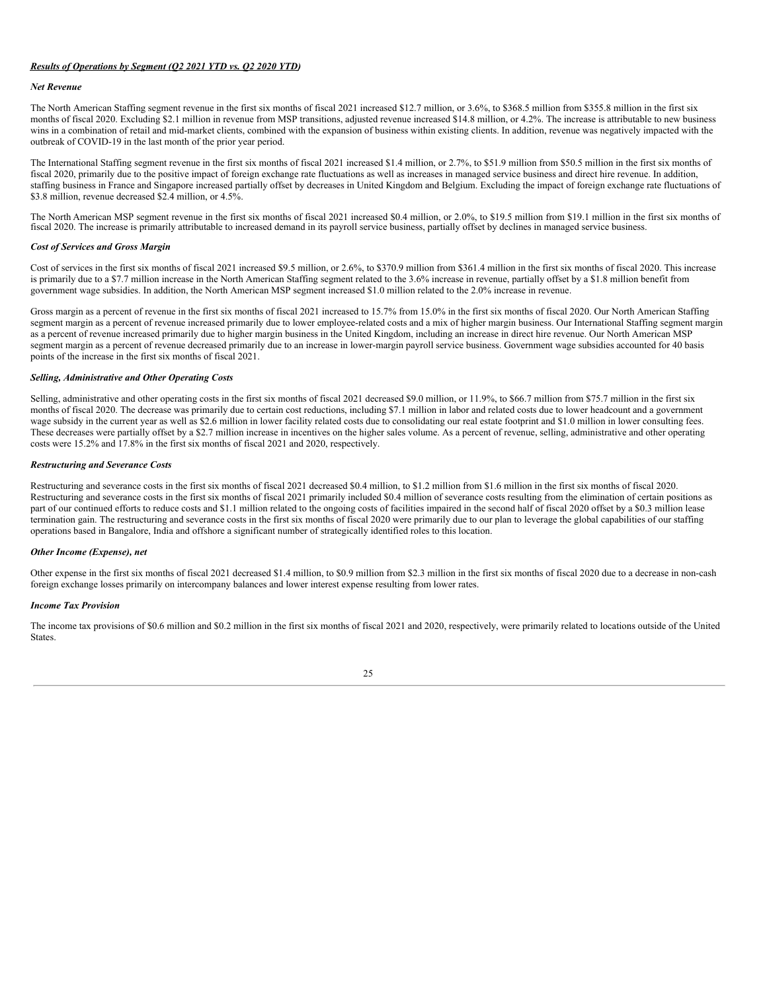#### *Results of Operations by Segment (Q2 2021 YTD vs. Q2 2020 YTD)*

#### *Net Revenue*

The North American Staffing segment revenue in the first six months of fiscal 2021 increased \$12.7 million, or 3.6%, to \$368.5 million from \$355.8 million in the first six months of fiscal 2020. Excluding \$2.1 million in revenue from MSP transitions, adjusted revenue increased \$14.8 million, or 4.2%. The increase is attributable to new business wins in a combination of retail and mid-market clients, combined with the expansion of business within existing clients. In addition, revenue was negatively impacted with the outbreak of COVID-19 in the last month of the prior year period.

The International Staffing segment revenue in the first six months of fiscal 2021 increased \$1.4 million, or 2.7%, to \$51.9 million from \$50.5 million in the first six months of fiscal 2020, primarily due to the positive impact of foreign exchange rate fluctuations as well as increases in managed service business and direct hire revenue. In addition, staffing business in France and Singapore increased partially offset by decreases in United Kingdom and Belgium. Excluding the impact of foreign exchange rate fluctuations of \$3.8 million, revenue decreased \$2.4 million, or 4.5%.

The North American MSP segment revenue in the first six months of fiscal 2021 increased \$0.4 million, or 2.0%, to \$19.5 million from \$19.1 million in the first six months of fiscal 2020. The increase is primarily attributable to increased demand in its payroll service business, partially offset by declines in managed service business.

#### *Cost of Services and Gross Margin*

Cost of services in the first six months of fiscal 2021 increased \$9.5 million, or 2.6%, to \$370.9 million from \$361.4 million in the first six months of fiscal 2020. This increase is primarily due to a \$7.7 million increase in the North American Staffing segment related to the 3.6% increase in revenue, partially offset by a \$1.8 million benefit from government wage subsidies. In addition, the North American MSP segment increased \$1.0 million related to the 2.0% increase in revenue.

Gross margin as a percent of revenue in the first six months of fiscal 2021 increased to 15.7% from 15.0% in the first six months of fiscal 2020. Our North American Staffing segment margin as a percent of revenue increased primarily due to lower employee-related costs and a mix of higher margin business. Our International Staffing segment margin as a percent of revenue increased primarily due to higher margin business in the United Kingdom, including an increase in direct hire revenue. Our North American MSP segment margin as a percent of revenue decreased primarily due to an increase in lower-margin payroll service business. Government wage subsidies accounted for 40 basis points of the increase in the first six months of fiscal 2021.

#### *Selling, Administrative and Other Operating Costs*

Selling, administrative and other operating costs in the first six months of fiscal 2021 decreased \$9.0 million, or 11.9%, to \$66.7 million from \$75.7 million in the first six months of fiscal 2020. The decrease was primarily due to certain cost reductions, including \$7.1 million in labor and related costs due to lower headcount and a government wage subsidy in the current year as well as \$2.6 million in lower facility related costs due to consolidating our real estate footprint and \$1.0 million in lower consulting fees. These decreases were partially offset by a \$2.7 million increase in incentives on the higher sales volume. As a percent of revenue, selling, administrative and other operating costs were 15.2% and 17.8% in the first six months of fiscal 2021 and 2020, respectively.

#### *Restructuring and Severance Costs*

Restructuring and severance costs in the first six months of fiscal 2021 decreased \$0.4 million, to \$1.2 million from \$1.6 million in the first six months of fiscal 2020. Restructuring and severance costs in the first six months of fiscal 2021 primarily included \$0.4 million of severance costs resulting from the elimination of certain positions as part of our continued efforts to reduce costs and \$1.1 million related to the ongoing costs of facilities impaired in the second half of fiscal 2020 offset by a \$0.3 million lease termination gain. The restructuring and severance costs in the first six months of fiscal 2020 were primarily due to our plan to leverage the global capabilities of our staffing operations based in Bangalore, India and offshore a significant number of strategically identified roles to this location.

#### *Other Income (Expense), net*

Other expense in the first six months of fiscal 2021 decreased \$1.4 million, to \$0.9 million from \$2.3 million in the first six months of fiscal 2020 due to a decrease in non-cash foreign exchange losses primarily on intercompany balances and lower interest expense resulting from lower rates.

#### *Income Tax Provision*

The income tax provisions of \$0.6 million and \$0.2 million in the first six months of fiscal 2021 and 2020, respectively, were primarily related to locations outside of the United **States** 

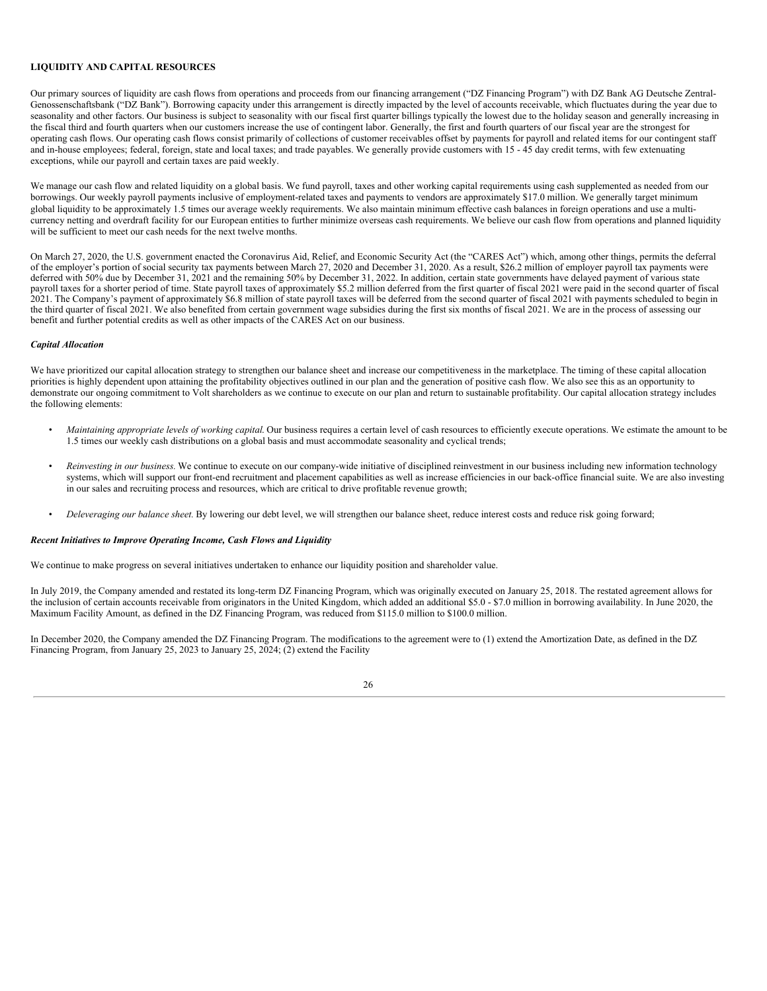#### **LIQUIDITY AND CAPITAL RESOURCES**

Our primary sources of liquidity are cash flows from operations and proceeds from our financing arrangement ("DZ Financing Program") with DZ Bank AG Deutsche Zentral-Genossenschaftsbank ("DZ Bank"). Borrowing capacity under this arrangement is directly impacted by the level of accounts receivable, which fluctuates during the year due to seasonality and other factors. Our business is subject to seasonality with our fiscal first quarter billings typically the lowest due to the holiday season and generally increasing in the fiscal third and fourth quarters when our customers increase the use of contingent labor. Generally, the first and fourth quarters of our fiscal year are the strongest for operating cash flows. Our operating cash flows consist primarily of collections of customer receivables offset by payments for payroll and related items for our contingent staff and in-house employees; federal, foreign, state and local taxes; and trade payables. We generally provide customers with 15 - 45 day credit terms, with few extenuating exceptions, while our payroll and certain taxes are paid weekly.

We manage our cash flow and related liquidity on a global basis. We fund payroll, taxes and other working capital requirements using cash supplemented as needed from our borrowings. Our weekly payroll payments inclusive of employment-related taxes and payments to vendors are approximately \$17.0 million. We generally target minimum global liquidity to be approximately 1.5 times our average weekly requirements. We also maintain minimum effective cash balances in foreign operations and use a multicurrency netting and overdraft facility for our European entities to further minimize overseas cash requirements. We believe our cash flow from operations and planned liquidity will be sufficient to meet our cash needs for the next twelve months.

On March 27, 2020, the U.S. government enacted the Coronavirus Aid, Relief, and Economic Security Act (the "CARES Act") which, among other things, permits the deferral of the employer's portion of social security tax payments between March 27, 2020 and December 31, 2020. As a result, \$26.2 million of employer payroll tax payments were deferred with 50% due by December 31, 2021 and the remaining 50% by December 31, 2022. In addition, certain state governments have delayed payment of various state payroll taxes for a shorter period of time. State payroll taxes of approximately \$5.2 million deferred from the first quarter of fiscal 2021 were paid in the second quarter of fiscal 2021. The Company's payment of approximately \$6.8 million of state payroll taxes will be deferred from the second quarter of fiscal 2021 with payments scheduled to begin in the third quarter of fiscal 2021. We also benefited from certain government wage subsidies during the first six months of fiscal 2021. We are in the process of assessing our benefit and further potential credits as well as other impacts of the CARES Act on our business.

#### *Capital Allocation*

We have prioritized our capital allocation strategy to strengthen our balance sheet and increase our competitiveness in the marketplace. The timing of these capital allocation priorities is highly dependent upon attaining the profitability objectives outlined in our plan and the generation of positive cash flow. We also see this as an opportunity to demonstrate our ongoing commitment to Volt shareholders as we continue to execute on our plan and return to sustainable profitability. Our capital allocation strategy includes the following elements:

- *• Maintaining appropriate levels of working capital*. Our business requires a certain level of cash resources to efficiently execute operations. We estimate the amount to be 1.5 times our weekly cash distributions on a global basis and must accommodate seasonality and cyclical trends;
- *• Reinvesting in our business.* We continue to execute on our company-wide initiative of disciplined reinvestment in our business including new information technology systems, which will support our front-end recruitment and placement capabilities as well as increase efficiencies in our back-office financial suite. We are also investing in our sales and recruiting process and resources, which are critical to drive profitable revenue growth;
- *• Deleveraging our balance sheet.* By lowering our debt level, we will strengthen our balance sheet, reduce interest costs and reduce risk going forward;

#### *Recent Initiatives to Improve Operating Income, Cash Flows and Liquidity*

We continue to make progress on several initiatives undertaken to enhance our liquidity position and shareholder value.

In July 2019, the Company amended and restated its long-term DZ Financing Program, which was originally executed on January 25, 2018. The restated agreement allows for the inclusion of certain accounts receivable from originators in the United Kingdom, which added an additional \$5.0 - \$7.0 million in borrowing availability. In June 2020, the Maximum Facility Amount, as defined in the DZ Financing Program, was reduced from \$115.0 million to \$100.0 million.

In December 2020, the Company amended the DZ Financing Program. The modifications to the agreement were to (1) extend the Amortization Date, as defined in the DZ Financing Program, from January 25, 2023 to January 25, 2024; (2) extend the Facility

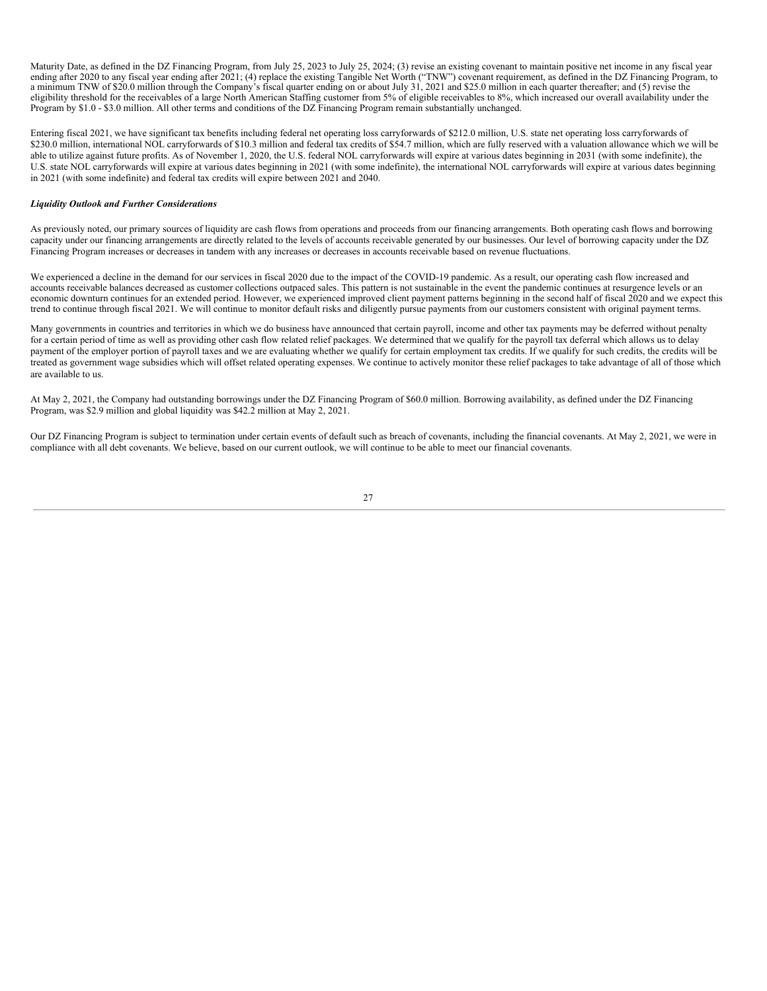Maturity Date, as defined in the DZ Financing Program, from July 25, 2023 to July 25, 2024; (3) revise an existing covenant to maintain positive net income in any fiscal year ending after 2020 to any fiscal year ending after 2021; (4) replace the existing Tangible Net Worth ("TNW") covenant requirement, as defined in the DZ Financing Program, to a minimum TNW of \$20.0 million through the Company's fiscal quarter ending on or about July 31, 2021 and \$25.0 million in each quarter thereafter; and (5) revise the eligibility threshold for the receivables of a large North American Staffing customer from 5% of eligible receivables to 8%, which increased our overall availability under the Program by \$1.0 - \$3.0 million. All other terms and conditions of the DZ Financing Program remain substantially unchanged.

Entering fiscal 2021, we have significant tax benefits including federal net operating loss carryforwards of \$212.0 million, U.S. state net operating loss carryforwards of \$230.0 million, international NOL carryforwards of \$10.3 million and federal tax credits of \$54.7 million, which are fully reserved with a valuation allowance which we will be able to utilize against future profits. As of November 1, 2020, the U.S. federal NOL carryforwards will expire at various dates beginning in 2031 (with some indefinite), the U.S. state NOL carryforwards will expire at various dates beginning in 2021 (with some indefinite), the international NOL carryforwards will expire at various dates beginning in 2021 (with some indefinite) and federal tax credits will expire between 2021 and 2040.

#### *Liquidity Outlook and Further Considerations*

As previously noted, our primary sources of liquidity are cash flows from operations and proceeds from our financing arrangements. Both operating cash flows and borrowing capacity under our financing arrangements are directly related to the levels of accounts receivable generated by our businesses. Our level of borrowing capacity under the DZ Financing Program increases or decreases in tandem with any increases or decreases in accounts receivable based on revenue fluctuations.

We experienced a decline in the demand for our services in fiscal 2020 due to the impact of the COVID-19 pandemic. As a result, our operating cash flow increased and accounts receivable balances decreased as customer collections outpaced sales. This pattern is not sustainable in the event the pandemic continues at resurgence levels or an economic downturn continues for an extended period. However, we experienced improved client payment patterns beginning in the second half of fiscal 2020 and we expect this trend to continue through fiscal 2021. We will continue to monitor default risks and diligently pursue payments from our customers consistent with original payment terms.

Many governments in countries and territories in which we do business have announced that certain payroll, income and other tax payments may be deferred without penalty for a certain period of time as well as providing other cash flow related relief packages. We determined that we qualify for the payroll tax deferral which allows us to delay payment of the employer portion of payroll taxes and we are evaluating whether we qualify for certain employment tax credits. If we qualify for such credits, the credits will be treated as government wage subsidies which will offset related operating expenses. We continue to actively monitor these relief packages to take advantage of all of those which are available to us.

At May 2, 2021, the Company had outstanding borrowings under the DZ Financing Program of \$60.0 million. Borrowing availability, as defined under the DZ Financing Program, was \$2.9 million and global liquidity was \$42.2 million at May 2, 2021.

Our DZ Financing Program is subject to termination under certain events of default such as breach of covenants, including the financial covenants. At May 2, 2021, we were in compliance with all debt covenants. We believe, based on our current outlook, we will continue to be able to meet our financial covenants.

| ł |  |
|---|--|
|   |  |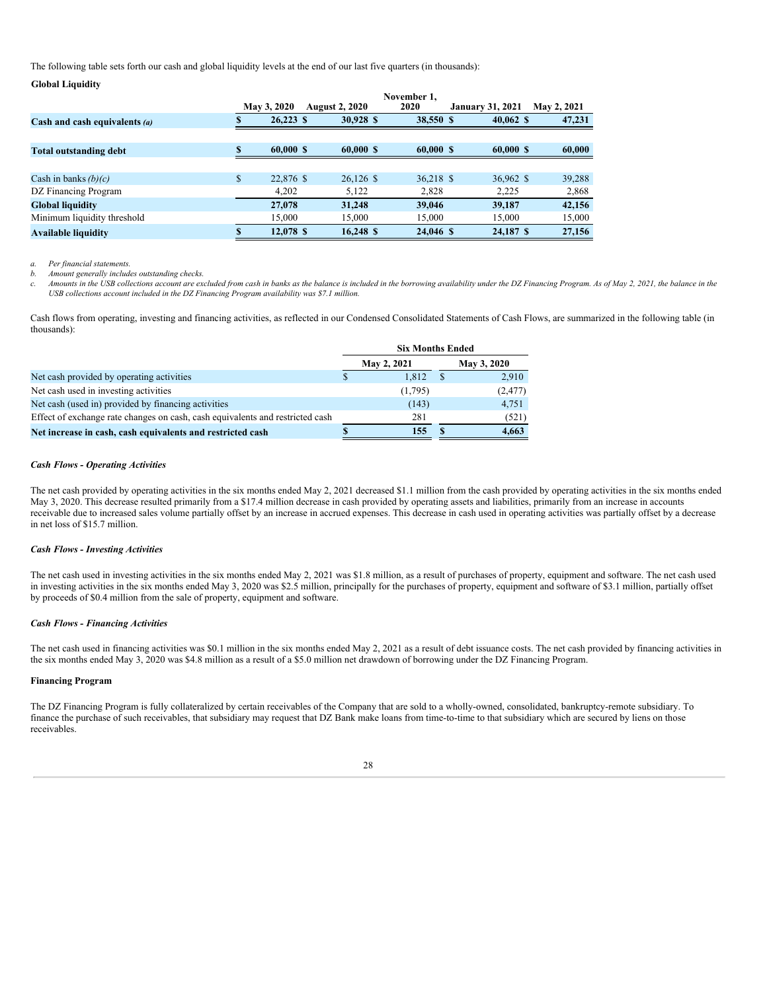The following table sets forth our cash and global liquidity levels at the end of our last five quarters (in thousands):

|                                 |   | May 3, 2020 | <b>August 2, 2020</b> | November 1.<br>2020 | <b>January 31, 2021</b> | May 2, 2021 |
|---------------------------------|---|-------------|-----------------------|---------------------|-------------------------|-------------|
| Cash and cash equivalents $(a)$ |   | 26.223S     | 30.928 \$             | 38,550 \$           | 40.062 S                | 47,231      |
|                                 |   |             |                       |                     |                         |             |
| <b>Total outstanding debt</b>   |   | 60,000 S    | 60.000 S              | 60,000 S            | 60.000 S                | 60,000      |
|                                 |   |             |                       |                     |                         |             |
| Cash in banks $(b)(c)$          | S | 22,876 \$   | 26,126 \$             | 36.218 \$           | 36,962 \$               | 39,288      |
| DZ Financing Program            |   | 4.202       | 5.122                 | 2,828               | 2,225                   | 2,868       |
| <b>Global liquidity</b>         |   | 27,078      | 31.248                | 39,046              | 39.187                  | 42,156      |
| Minimum liquidity threshold     |   | 15,000      | 15.000                | 15,000              | 15,000                  | 15,000      |
| <b>Available liquidity</b>      | S | 12.078 \$   | 16.248 S              | 24,046 \$           | 24,187 \$               | 27,156      |

*a. Per financial statements.*

**Global Liquidity**

*b. Amount generally includes outstanding checks.*

Amounts in the USB collections account are excluded from cash in banks as the balance is included in the borrowing availability under the DZ Financing Program. As of May 2, 2021, the balance in the *USB collections account included in the DZ Financing Program availability was \$7.1 million.*

Cash flows from operating, investing and financing activities, as reflected in our Condensed Consolidated Statements of Cash Flows, are summarized in the following table (in thousands):

|                                                                               | <b>Six Months Ended</b> |             |
|-------------------------------------------------------------------------------|-------------------------|-------------|
|                                                                               | May 2, 2021             | May 3, 2020 |
| Net cash provided by operating activities                                     | 1.812                   | 2,910       |
| Net cash used in investing activities                                         | (1,795)                 | (2, 477)    |
| Net cash (used in) provided by financing activities                           | (143)                   | 4,751       |
| Effect of exchange rate changes on cash, cash equivalents and restricted cash | 281                     | (521)       |
| Net increase in cash, cash equivalents and restricted cash                    | 155                     | 4.663       |

#### *Cash Flows - Operating Activities*

The net cash provided by operating activities in the six months ended May 2, 2021 decreased \$1.1 million from the cash provided by operating activities in the six months ended May 3, 2020. This decrease resulted primarily from a \$17.4 million decrease in cash provided by operating assets and liabilities, primarily from an increase in accounts receivable due to increased sales volume partially offset by an increase in accrued expenses. This decrease in cash used in operating activities was partially offset by a decrease in net loss of \$15.7 million.

#### *Cash Flows - Investing Activities*

The net cash used in investing activities in the six months ended May 2, 2021 was \$1.8 million, as a result of purchases of property, equipment and software. The net cash used in investing activities in the six months ended May 3, 2020 was \$2.5 million, principally for the purchases of property, equipment and software of \$3.1 million, partially offset by proceeds of \$0.4 million from the sale of property, equipment and software.

#### *Cash Flows - Financing Activities*

The net cash used in financing activities was \$0.1 million in the six months ended May 2, 2021 as a result of debt issuance costs. The net cash provided by financing activities in the six months ended May 3, 2020 was \$4.8 million as a result of a \$5.0 million net drawdown of borrowing under the DZ Financing Program.

### **Financing Program**

The DZ Financing Program is fully collateralized by certain receivables of the Company that are sold to a wholly-owned, consolidated, bankruptcy-remote subsidiary. To finance the purchase of such receivables, that subsidiary may request that DZ Bank make loans from time-to-time to that subsidiary which are secured by liens on those receivables.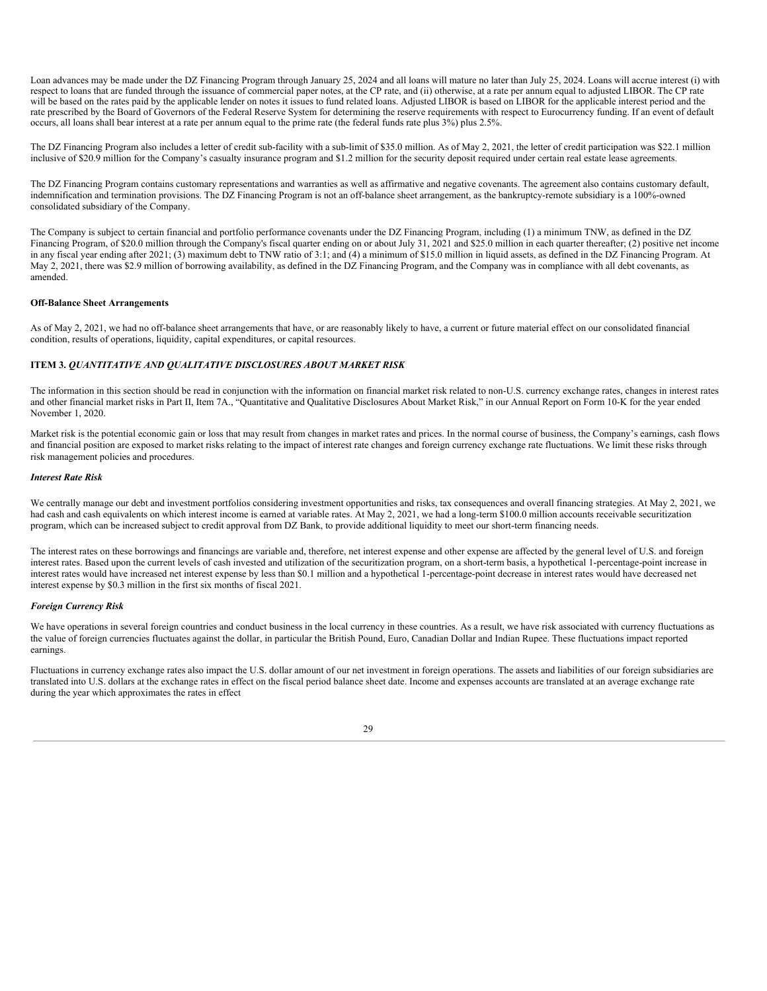Loan advances may be made under the DZ Financing Program through January 25, 2024 and all loans will mature no later than July 25, 2024. Loans will accrue interest (i) with respect to loans that are funded through the issuance of commercial paper notes, at the CP rate, and (ii) otherwise, at a rate per annum equal to adjusted LIBOR. The CP rate will be based on the rates paid by the applicable lender on notes it issues to fund related loans. Adjusted LIBOR is based on LIBOR for the applicable interest period and the rate prescribed by the Board of Governors of the Federal Reserve System for determining the reserve requirements with respect to Eurocurrency funding. If an event of default occurs, all loans shall bear interest at a rate per annum equal to the prime rate (the federal funds rate plus 3%) plus 2.5%.

The DZ Financing Program also includes a letter of credit sub-facility with a sub-limit of \$35.0 million. As of May 2, 2021, the letter of credit participation was \$22.1 million inclusive of \$20.9 million for the Company's casualty insurance program and \$1.2 million for the security deposit required under certain real estate lease agreements.

The DZ Financing Program contains customary representations and warranties as well as affirmative and negative covenants. The agreement also contains customary default, indemnification and termination provisions. The DZ Financing Program is not an off-balance sheet arrangement, as the bankruptcy-remote subsidiary is a 100%-owned consolidated subsidiary of the Company.

The Company is subject to certain financial and portfolio performance covenants under the DZ Financing Program, including (1) a minimum TNW, as defined in the DZ Financing Program, of \$20.0 million through the Company's fiscal quarter ending on or about July 31, 2021 and \$25.0 million in each quarter thereafter; (2) positive net income in any fiscal year ending after 2021; (3) maximum debt to TNW ratio of 3:1; and (4) a minimum of \$15.0 million in liquid assets, as defined in the DZ Financing Program. At May 2, 2021, there was \$2.9 million of borrowing availability, as defined in the DZ Financing Program, and the Company was in compliance with all debt covenants, as amended.

#### **Off-Balance Sheet Arrangements**

As of May 2, 2021, we had no off-balance sheet arrangements that have, or are reasonably likely to have, a current or future material effect on our consolidated financial condition, results of operations, liquidity, capital expenditures, or capital resources.

# **ITEM 3.** *QUANTITATIVE AND QUALITATIVE DISCLOSURES ABOUT MARKET RISK*

The information in this section should be read in conjunction with the information on financial market risk related to non-U.S. currency exchange rates, changes in interest rates and other financial market risks in Part II, Item 7A., "Quantitative and Qualitative Disclosures About Market Risk," in our Annual Report on Form 10-K for the year ended November 1, 2020.

Market risk is the potential economic gain or loss that may result from changes in market rates and prices. In the normal course of business, the Company's earnings, cash flows and financial position are exposed to market risks relating to the impact of interest rate changes and foreign currency exchange rate fluctuations. We limit these risks through risk management policies and procedures.

#### *Interest Rate Risk*

We centrally manage our debt and investment portfolios considering investment opportunities and risks, tax consequences and overall financing strategies. At May 2, 2021, we had cash and cash equivalents on which interest income is earned at variable rates. At May 2, 2021, we had a long-term \$100.0 million accounts receivable securitization program, which can be increased subject to credit approval from DZ Bank, to provide additional liquidity to meet our short-term financing needs.

The interest rates on these borrowings and financings are variable and, therefore, net interest expense and other expense are affected by the general level of U.S. and foreign interest rates. Based upon the current levels of cash invested and utilization of the securitization program, on a short-term basis, a hypothetical 1-percentage-point increase in interest rates would have increased net interest expense by less than \$0.1 million and a hypothetical 1-percentage-point decrease in interest rates would have decreased net interest expense by \$0.3 million in the first six months of fiscal 2021.

#### *Foreign Currency Risk*

We have operations in several foreign countries and conduct business in the local currency in these countries. As a result, we have risk associated with currency fluctuations as the value of foreign currencies fluctuates against the dollar, in particular the British Pound, Euro, Canadian Dollar and Indian Rupee. These fluctuations impact reported earnings.

Fluctuations in currency exchange rates also impact the U.S. dollar amount of our net investment in foreign operations. The assets and liabilities of our foreign subsidiaries are translated into U.S. dollars at the exchange rates in effect on the fiscal period balance sheet date. Income and expenses accounts are translated at an average exchange rate during the year which approximates the rates in effect

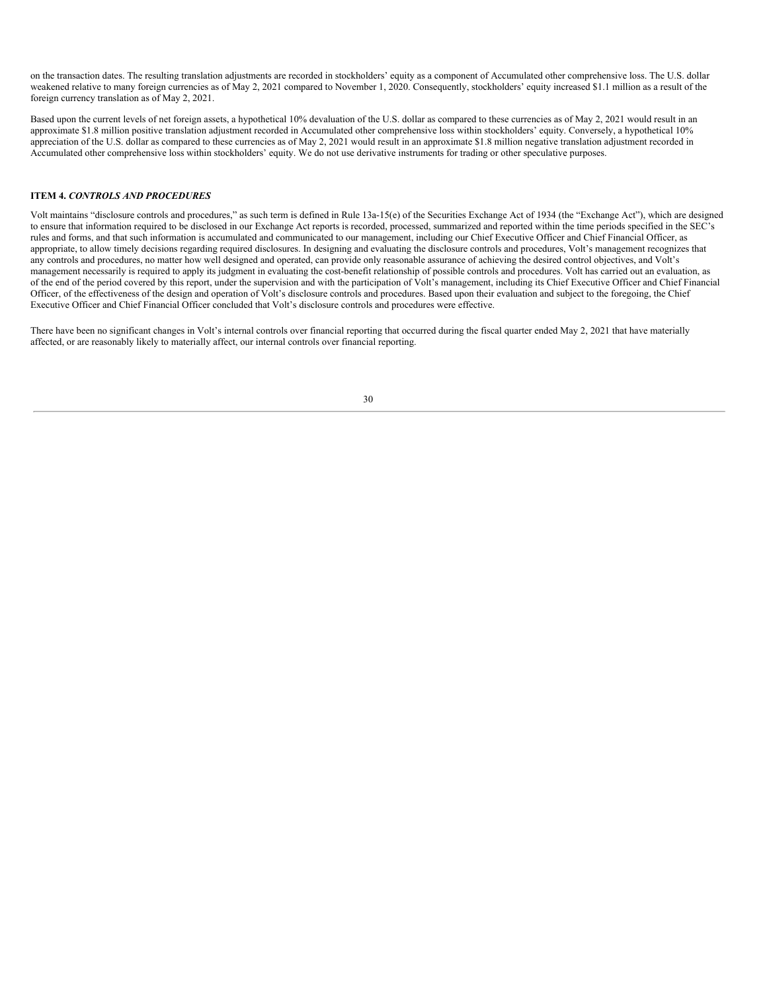on the transaction dates. The resulting translation adjustments are recorded in stockholders' equity as a component of Accumulated other comprehensive loss. The U.S. dollar weakened relative to many foreign currencies as of May 2, 2021 compared to November 1, 2020. Consequently, stockholders' equity increased \$1.1 million as a result of the foreign currency translation as of May 2, 2021.

Based upon the current levels of net foreign assets, a hypothetical 10% devaluation of the U.S. dollar as compared to these currencies as of May 2, 2021 would result in an approximate \$1.8 million positive translation adjustment recorded in Accumulated other comprehensive loss within stockholders' equity. Conversely, a hypothetical 10% appreciation of the U.S. dollar as compared to these currencies as of May 2, 2021 would result in an approximate \$1.8 million negative translation adjustment recorded in Accumulated other comprehensive loss within stockholders' equity. We do not use derivative instruments for trading or other speculative purposes.

#### **ITEM 4.** *CONTROLS AND PROCEDURES*

Volt maintains "disclosure controls and procedures," as such term is defined in Rule 13a-15(e) of the Securities Exchange Act of 1934 (the "Exchange Act"), which are designed to ensure that information required to be disclosed in our Exchange Act reports is recorded, processed, summarized and reported within the time periods specified in the SEC's rules and forms, and that such information is accumulated and communicated to our management, including our Chief Executive Officer and Chief Financial Officer, as appropriate, to allow timely decisions regarding required disclosures. In designing and evaluating the disclosure controls and procedures, Volt's management recognizes that any controls and procedures, no matter how well designed and operated, can provide only reasonable assurance of achieving the desired control objectives, and Volt's management necessarily is required to apply its judgment in evaluating the cost-benefit relationship of possible controls and procedures. Volt has carried out an evaluation, as of the end of the period covered by this report, under the supervision and with the participation of Volt's management, including its Chief Executive Officer and Chief Financial Officer, of the effectiveness of the design and operation of Volt's disclosure controls and procedures. Based upon their evaluation and subject to the foregoing, the Chief Executive Officer and Chief Financial Officer concluded that Volt's disclosure controls and procedures were effective.

There have been no significant changes in Volt's internal controls over financial reporting that occurred during the fiscal quarter ended May 2, 2021 that have materially affected, or are reasonably likely to materially affect, our internal controls over financial reporting.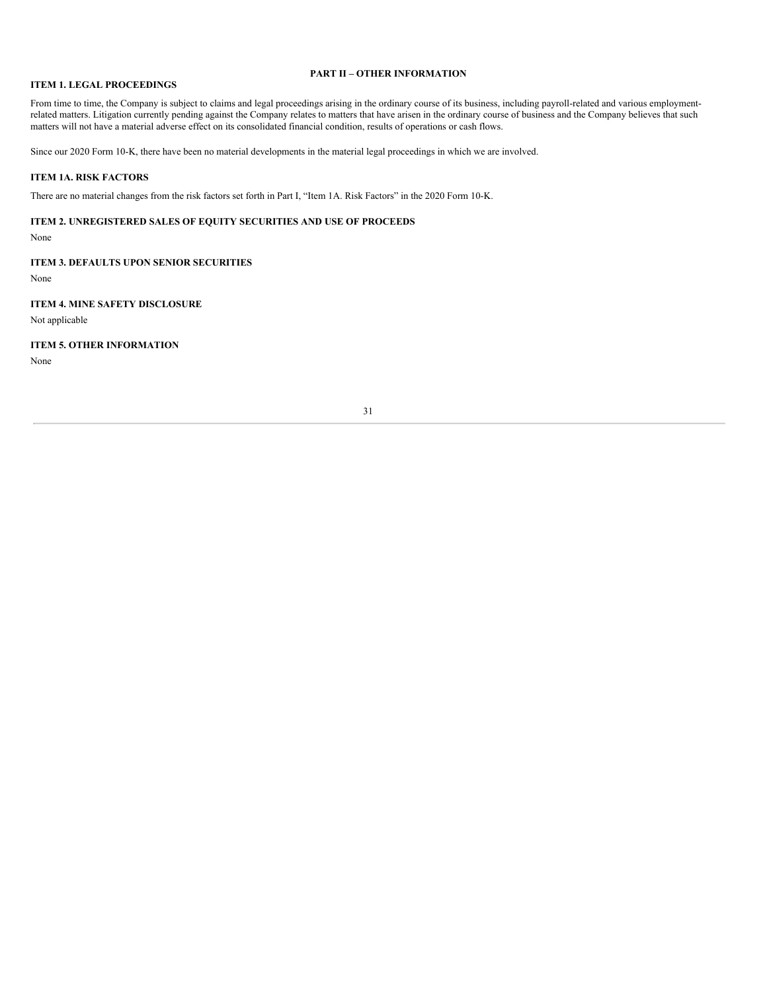### **PART II – OTHER INFORMATION**

# **ITEM 1. LEGAL PROCEEDINGS**

From time to time, the Company is subject to claims and legal proceedings arising in the ordinary course of its business, including payroll-related and various employmentrelated matters. Litigation currently pending against the Company relates to matters that have arisen in the ordinary course of business and the Company believes that such matters will not have a material adverse effect on its consolidated financial condition, results of operations or cash flows.

Since our 2020 Form 10-K, there have been no material developments in the material legal proceedings in which we are involved.

#### **ITEM 1A. RISK FACTORS**

There are no material changes from the risk factors set forth in Part I, "Item 1A. Risk Factors" in the 2020 Form 10-K.

## **ITEM 2. UNREGISTERED SALES OF EQUITY SECURITIES AND USE OF PROCEEDS**

None

# **ITEM 3. DEFAULTS UPON SENIOR SECURITIES**

None

# **ITEM 4. MINE SAFETY DISCLOSURE**

Not applicable

# **ITEM 5. OTHER INFORMATION**

None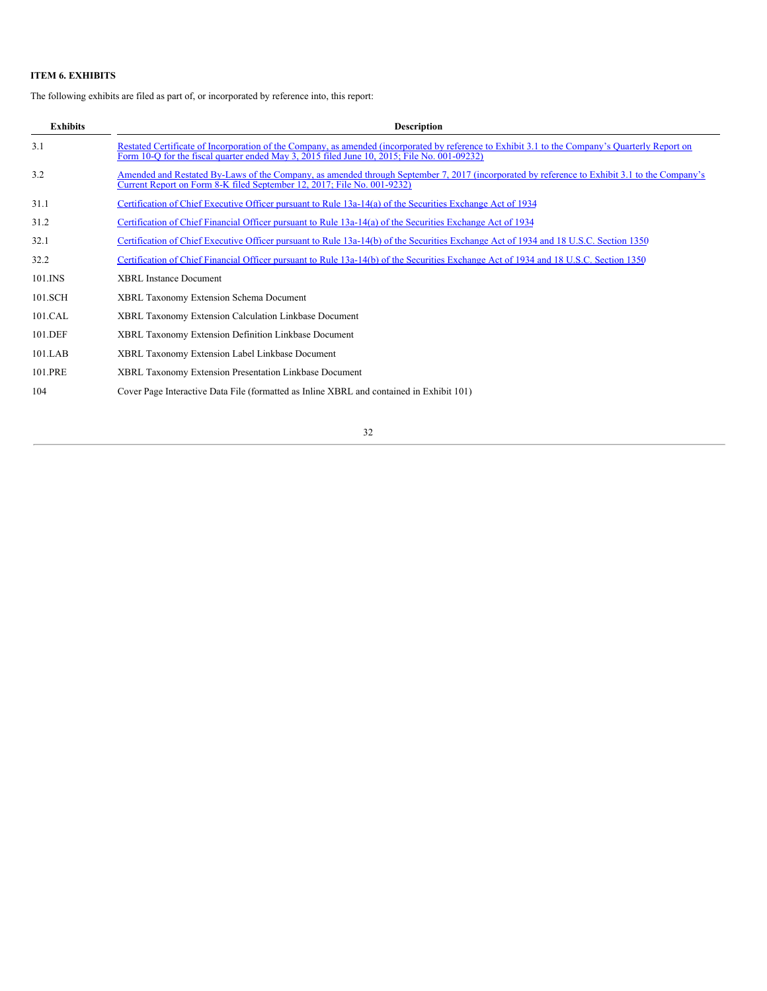# **ITEM 6. EXHIBITS**

The following exhibits are filed as part of, or incorporated by reference into, this report:

| <b>Exhibits</b> | <b>Description</b>                                                                                                                                                                                                                             |
|-----------------|------------------------------------------------------------------------------------------------------------------------------------------------------------------------------------------------------------------------------------------------|
| 3.1             | Restated Certificate of Incorporation of the Company, as amended (incorporated by reference to Exhibit 3.1 to the Company's Quarterly Report on<br>Form 10-O for the fiscal quarter ended May 3, 2015 filed June 10, 2015; File No. 001-09232) |
| 3.2             | Amended and Restated By-Laws of the Company, as amended through September 7, 2017 (incorporated by reference to Exhibit 3.1 to the Company's<br>Current Report on Form 8-K filed September 12, 2017; File No. 001-9232)                        |
| 31.1            | Certification of Chief Executive Officer pursuant to Rule 13a-14(a) of the Securities Exchange Act of 1934                                                                                                                                     |
| 31.2            | Certification of Chief Financial Officer pursuant to Rule 13a-14(a) of the Securities Exchange Act of 1934                                                                                                                                     |
| 32.1            | Certification of Chief Executive Officer pursuant to Rule 13a-14(b) of the Securities Exchange Act of 1934 and 18 U.S.C. Section 1350                                                                                                          |
| 32.2            | Certification of Chief Financial Officer pursuant to Rule 13a-14(b) of the Securities Exchange Act of 1934 and 18 U.S.C. Section 1350                                                                                                          |
| 101.INS         | <b>XBRL</b> Instance Document                                                                                                                                                                                                                  |
| 101.SCH         | <b>XBRL Taxonomy Extension Schema Document</b>                                                                                                                                                                                                 |
| 101.CAL         | XBRL Taxonomy Extension Calculation Linkbase Document                                                                                                                                                                                          |
| 101.DEF         | XBRL Taxonomy Extension Definition Linkbase Document                                                                                                                                                                                           |
| 101.LAB         | XBRL Taxonomy Extension Label Linkbase Document                                                                                                                                                                                                |
| 101.PRE         | XBRL Taxonomy Extension Presentation Linkbase Document                                                                                                                                                                                         |
| 104             | Cover Page Interactive Data File (formatted as Inline XBRL and contained in Exhibit 101)                                                                                                                                                       |

# 32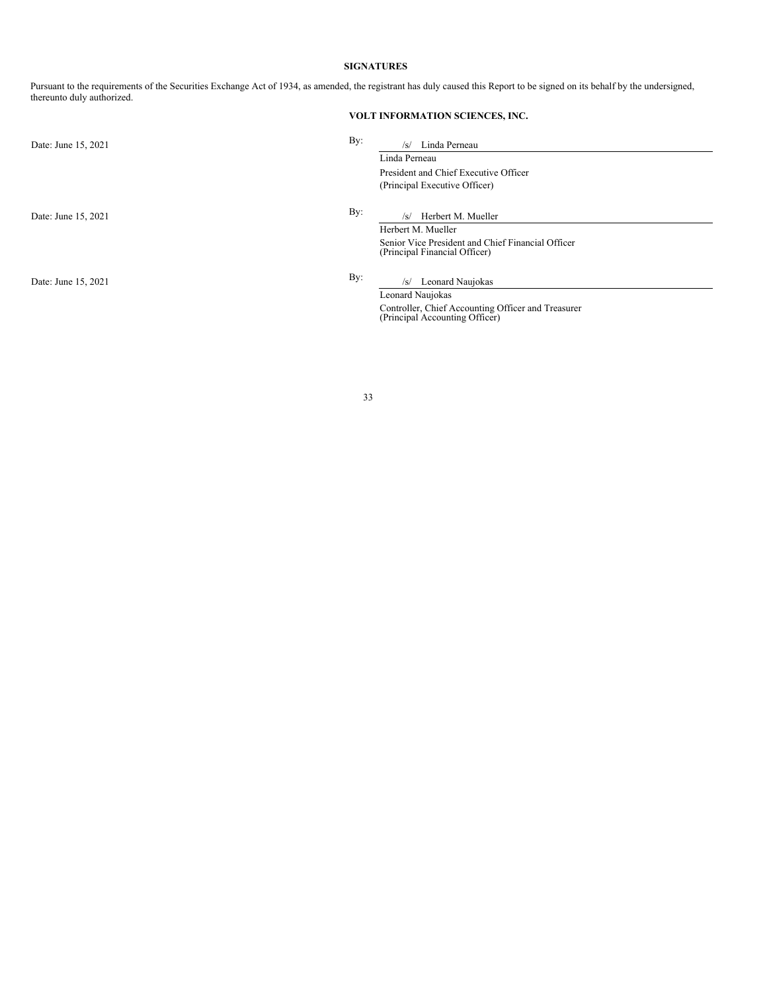### **SIGNATURES**

Pursuant to the requirements of the Securities Exchange Act of 1934, as amended, the registrant has duly caused this Report to be signed on its behalf by the undersigned, thereunto duly authorized.

# **VOLT INFORMATION SCIENCES, INC.**

| Date: June 15, 2021 | By: | Linda Perneau<br>$\sqrt{s}$                                                          |
|---------------------|-----|--------------------------------------------------------------------------------------|
|                     |     | Linda Perneau                                                                        |
|                     |     | President and Chief Executive Officer                                                |
|                     |     | (Principal Executive Officer)                                                        |
| Date: June 15, 2021 | By: | Herbert M. Mueller<br>/s/                                                            |
|                     |     | Herbert M. Mueller                                                                   |
|                     |     | Senior Vice President and Chief Financial Officer<br>(Principal Financial Officer)   |
| Date: June 15, 2021 | By: | Leonard Naujokas<br>/s/                                                              |
|                     |     | Leonard Naujokas                                                                     |
|                     |     | Controller, Chief Accounting Officer and Treasurer<br>(Principal Accounting Officer) |
|                     |     |                                                                                      |

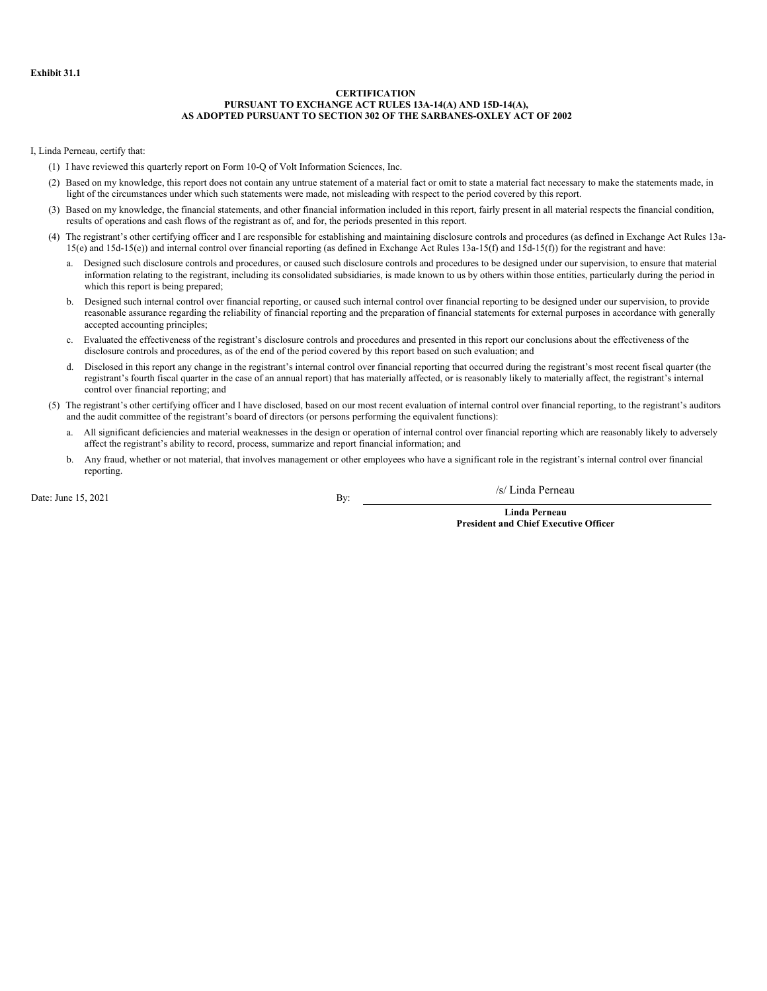#### **CERTIFICATION PURSUANT TO EXCHANGE ACT RULES 13A-14(A) AND 15D-14(A), AS ADOPTED PURSUANT TO SECTION 302 OF THE SARBANES-OXLEY ACT OF 2002**

<span id="page-34-0"></span>I, Linda Perneau, certify that:

- (1) I have reviewed this quarterly report on Form 10-Q of Volt Information Sciences, Inc.
- (2) Based on my knowledge, this report does not contain any untrue statement of a material fact or omit to state a material fact necessary to make the statements made, in light of the circumstances under which such statements were made, not misleading with respect to the period covered by this report.
- (3) Based on my knowledge, the financial statements, and other financial information included in this report, fairly present in all material respects the financial condition, results of operations and cash flows of the registrant as of, and for, the periods presented in this report.
- (4) The registrant's other certifying officer and I are responsible for establishing and maintaining disclosure controls and procedures (as defined in Exchange Act Rules 13a-15(e) and 15d-15(e)) and internal control over financial reporting (as defined in Exchange Act Rules 13a-15(f) and 15d-15(f)) for the registrant and have:
	- a. Designed such disclosure controls and procedures, or caused such disclosure controls and procedures to be designed under our supervision, to ensure that material information relating to the registrant, including its consolidated subsidiaries, is made known to us by others within those entities, particularly during the period in which this report is being prepared;
	- b. Designed such internal control over financial reporting, or caused such internal control over financial reporting to be designed under our supervision, to provide reasonable assurance regarding the reliability of financial reporting and the preparation of financial statements for external purposes in accordance with generally accepted accounting principles;
	- c. Evaluated the effectiveness of the registrant's disclosure controls and procedures and presented in this report our conclusions about the effectiveness of the disclosure controls and procedures, as of the end of the period covered by this report based on such evaluation; and
	- d. Disclosed in this report any change in the registrant's internal control over financial reporting that occurred during the registrant's most recent fiscal quarter (the registrant's fourth fiscal quarter in the case of an annual report) that has materially affected, or is reasonably likely to materially affect, the registrant's internal control over financial reporting; and
- (5) The registrant's other certifying officer and I have disclosed, based on our most recent evaluation of internal control over financial reporting, to the registrant's auditors and the audit committee of the registrant's board of directors (or persons performing the equivalent functions):
	- a. All significant deficiencies and material weaknesses in the design or operation of internal control over financial reporting which are reasonably likely to adversely affect the registrant's ability to record, process, summarize and report financial information; and
	- b. Any fraud, whether or not material, that involves management or other employees who have a significant role in the registrant's internal control over financial reporting.

Date: June  $15, 2021$  By:

/s/ Linda Perneau

**Linda Perneau President and Chief Executive Officer**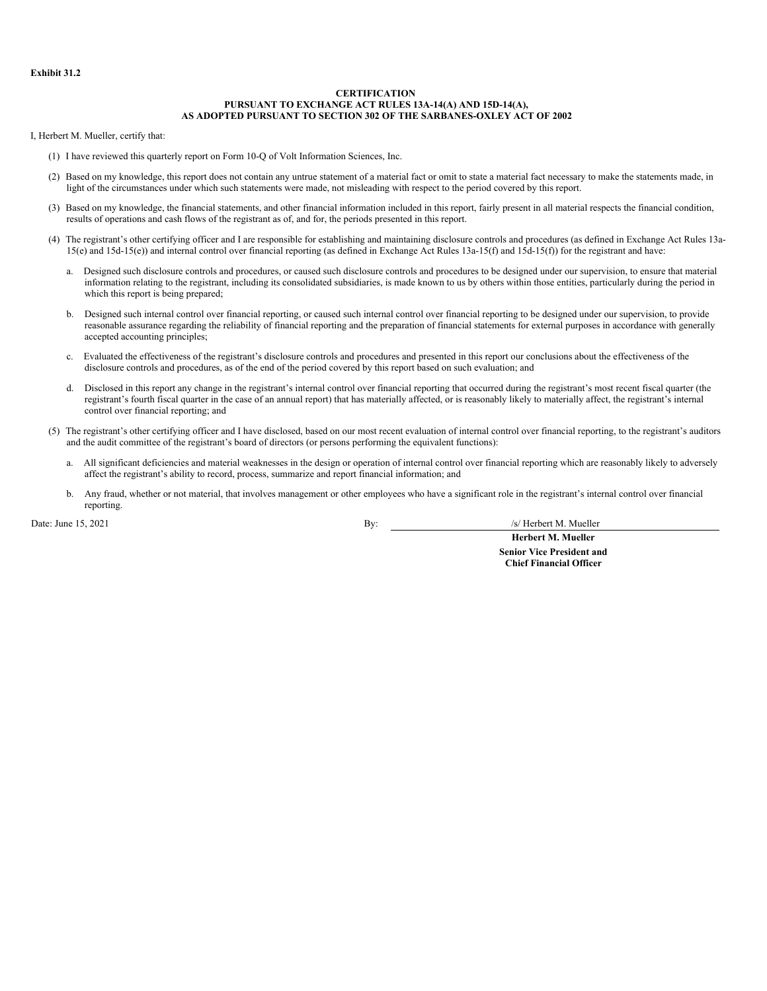#### **CERTIFICATION PURSUANT TO EXCHANGE ACT RULES 13A-14(A) AND 15D-14(A), AS ADOPTED PURSUANT TO SECTION 302 OF THE SARBANES-OXLEY ACT OF 2002**

<span id="page-35-0"></span>I, Herbert M. Mueller, certify that:

- (1) I have reviewed this quarterly report on Form 10-Q of Volt Information Sciences, Inc.
- (2) Based on my knowledge, this report does not contain any untrue statement of a material fact or omit to state a material fact necessary to make the statements made, in light of the circumstances under which such statements were made, not misleading with respect to the period covered by this report.
- (3) Based on my knowledge, the financial statements, and other financial information included in this report, fairly present in all material respects the financial condition, results of operations and cash flows of the registrant as of, and for, the periods presented in this report.
- (4) The registrant's other certifying officer and I are responsible for establishing and maintaining disclosure controls and procedures (as defined in Exchange Act Rules 13a-15(e) and 15d-15(e)) and internal control over financial reporting (as defined in Exchange Act Rules 13a-15(f) and 15d-15(f)) for the registrant and have:
	- a. Designed such disclosure controls and procedures, or caused such disclosure controls and procedures to be designed under our supervision, to ensure that material information relating to the registrant, including its consolidated subsidiaries, is made known to us by others within those entities, particularly during the period in which this report is being prepared;
	- b. Designed such internal control over financial reporting, or caused such internal control over financial reporting to be designed under our supervision, to provide reasonable assurance regarding the reliability of financial reporting and the preparation of financial statements for external purposes in accordance with generally accepted accounting principles;
	- c. Evaluated the effectiveness of the registrant's disclosure controls and procedures and presented in this report our conclusions about the effectiveness of the disclosure controls and procedures, as of the end of the period covered by this report based on such evaluation; and
	- d. Disclosed in this report any change in the registrant's internal control over financial reporting that occurred during the registrant's most recent fiscal quarter (the registrant's fourth fiscal quarter in the case of an annual report) that has materially affected, or is reasonably likely to materially affect, the registrant's internal control over financial reporting; and
- (5) The registrant's other certifying officer and I have disclosed, based on our most recent evaluation of internal control over financial reporting, to the registrant's auditors and the audit committee of the registrant's board of directors (or persons performing the equivalent functions):
	- a. All significant deficiencies and material weaknesses in the design or operation of internal control over financial reporting which are reasonably likely to adversely affect the registrant's ability to record, process, summarize and report financial information; and
	- b. Any fraud, whether or not material, that involves management or other employees who have a significant role in the registrant's internal control over financial reporting.

Date: June 15, 2021 **By:** *S/* Herbert M. Mueller

**Herbert M. Mueller Senior Vice President and Chief Financial Officer**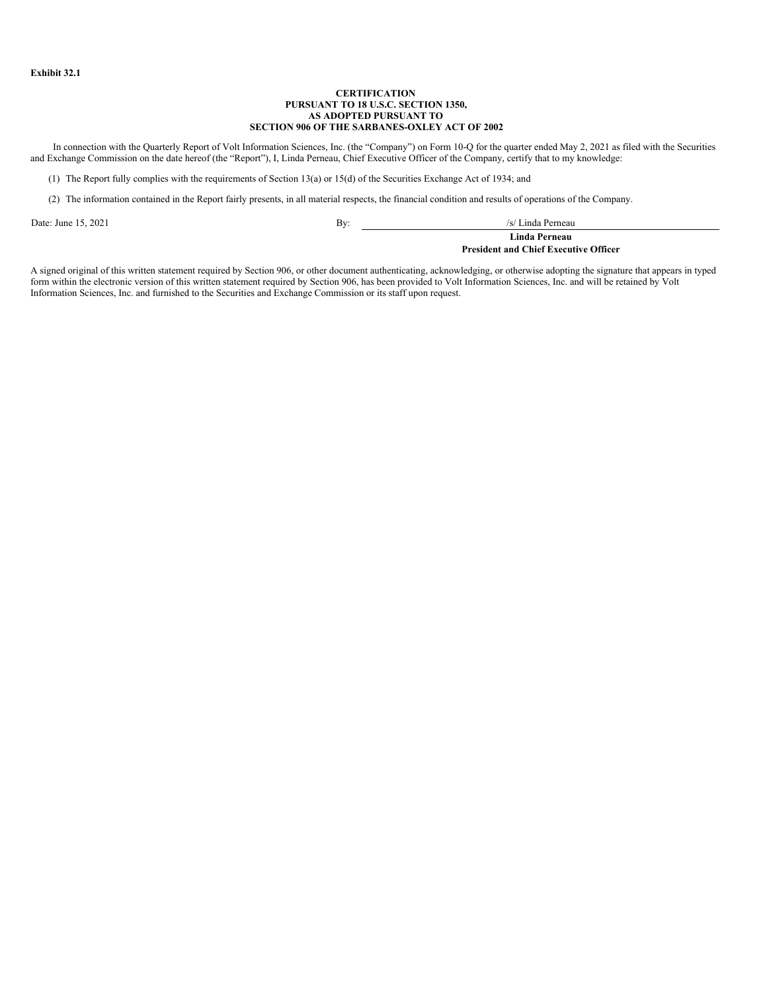#### **CERTIFICATION PURSUANT TO 18 U.S.C. SECTION 1350, AS ADOPTED PURSUANT TO SECTION 906 OF THE SARBANES-OXLEY ACT OF 2002**

<span id="page-36-0"></span>In connection with the Quarterly Report of Volt Information Sciences, Inc. (the "Company") on Form 10-Q for the quarter ended May 2, 2021 as filed with the Securities and Exchange Commission on the date hereof (the "Report"), I, Linda Perneau, Chief Executive Officer of the Company, certify that to my knowledge:

(1) The Report fully complies with the requirements of Section 13(a) or 15(d) of the Securities Exchange Act of 1934; and

(2) The information contained in the Report fairly presents, in all material respects, the financial condition and results of operations of the Company.

Date: June 15, 2021 **By:** /s/ Linda Perneau /s/ Linda Perneau /s/ Linda Perneau /s/ Linda Perneau /s/ Linda Perneau /s/ Linda Perneau /s/ Linda Perneau /s/ Linda Perneau /s/ Linda Perneau /s/ Linda Perneau /s/ Linda Pernea **Linda Perneau**

**President and Chief Executive Officer**

A signed original of this written statement required by Section 906, or other document authenticating, acknowledging, or otherwise adopting the signature that appears in typed form within the electronic version of this written statement required by Section 906, has been provided to Volt Information Sciences, Inc. and will be retained by Volt Information Sciences, Inc. and furnished to the Securities and Exchange Commission or its staff upon request.